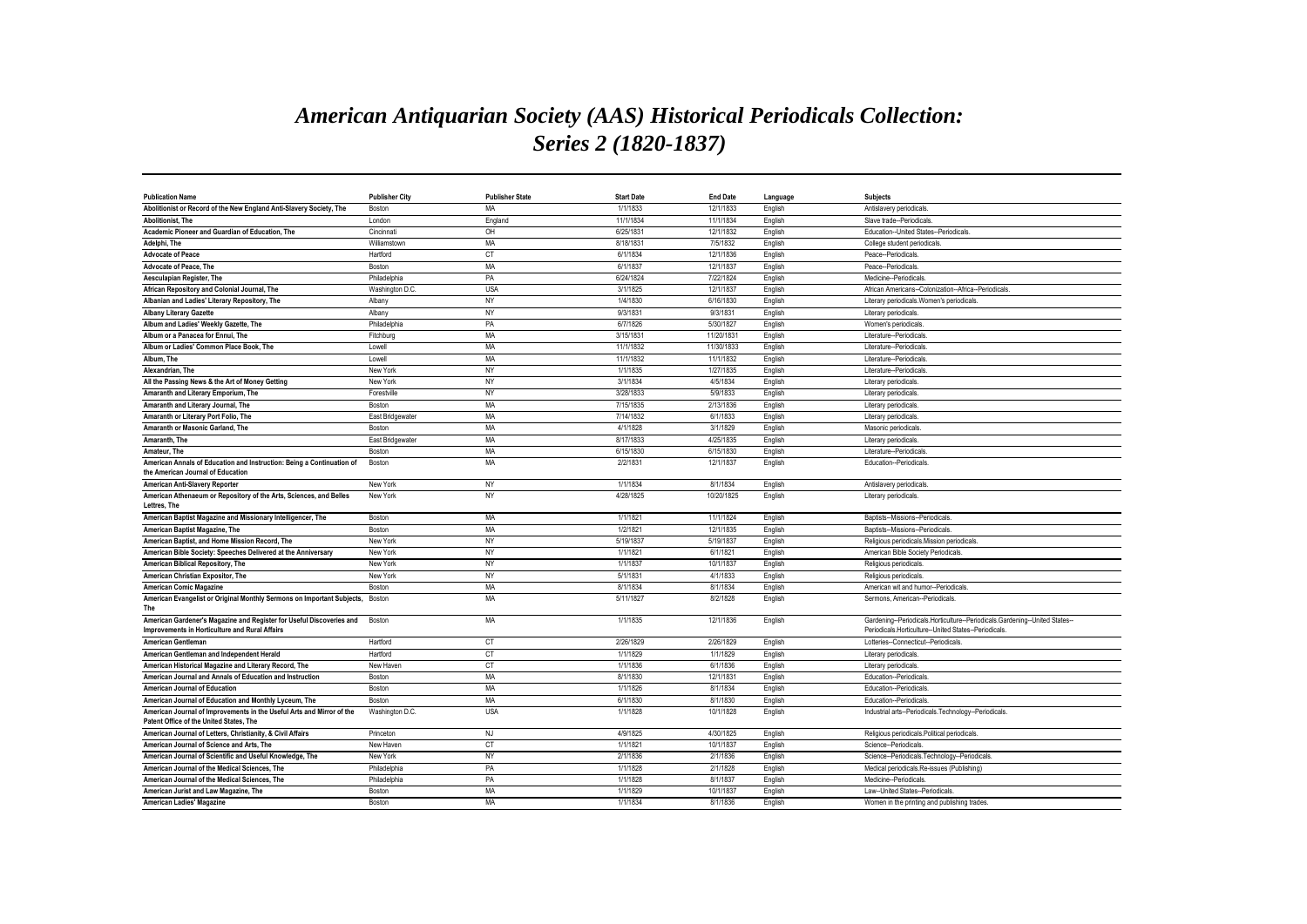## *American Antiquarian Society (AAS) Historical Periodicals Collection: Series 2 (1820-1837)*

| <b>Publication Name</b>                                                                                                | <b>Publisher City</b> | <b>Publisher State</b> | <b>Start Date</b> | <b>End Date</b> | Language | <b>Subjects</b>                                                                                                                    |
|------------------------------------------------------------------------------------------------------------------------|-----------------------|------------------------|-------------------|-----------------|----------|------------------------------------------------------------------------------------------------------------------------------------|
| Abolitionist or Record of the New England Anti-Slavery Society, The                                                    | Boston                | MA                     | 1/1/1833          | 12/1/1833       | English  | Antislavery periodicals                                                                                                            |
| <b>Abolitionist. The</b>                                                                                               | London                | England                | 11/1/1834         | 11/1/1834       | English  | Slave trade--Periodicals                                                                                                           |
| Academic Pioneer and Guardian of Education. The                                                                        | Cincinnati            | OH                     | 6/25/1831         | 12/1/1832       | English  | Education--United States--Periodicals                                                                                              |
| Adelphi, The                                                                                                           | Williamstown          | MA                     | 8/18/1831         | 7/5/1832        | English  | College student periodicals                                                                                                        |
| <b>Advocate of Peace</b>                                                                                               | Hartford              | <b>CT</b>              | 6/1/1834          | 12/1/1836       | English  | Peace--Periodicals                                                                                                                 |
| Advocate of Peace, The                                                                                                 | Boston                | MA                     | 6/1/1837          | 12/1/1837       | English  | Peace--Periodicals.                                                                                                                |
| Aesculapian Register, The                                                                                              | Philadelphia          | PA                     | 6/24/1824         | 7/22/1824       | English  | Medicine--Periodicals                                                                                                              |
| African Repository and Colonial Journal, The                                                                           | Washington D.C        | <b>USA</b>             | 3/1/1825          | 12/1/1837       | English  | African Americans--Colonization--Africa--Periodicals                                                                               |
| Albanian and Ladies' Literary Repository, The                                                                          | Albany                | <b>NY</b>              | 1/4/1830          | 6/16/1830       | English  | Literary periodicals. Women's periodicals                                                                                          |
| <b>Albany Literary Gazette</b>                                                                                         | Albany                | NY                     | 9/3/1831          | 9/3/1831        | English  | Literary periodicals.                                                                                                              |
| Album and Ladies' Weekly Gazette, The                                                                                  | Philadelphia          | PA                     | 6/7/1826          | 5/30/1827       | English  | Women's periodicals                                                                                                                |
| Album or a Panacea for Ennui, The                                                                                      | Fitchburg             | MA                     | 3/15/1831         | 11/20/1831      | English  | Literature--Periodicals.                                                                                                           |
| Album or Ladies' Common Place Book, The                                                                                | Lowell                | MA                     | 11/1/1832         | 11/30/1833      | English  | Literature--Periodicals                                                                                                            |
| Album. The                                                                                                             | Lowell                | <b>MA</b>              | 11/1/1832         | 11/1/1832       | English  | Literature--Periodicals                                                                                                            |
| Alexandrian, The                                                                                                       | New York              | NY                     | 1/1/1835          | 1/27/1835       | English  | Literature--Periodicals                                                                                                            |
| All the Passing News & the Art of Money Getting                                                                        | New York              | NY                     | 3/1/1834          | 4/5/1834        | English  | Literary periodicals.                                                                                                              |
| Amaranth and Literary Emporium, The                                                                                    | Forestville           | NY                     | 3/28/1833         | 5/9/1833        | English  | Literary periodicals                                                                                                               |
| Amaranth and Literary Journal, The                                                                                     | Boston                | MA                     | 7/15/1835         | 2/13/1836       | English  | Literary periodicals                                                                                                               |
| Amaranth or Literary Port Folio, The                                                                                   | East Bridgewater      | MA                     | 7/14/1832         | 6/1/1833        | English  | Literary periodicals                                                                                                               |
| Amaranth or Masonic Garland, The                                                                                       | Boston                | MA                     | 4/1/1828          | 3/1/1829        | English  | Masonic periodicals                                                                                                                |
| Amaranth. The                                                                                                          | East Bridgewater      | MA                     | 8/17/1833         | 4/25/1835       | English  | Literary periodicals.                                                                                                              |
| Amateur, The                                                                                                           | Boston                | MA                     | 6/15/1830         | 6/15/1830       | English  | Literature--Periodicals                                                                                                            |
| American Annals of Education and Instruction: Being a Continuation of<br>the American Journal of Education             | Boston                | MA                     | 2/2/1831          | 12/1/1837       | English  | Education--Periodicals                                                                                                             |
| American Anti-Slavery Reporter                                                                                         | New York              | NY                     | 1/1/1834          | 8/1/1834        | English  | Antislavery periodicals                                                                                                            |
| American Athenaeum or Repository of the Arts, Sciences, and Belles<br>Lettres. The                                     | New York              | NY                     | 4/28/1825         | 10/20/1825      | English  | Literary periodicals.                                                                                                              |
| American Baptist Magazine and Missionary Intelligencer, The                                                            | Boston                | MA                     | 1/1/1821          | 11/1/1824       | English  | Baptists--Missions--Periodicals                                                                                                    |
| American Baptist Magazine, The                                                                                         | Boston                | MA                     | 1/2/1821          | 12/1/1835       | English  | Baptists--Missions--Periodicals                                                                                                    |
| American Baptist, and Home Mission Record, The                                                                         | New York              | NY                     | 5/19/1837         | 5/19/1837       | English  | Religious periodicals.Mission periodicals.                                                                                         |
| American Bible Society: Speeches Delivered at the Anniversary                                                          | New York              | NY                     | 1/1/1821          | 6/1/1821        | English  | American Bible Society Periodicals                                                                                                 |
| American Biblical Repository, The                                                                                      | New York              | NY                     | 1/1/1837          | 10/1/1837       | English  | Religious periodicals                                                                                                              |
| American Christian Expositor, The                                                                                      | New York              | NY                     | 5/1/183           | 4/1/1833        | English  | Religious periodicals                                                                                                              |
| <b>American Comic Magazine</b>                                                                                         | Boston                | MA                     | 8/1/1834          | 8/1/1834        | English  | American wit and humor--Periodicals                                                                                                |
| American Evangelist or Original Monthly Sermons on Important Subjects,                                                 | Boston                | MA                     | 5/11/1827         | 8/2/1828        | English  | Sermons, American--Periodicals.                                                                                                    |
| The                                                                                                                    |                       |                        |                   |                 |          |                                                                                                                                    |
| American Gardener's Magazine and Register for Useful Discoveries and<br>Improvements in Horticulture and Rural Affairs | Boston                | MA                     | 1/1/1835          | 12/1/1836       | English  | Gardening--Periodicals.Horticulture--Periodicals.Gardening--United States-<br>Periodicals.Horticulture--United States--Periodicals |
| American Gentleman                                                                                                     | Hartford              | CT                     | 2/26/1829         | 2/26/1829       | English  | Lotteries--Connecticut--Periodicals                                                                                                |
| American Gentleman and Independent Herald                                                                              | Hartford              | <b>CT</b>              | 1/1/1829          | 1/1/1829        | English  | Literary periodicals                                                                                                               |
| American Historical Magazine and Literary Record, The                                                                  | New Haven             | <b>CT</b>              | 1/1/1836          | 6/1/1836        | English  | Literary periodicals.                                                                                                              |
| American Journal and Annals of Education and Instruction                                                               | Boston                | MA                     | 8/1/1830          | 12/1/1831       | English  | Education--Periodicals                                                                                                             |
| American Journal of Education                                                                                          | Boston                | MA                     | 1/1/1826          | 8/1/1834        | English  | Education--Periodicals                                                                                                             |
| American Journal of Education and Monthly Lyceum, The                                                                  | Boston                | <b>MA</b>              | 6/1/1830          | 8/1/1830        | English  | Education--Periodicals                                                                                                             |
| American Journal of Improvements in the Useful Arts and Mirror of the<br>Patent Office of the United States. The       | Washington D.C        | <b>USA</b>             | 1/1/1828          | 10/1/1828       | English  | Industrial arts--Periodicals.Technology--Periodicals                                                                               |
| American Journal of Letters, Christianity, & Civil Affairs                                                             | Princeton             | NJ                     | 4/9/1825          | 4/30/1825       | English  | Religious periodicals.Political periodicals                                                                                        |
| American Journal of Science and Arts. The                                                                              | New Haven             | <b>CT</b>              | 1/1/1821          | 10/1/1837       | English  | Science--Periodicals                                                                                                               |
| American Journal of Scientific and Useful Knowledge, The                                                               | New York              | <b>NY</b>              | 2/1/1836          | 2/1/1836        | English  | Science--Periodicals.Technology--Periodicals.                                                                                      |
| American Journal of the Medical Sciences. The                                                                          | Philadelphia          | PA                     | 1/1/1828          | 2/1/1828        | English  | Medical periodicals.Re-issues (Publishing)                                                                                         |
| American Journal of the Medical Sciences, The                                                                          | Philadelphia          | PA                     | 1/1/1828          | 8/1/1837        | English  | Medicine--Periodicals                                                                                                              |
| American Jurist and Law Magazine, The                                                                                  | Boston                | MA                     | 1/1/1829          | 10/1/1837       | English  | Law--United States--Periodicals                                                                                                    |
| <b>American Ladies' Magazine</b>                                                                                       | Boston                | MA                     | 1/1/1834          | 8/1/1836        | English  | Women in the printing and publishing trades.                                                                                       |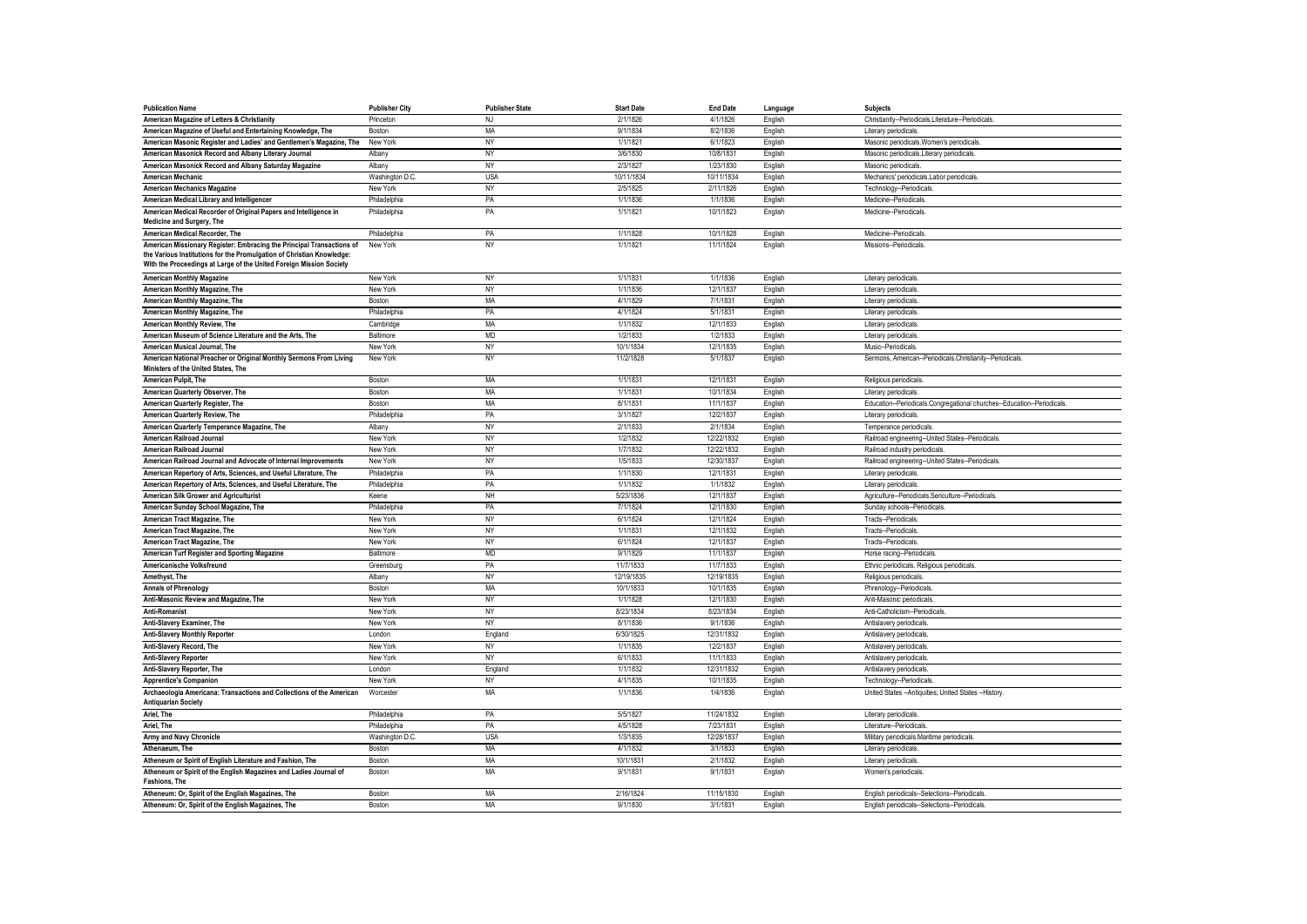| <b>Publication Name</b>                                                                                                                                                                                               | <b>Publisher City</b> | <b>Publisher State</b> | <b>Start Date</b> | <b>End Date</b> | Language | Subjects                                                               |
|-----------------------------------------------------------------------------------------------------------------------------------------------------------------------------------------------------------------------|-----------------------|------------------------|-------------------|-----------------|----------|------------------------------------------------------------------------|
| American Magazine of Letters & Christianity                                                                                                                                                                           | Princeton             | <b>NJ</b>              | 2/1/1826          | 4/1/1826        | English  | Christianity--Periodicals.Literature--Periodicals.                     |
| American Magazine of Useful and Entertaining Knowledge, The                                                                                                                                                           | Boston                | MA                     | 9/1/1834          | 8/2/1836        | English  | Literary periodicals.                                                  |
| American Masonic Register and Ladies' and Gentlemen's Magazine, The                                                                                                                                                   | New York              | <b>NY</b>              | 1/1/1821          | 6/1/1823        | English  | Masonic periodicals. Women's periodicals                               |
| American Masonick Record and Albany Literary Journal                                                                                                                                                                  | Albany                | NY                     | 3/6/1830          | 10/8/1831       | English  | Masonic periodicals.Literary periodicals.                              |
| American Masonick Record and Albany Saturday Magazine                                                                                                                                                                 | Albany                | NY                     | 2/3/1827          | 1/23/1830       | English  | Masonic periodicals.                                                   |
| <b>American Mechanic</b>                                                                                                                                                                                              | Washington D.C.       | <b>USA</b>             | 10/11/1834        | 10/11/1834      | English  | Mechanics' periodicals.Labor periodicals                               |
| <b>American Mechanics Magazine</b>                                                                                                                                                                                    | New York              | NY                     | 2/5/1825          | 2/11/1826       | English  | Technology--Periodicals                                                |
| American Medical Library and Intelligencer                                                                                                                                                                            | Philadelphia          | PA                     | 1/1/1836          | 1/1/1836        | English  | Medicine--Periodicals                                                  |
| American Medical Recorder of Original Papers and Intelligence in<br>Medicine and Surgery, The                                                                                                                         | Philadelphia          | PA                     | 1/1/1821          | 10/1/1823       | English  | Medicine--Periodicals                                                  |
| American Medical Recorder, The                                                                                                                                                                                        | Philadelphia          | PA                     | 1/1/1828          | 10/1/1828       | English  | Medicine-Periodicals                                                   |
| American Missionary Register: Embracing the Principal Transactions of<br>the Various Institutions for the Promulgation of Christian Knowledge:<br>With the Proceedings at Large of the United Foreign Mission Society | New York              | <b>NY</b>              | 1/1/1821          | 11/1/1824       | English  | Missions--Periodicals                                                  |
| <b>American Monthly Magazine</b>                                                                                                                                                                                      | New York              | <b>NY</b>              | 1/1/1831          | 1/1/1836        | English  | Literary periodicals.                                                  |
| American Monthly Magazine, The                                                                                                                                                                                        | New York              | <b>NY</b>              | 1/1/1836          | 12/1/1837       | English  | Literary periodicals.                                                  |
| American Monthly Magazine, The                                                                                                                                                                                        | Boston                | MA                     | 4/1/1829          | 7/1/1831        | English  | Literary periodicals.                                                  |
| American Monthly Magazine, The                                                                                                                                                                                        | Philadelphia          | PA                     | 4/1/1824          | 5/1/1831        | English  | Literary periodicals.                                                  |
| American Monthly Review, The                                                                                                                                                                                          | Cambridge             | MA                     | 1/1/1832          | 12/1/1833       | English  | Literary periodicals.                                                  |
| American Museum of Science Literature and the Arts, The                                                                                                                                                               | Baltimore             | <b>MD</b>              | 1/2/1833          | 1/2/1833        | English  | Literary periodicals.                                                  |
| American Musical Journal, The                                                                                                                                                                                         | New York              | NY                     | 10/1/1834         | 12/1/1835       | English  | Music--Periodicals.                                                    |
| American National Preacher or Original Monthly Sermons From Living<br>Ministers of the United States, The                                                                                                             | New York              | NY                     | 11/2/1828         | 5/1/1837        | English  | Sermons, American--Periodicals.Christianity--Periodicals               |
| American Pulpit, The                                                                                                                                                                                                  | Boston                | MA                     | 1/1/1831          | 12/1/1831       | English  | Religious periodicals                                                  |
| American Quarterly Observer, The                                                                                                                                                                                      | Boston                | MA                     | 1/1/1831          | 10/1/1834       | English  | Literary periodicals.                                                  |
| American Quarterly Register, The                                                                                                                                                                                      | Boston                | MA                     | 8/1/1831          | 11/1/1837       | English  | Education--Periodicals.Congregational churches--Education--Periodicals |
| American Quarterly Review, The                                                                                                                                                                                        | Philadelphia          | PA                     | 3/1/1827          | 12/2/1837       | English  | Literary periodicals.                                                  |
| American Quarterly Temperance Magazine, The                                                                                                                                                                           | Albany                | NY                     | 2/1/1833          | 2/1/1834        | English  | Temperance periodicals                                                 |
| American Railroad Journal                                                                                                                                                                                             | New York              | <b>NY</b>              | 1/2/1832          | 12/22/1832      | English  | Railroad engineering--United States--Periodicals                       |
| American Railroad Journal                                                                                                                                                                                             | New York              | <b>NY</b>              | 1/7/1832          | 12/22/1832      | English  | Railroad industry periodicals                                          |
| American Railroad Journal and Advocate of Internal Improvements                                                                                                                                                       | New York              | <b>NY</b>              | 1/5/1833          | 12/30/1837      | English  | Railroad engineering--United States--Periodicals                       |
| American Repertory of Arts, Sciences, and Useful Literature, The                                                                                                                                                      | Philadelphia          | PA                     | 1/1/1830          | 12/1/1831       | English  | Literary periodicals.                                                  |
| American Repertory of Arts, Sciences, and Useful Literature, The                                                                                                                                                      | Philadelphia          | PA                     | 1/1/1832          | 1/1/1832        | English  | Literary periodicals.                                                  |
| American Silk Grower and Agriculturist                                                                                                                                                                                | Keene                 | NH                     | 5/23/1836         | 12/1/1837       | English  | Agriculture--Periodicals.Sericulture--Periodicals                      |
| American Sunday School Magazine, The                                                                                                                                                                                  | Philadelphia          | PA                     | 7/1/1824          | 12/1/1830       | English  | Sunday schools--Periodicals.                                           |
| American Tract Magazine, The                                                                                                                                                                                          | New York              | NY                     | 6/1/1824          | 12/1/1824       | English  | Tracts--Periodicals                                                    |
| American Tract Magazine, The                                                                                                                                                                                          | New York              | <b>NY</b>              | 1/1/1831          | 12/1/1832       | English  | Tracts--Periodicals                                                    |
| American Tract Magazine, The                                                                                                                                                                                          | New York              | NY                     | 6/1/1824          | 12/1/1837       | English  | Tracts--Periodicals                                                    |
| American Turf Register and Sporting Magazine                                                                                                                                                                          | Baltimore             | <b>MD</b>              | 9/1/1829          | 11/1/1837       | English  | Horse racing--Periodicals                                              |
| Americanische Volksfreund                                                                                                                                                                                             | Greensburg            | PA                     | 11/7/1833         | 11/7/1833       | English  | Ethnic periodicals. Religious periodicals                              |
| Amethyst, The                                                                                                                                                                                                         | Albany                | <b>NY</b>              | 12/19/1835        | 12/19/1835      | English  | Religious periodicals                                                  |
| <b>Annals of Phrenology</b>                                                                                                                                                                                           | Boston                | MA                     | 10/1/1833         | 10/1/1835       | English  | Phrenology--Periodicals                                                |
| Anti-Masonic Review and Magazine, The                                                                                                                                                                                 | New York              | NY                     | 1/1/1828          | 12/1/1830       | English  | Anti-Masonic periodicals                                               |
| Anti-Romanist                                                                                                                                                                                                         | New York              | NY                     | 8/23/1834         | 8/23/1834       | English  | Anti-Catholicism--Periodicals                                          |
| Anti-Slavery Examiner, The                                                                                                                                                                                            | New York              | NY                     | 8/1/1836          | 9/1/1836        | English  | Antislavery periodicals                                                |
| Anti-Slavery Monthly Reporter                                                                                                                                                                                         | London                | England                | 6/30/1825         | 12/31/1832      | English  | Antislavery periodicals                                                |
| Anti-Slavery Record, The                                                                                                                                                                                              | New York              | <b>NY</b>              | 1/1/1835          | 12/2/1837       | English  | Antislavery periodicals                                                |
| <b>Anti-Slavery Reporter</b>                                                                                                                                                                                          | New York              | NY                     | 6/1/1833          | 11/1/1833       | English  | Antislavery periodicals                                                |
| Anti-Slavery Reporter, The                                                                                                                                                                                            | London                | England                | 1/1/1832          | 12/31/1832      | English  | Antislavery periodicals                                                |
| <b>Apprentice's Companion</b>                                                                                                                                                                                         | New York              | NY                     | 4/1/1835          | 10/1/1835       | English  | Technology--Periodicals                                                |
| Archaeologia Americana: Transactions and Collections of the American<br><b>Antiquarian Society</b>                                                                                                                    | Worcester             | MA                     | 1/1/1836          | 1/4/1836        | English  | United States -- Antiquities; United States -- History.                |
| Ariel, The                                                                                                                                                                                                            | Philadelphia          | PA                     | 5/5/1827          | 11/24/1832      | English  | Literary periodicals.                                                  |
| Ariel. The                                                                                                                                                                                                            | Philadelphia          | PA                     | 4/5/1828          | 7/23/1831       | English  | Literature-Periodicals                                                 |
| Army and Navy Chronicle                                                                                                                                                                                               | Washington D.C.       | <b>USA</b>             | 1/3/1835          | 12/28/1837      | English  | Military periodicals.Maritime periodicals                              |
| Athenaeum, The                                                                                                                                                                                                        | Boston                | MA                     | 4/1/1832          | 3/1/1833        | English  | Literary periodicals.                                                  |
| Atheneum or Spirit of English Literature and Fashion, The                                                                                                                                                             | Boston                | MA                     | 10/1/183          | 2/1/1832        | English  | Literary periodicals                                                   |
| Atheneum or Spirit of the English Magazines and Ladies Journal of<br>Fashions, The                                                                                                                                    | Boston                | MA                     | 9/1/1831          | 9/1/1831        | English  | Women's periodicals                                                    |
| Atheneum: Or, Spirit of the English Magazines, The                                                                                                                                                                    | Boston                | MA                     | 2/16/1824         | 11/15/1830      | English  | English periodicals--Selections--Periodicals                           |
| Atheneum: Or, Spirit of the English Magazines, The                                                                                                                                                                    | Boston                | MA                     | 9/1/1830          | 3/1/1831        | English  | English periodicals--Selections--Periodicals.                          |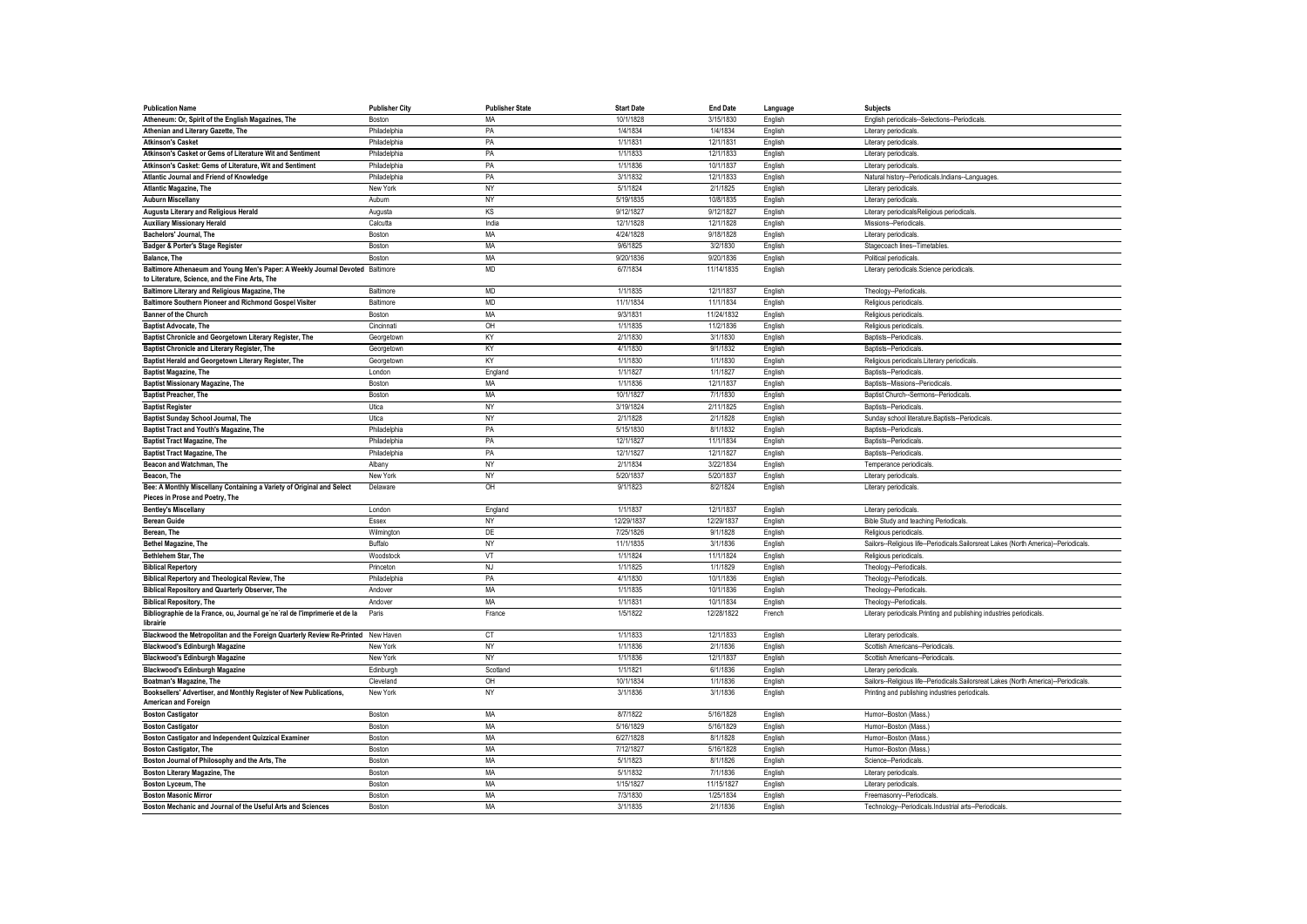| <b>Publication Name</b>                                                                                                         | <b>Publisher City</b> | <b>Publisher State</b> | <b>Start Date</b> | <b>End Date</b> | Language | <b>Subjects</b>                                                                      |
|---------------------------------------------------------------------------------------------------------------------------------|-----------------------|------------------------|-------------------|-----------------|----------|--------------------------------------------------------------------------------------|
| Atheneum: Or, Spirit of the English Magazines, The                                                                              | Boston                | MA                     | 10/1/1828         | 3/15/1830       | English  | English periodicals--Selections--Periodicals                                         |
| Athenian and Literary Gazette, The                                                                                              | Philadelphia          | PA                     | 1/4/1834          | 1/4/1834        | English  | Literary periodicals                                                                 |
| <b>Atkinson's Casket</b>                                                                                                        | Philadelphia          | PA                     | 1/1/1831          | 12/1/1831       | English  | Literary periodicals                                                                 |
| Atkinson's Casket or Gems of Literature Wit and Sentiment                                                                       | Philadelphia          | PA                     | 1/1/1833          | 12/1/1833       | English  | Literary periodicals                                                                 |
| Atkinson's Casket: Gems of Literature, Wit and Sentiment                                                                        | Philadelphia          | PA                     | 1/1/1836          | 10/1/1837       | English  | Literary periodicals                                                                 |
| Atlantic Journal and Friend of Knowledge                                                                                        | Philadelphia          | PA                     | 3/1/1832          | 12/1/1833       | English  | Natural history--Periodicals.Indians--Languages                                      |
| <b>Atlantic Magazine, The</b>                                                                                                   | New York              | <b>NY</b>              | 5/1/1824          | 2/1/1825        | English  | Literary periodicals                                                                 |
| <b>Auburn Miscellany</b>                                                                                                        | Aubum                 | NY                     | 5/19/1835         | 10/8/1835       | English  | Literary periodicals                                                                 |
| Augusta Literary and Religious Herald                                                                                           | Augusta               | <b>KS</b>              | 9/12/1827         | 9/12/1827       | English  | Literary periodicalsReligious periodicals                                            |
| <b>Auxiliary Missionary Herald</b>                                                                                              | Calcutta              | India                  | 12/1/1828         | 12/1/1828       | English  | Missions--Periodicals                                                                |
| Bachelors' Journal, The                                                                                                         | Boston                | MA                     | 4/24/1828         | 9/18/1828       | English  | Literary periodicals                                                                 |
| Badger & Porter's Stage Register                                                                                                | Boston                | MA                     | 9/6/1825          | 3/2/1830        | English  | Stagecoach lines--Timetables                                                         |
| Balance, The                                                                                                                    | Boston                | MA                     | 9/20/1836         | 9/20/1836       | English  | Political periodicals                                                                |
| Baltimore Athenaeum and Young Men's Paper: A Weekly Journal Devoted Baltimore<br>to Literature, Science, and the Fine Arts, The |                       | <b>MD</b>              | 6/7/1834          | 11/14/1835      | English  | Literary periodicals.Science periodicals                                             |
| Baltimore Literary and Religious Magazine, The                                                                                  | Baltimore             | <b>MD</b>              | 1/1/1835          | 12/1/1837       | English  | Theology--Periodicals                                                                |
| Baltimore Southern Pioneer and Richmond Gospel Visiter                                                                          | Baltimore             | <b>MD</b>              | 11/1/1834         | 11/1/1834       | English  | Religious periodicals                                                                |
| <b>Banner of the Church</b>                                                                                                     | Boston                | MA                     | 9/3/1831          | 11/24/1832      | English  | Religious periodicals                                                                |
| <b>Baptist Advocate. The</b>                                                                                                    | Cincinnati            | OH                     | 1/1/1835          | 11/2/1836       | English  | Religious periodicals                                                                |
| Baptist Chronicle and Georgetown Literary Register, The                                                                         | Georgetown            | KY                     | 2/1/1830          | 3/1/1830        | English  | Baptists--Periodicals                                                                |
| Baptist Chronicle and Literary Register, The                                                                                    | Georgetown            | KY                     | 4/1/1830          | 9/1/1832        | English  | Baptists--Periodicals                                                                |
| Baptist Herald and Georgetown Literary Register, The                                                                            | Georgetown            | KY                     | 1/1/1830          | 1/1/1830        | English  | Religious periodicals.Literary periodicals                                           |
| <b>Baptist Magazine, The</b>                                                                                                    | London                | England                | 1/1/1827          | 1/1/1827        | English  | Baptists-Periodicals                                                                 |
| <b>Baptist Missionary Magazine, The</b>                                                                                         | Boston                | <b>MA</b>              | 1/1/1836          | 12/1/1837       | English  | Baptists--Missions--Periodicals                                                      |
| <b>Baptist Preacher, The</b>                                                                                                    | <b>Roston</b>         | MA                     | 10/1/1827         | 7/1/1830        | English  | Baptist Church--Sermons--Periodicals                                                 |
| <b>Baptist Register</b>                                                                                                         | Utica                 | <b>NY</b>              | 3/19/1824         | 2/11/1825       | English  | Baptists--Periodicals                                                                |
| Baptist Sunday School Journal, The                                                                                              | Utica                 | <b>NY</b>              | 2/1/1828          | 2/1/1828        | English  | Sunday school literature.Baptists--Periodicals                                       |
| <b>Baptist Tract and Youth's Magazine, The</b>                                                                                  | Philadelphia          | PA                     | 5/15/1830         | 8/1/1832        | English  | Baptists--Periodicals                                                                |
| <b>Baptist Tract Magazine, The</b>                                                                                              | Philadelphia          | PA                     | 12/1/1827         | 11/1/1834       | English  | Baptists--Periodicals                                                                |
| <b>Baptist Tract Magazine, The</b>                                                                                              | Philadelphia          | PA                     | 12/1/1827         | 12/1/1827       | English  | Baptists-Periodicals                                                                 |
| Beacon and Watchman, The                                                                                                        | Albany                | NY                     | 2/1/1834          | 3/22/1834       | English  | Temperance periodicals                                                               |
| Beacon, The                                                                                                                     | New York              | <b>NY</b>              | 5/20/1837         | 5/20/1837       | English  | Literary periodicals                                                                 |
| Bee: A Monthly Miscellany Containing a Variety of Original and Select<br>Pieces in Prose and Poetry, The                        | Delaware              | OH                     | 9/1/1823          | 8/2/1824        | English  | Literary periodicals.                                                                |
| <b>Bentley's Miscellany</b>                                                                                                     | London                | England                | 1/1/1837          | 12/1/1837       | English  | Literary periodicals.                                                                |
| <b>Berean Guide</b>                                                                                                             | Essex                 | NY                     | 12/29/1837        | 12/29/1837      | English  | Bible Study and teaching Periodicals                                                 |
| Berean, The                                                                                                                     | Wilmington            | DE                     | 7/25/1826         | 9/1/1828        | English  | Religious periodicals                                                                |
| <b>Bethel Magazine, The</b>                                                                                                     | Buffalo               | NY                     | 11/1/1835         | 3/1/1836        | English  | Sailors--Religious life--Periodicals.Sailorsreat Lakes (North America)--Periodicals  |
| Bethlehem Star, The                                                                                                             | Woodstock             | VT                     | 1/1/1824          | 11/1/1824       | English  | Religious periodicals                                                                |
| <b>Biblical Repertory</b>                                                                                                       | Princeton             | <b>NJ</b>              | 1/1/1825          | 1/1/1829        | English  | Theology--Periodicals                                                                |
| Biblical Repertory and Theological Review, The                                                                                  | Philadelphia          | PA                     | 4/1/1830          | 10/1/1836       | English  | Theology--Periodicals                                                                |
| <b>Biblical Repository and Quarterly Observer, The</b>                                                                          | Andover               | MA                     | 1/1/1835          | 10/1/1836       | English  | Theology--Periodicals                                                                |
| <b>Biblical Repository, The</b>                                                                                                 | Andover               | <b>MA</b>              | 1/1/1831          | 10/1/1834       | English  | Theology--Periodicals                                                                |
| Bibliographie de la France, ou, Journal ge'ne'ral de l'imprimerie et de la<br>librairie                                         | Paris                 | France                 | 1/5/1822          | 12/28/1822      | French   | Literary periodicals. Printing and publishing industries periodicals                 |
| Blackwood the Metropolitan and the Foreign Quarterly Review Re-Printed New Haven                                                |                       | CT                     | 1/1/1833          | 12/1/1833       | English  | Literary periodicals                                                                 |
| <b>Blackwood's Edinburgh Magazine</b>                                                                                           | New York              | NY                     | 1/1/1836          | 2/1/1836        | English  | Scottish Americans--Periodicals.                                                     |
| <b>Blackwood's Edinburgh Magazine</b>                                                                                           | New York              | <b>NY</b>              | 1/1/1836          | 12/1/1837       | English  | Scottish Americans--Periodicals.                                                     |
| <b>Blackwood's Edinburgh Magazine</b>                                                                                           | Edinburgh             | Scotland               | 1/1/1821          | 6/1/1836        | English  | Literary periodicals                                                                 |
| Boatman's Magazine, The                                                                                                         | Cleveland             | OH                     | 10/1/1834         | 1/1/1836        | English  | Sailors--Religious life--Periodicals.Sailorsreat Lakes (North America)--Periodicals. |
| Booksellers' Advertiser, and Monthly Register of New Publications,                                                              | New York              | NY                     | 3/1/1836          | 3/1/1836        | English  | Printing and publishing industries periodicals                                       |
| American and Foreign<br><b>Boston Castigator</b>                                                                                | Boston                | MA                     | 8/7/1822          | 5/16/1828       | English  | Humor--Boston (Mass.                                                                 |
| <b>Boston Castigator</b>                                                                                                        | Boston                | MA                     | 5/16/1829         | 5/16/1829       | English  | Humor--Boston (Mass.                                                                 |
| Boston Castigator and Independent Quizzical Examiner                                                                            | Boston                | MA                     | 6/27/1828         | 8/1/1828        | English  | Humor--Boston (Mass.                                                                 |
| <b>Boston Castigator, The</b>                                                                                                   | Boston                | MA                     | 7/12/1827         | 5/16/1828       | English  | Humor-Boston (Mass.)                                                                 |
| Boston Journal of Philosophy and the Arts, The                                                                                  | Boston                | MA                     | 5/1/1823          | 8/1/1826        | English  | Science--Periodicals                                                                 |
| <b>Boston Literary Magazine, The</b>                                                                                            | Boston                | <b>MA</b>              | 5/1/1832          | 7/1/1836        | English  | Literary periodicals                                                                 |
| Boston Lyceum, The                                                                                                              | Boston                | MA                     | 1/15/1827         | 11/15/1827      | English  | Literary periodicals                                                                 |
| <b>Boston Masonic Mirror</b>                                                                                                    | Boston                | MA                     | 7/3/1830          | 1/25/1834       | English  | Freemasonry--Periodicals.                                                            |
| Boston Mechanic and Journal of the Useful Arts and Sciences                                                                     | Boston                | MA                     | 3/1/1835          | 2/1/1836        | English  | Technology--Periodicals.Industrial arts--Periodicals                                 |
|                                                                                                                                 |                       |                        |                   |                 |          |                                                                                      |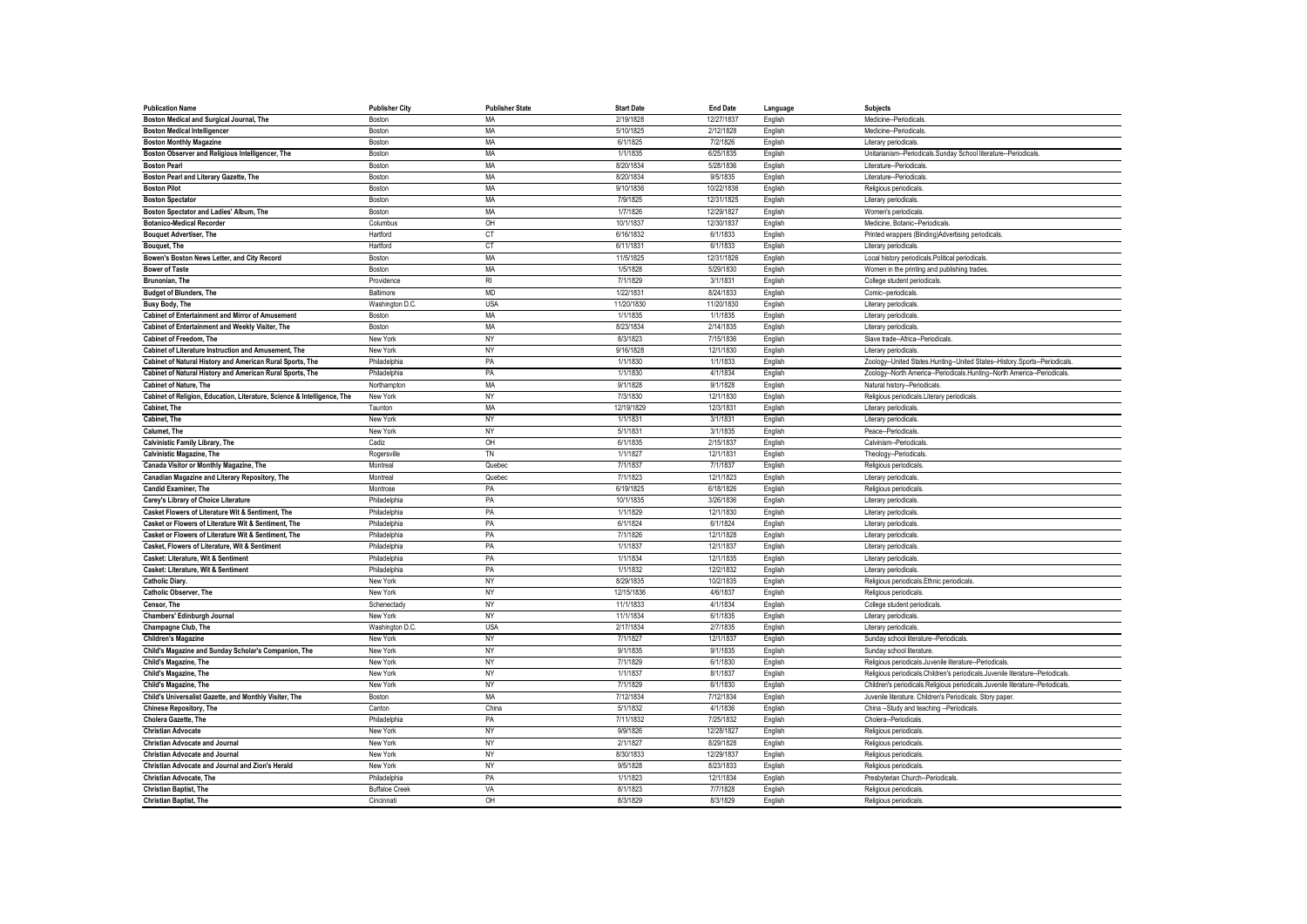| <b>Publication Name</b>                                                 | <b>Publisher City</b> | <b>Publisher State</b> | <b>Start Date</b> | <b>End Date</b> | Language           | <b>Subjects</b>                                                                  |
|-------------------------------------------------------------------------|-----------------------|------------------------|-------------------|-----------------|--------------------|----------------------------------------------------------------------------------|
| Boston Medical and Surgical Journal, The                                | Boston                | MA                     | 2/19/1828         | 12/27/1837      | English            | Medicine-Periodicals.                                                            |
| <b>Boston Medical Intelligencer</b>                                     | Boston                | MA                     | 5/10/1825         | 2/12/1828       | English            | Medicine--Periodicals.                                                           |
| <b>Boston Monthly Magazine</b>                                          | Boston                | <b>MA</b>              | 6/1/1825          | 7/2/1826        | English            | Literary periodicals                                                             |
| Boston Observer and Religious Intelligencer, The                        | Boston                | <b>MA</b>              | 1/1/1835          | 6/25/1835       | English            | Unitarianism--Periodicals.Sunday School literature--Periodicals                  |
| <b>Boston Pearl</b>                                                     | Boston                | MA                     | 8/20/1834         | 5/28/1836       | English            | Literature--Periodicals                                                          |
| Boston Pearl and Literary Gazette, The                                  | Boston                | MA                     | 8/20/1834         | 9/5/1835        | English            | Literature--Periodicals                                                          |
| <b>Boston Pilot</b>                                                     | Boston                | MA                     | 9/10/1836         | 10/22/1836      | English            | Religious periodicals                                                            |
| <b>Boston Spectator</b>                                                 | Boston                | MA                     | 7/9/1825          | 12/31/1825      | English            | Literary periodicals                                                             |
| Boston Spectator and Ladies' Album, The                                 | Boston                | MA                     | 1/7/1826          | 12/29/1827      | English            | Women's periodicals                                                              |
| <b>Botanico-Medical Recorder</b>                                        | Columbus              | OH                     | 10/1/1837         | 12/30/1837      | English            | Medicine, Botanic--Periodicals                                                   |
| <b>Bouquet Advertiser, The</b>                                          | Hartford              | <b>CT</b>              | 6/16/1832         | 6/1/1833        | English            | Printed wrappers (Binding)Advertising periodicals                                |
| Bouquet, The                                                            | Hartford              | <b>CT</b>              | 6/11/1831         | 6/1/1833        | English            | Literary periodicals                                                             |
| Bowen's Boston News Letter, and City Record                             | Boston                | <b>MA</b>              | 11/5/1825         | 12/31/1826      | English            | Local history periodicals.Political periodicals                                  |
| <b>Bower of Taste</b>                                                   | <b>Boston</b>         | MA                     | 1/5/1828          | 5/29/1830       | English            | Women in the printing and publishing trades                                      |
| Brunonian. The                                                          | Providence            | R <sub>l</sub>         | 7/1/1829          | 3/1/1831        | English            | College student periodicals.                                                     |
| <b>Budget of Blunders, The</b>                                          | Baltimore             | <b>MD</b>              | 1/22/1831         | 8/24/1833       |                    | Comic--periodicals                                                               |
| <b>Busy Body, The</b>                                                   | Washington D.C.       | <b>USA</b>             | 11/20/1830        | 11/20/1830      | English<br>English | Literary periodicals.                                                            |
|                                                                         |                       |                        |                   |                 |                    |                                                                                  |
| <b>Cabinet of Entertainment and Mirror of Amusement</b>                 | Boston                | MA                     | 1/1/1835          | 1/1/1835        | English            | Literary periodicals                                                             |
| Cabinet of Entertainment and Weekly Visiter, The                        | Boston                | MA                     | 8/23/1834         | 2/14/1835       | English            | Literary periodicals                                                             |
| Cabinet of Freedom, The                                                 | New York              | NY                     | 8/3/1823          | 7/15/1836       | English            | Slave trade--Africa--Periodicals.                                                |
| Cabinet of Literature Instruction and Amusement, The                    | New York              | NY                     | 9/16/1828         | 12/1/1830       | English            | Literary periodicals                                                             |
| Cabinet of Natural History and American Rural Sports, The               | Philadelphia          | PA                     | 1/1/1830          | 1/1/1833        | English            | Zoology--United States.Hunting--United States--History.Sports--Periodicals       |
| Cabinet of Natural History and American Rural Sports, The               | Philadelphia          | PA                     | 1/1/1830          | 4/1/1834        | English            | Zoology--North America--Periodicals.Hunting--North America--Periodicals          |
| <b>Cabinet of Nature, The</b>                                           | Northampton           | MA                     | 9/1/1828          | 9/1/1828        | English            | Natural history--Periodicals                                                     |
| Cabinet of Religion, Education, Literature, Science & Intelligence, The | New York              | <b>NY</b>              | 7/3/1830          | 12/1/1830       | English            | Religious periodicals.Literary periodicals                                       |
| <b>Cabinet. The</b>                                                     | Taunton               | <b>MA</b>              | 12/19/1829        | 12/3/1831       | English            | Literary periodicals                                                             |
| <b>Cabinet. The</b>                                                     | New York              | <b>NY</b>              | 1/1/1831          | 3/1/1831        | English            | Literary periodicals                                                             |
| Calumet, The                                                            | New York              | NY                     | 5/1/1831          | 3/1/1835        | English            | Peace--Periodicals                                                               |
| Calvinistic Family Library, The                                         | Cadiz                 | OH                     | 6/1/1835          | 2/15/1837       | English            | Calvinism-Periodicals                                                            |
| <b>Calvinistic Magazine, The</b>                                        | Rogersville           | TN                     | 1/1/1827          | 12/1/1831       | English            | Theology--Periodicals                                                            |
| Canada Visitor or Monthly Magazine, The                                 | Montreal              | Quebec                 | 7/1/1837          | 7/1/1837        | English            | Religious periodicals                                                            |
| Canadian Magazine and Literary Repository, The                          | Montreal              | Quebec                 | 7/1/1823          | 12/1/1823       | English            | Literary periodicals                                                             |
| <b>Candid Examiner, The</b>                                             | Montrose              | PA                     | 6/19/1825         | 6/18/1826       | English            | Religious periodicals                                                            |
| Carey's Library of Choice Literature                                    | Philadelphia          | PA                     | 10/1/1835         | 3/26/1836       | English            | Literary periodicals                                                             |
| Casket Flowers of Literature Wit & Sentiment, The                       | Philadelphia          | PA                     | 1/1/1829          | 12/1/1830       | English            | Literary periodicals                                                             |
| Casket or Flowers of Literature Wit & Sentiment, The                    | Philadelphia          | PA                     | 6/1/1824          | 6/1/1824        | English            | Literary periodicals                                                             |
| Casket or Flowers of Literature Wit & Sentiment, The                    | Philadelphia          | PA                     | 7/1/1826          | 12/1/1828       | English            | Literary periodicals                                                             |
| Casket, Flowers of Literature, Wit & Sentiment                          | Philadelphia          | PA                     | 1/1/1837          | 12/1/1837       | English            | Literary periodicals                                                             |
| Casket: Literature, Wit & Sentiment                                     | Philadelphia          | PA                     | 1/1/1834          | 12/1/1835       | English            | Literary periodicals.                                                            |
| Casket: Literature, Wit & Sentiment                                     | Philadelphia          | PA                     | 1/1/1832          | 12/2/1832       | English            | Literary periodicals.                                                            |
| Catholic Diarv.                                                         | New York              | NY                     | 8/29/1835         | 10/2/1835       | English            | Religious periodicals.Ethnic periodicals.                                        |
| Catholic Observer, The                                                  | New York              | NY                     | 12/15/1836        | 4/6/1837        | English            | Religious periodicals                                                            |
| Censor, The                                                             | Schenectady           | NY                     | 11/1/1833         | 4/1/1834        | English            | College student periodicals.                                                     |
| Chambers' Edinburgh Journal                                             | New York              | <b>NY</b>              | 11/1/1834         | 6/1/1835        | English            | Literary periodicals                                                             |
| Champagne Club, The                                                     | Washington D.C.       | <b>USA</b>             | 2/17/1834         | 2/7/1835        | English            | Literary periodicals                                                             |
| <b>Children's Magazine</b>                                              | New York              | <b>NY</b>              | 7/1/1827          | 12/1/1837       | English            | Sunday school literature--Periodicals                                            |
|                                                                         |                       | <b>NY</b>              | 9/1/1835          |                 |                    |                                                                                  |
| Child's Magazine and Sunday Scholar's Companion, The                    | New York              |                        |                   | 9/1/1835        | English            | Sunday school literature                                                         |
| Child's Magazine, The                                                   | New York              | NY                     | 7/1/1829          | 6/1/1830        | English            | Religious periodicals.Juvenile literature--Periodicals                           |
| Child's Magazine, The                                                   | New York              | NY                     | 1/1/1837          | 8/1/1837        | English            | Religious periodicals.Children's periodicals.Juvenile literature--Periodicals.   |
| Child's Magazine. The                                                   | New York              | NY                     | 7/1/1829          | 6/1/1830        | English            | Children's periodicals. Religious periodicals. Juvenile literature--Periodicals. |
| Child's Universalist Gazette, and Monthly Visiter, The                  | Boston                | <b>MA</b>              | 7/12/1834         | 7/12/1834       | English            | Juvenile literature. Children's Periodicals. Story paper                         |
| <b>Chinese Repository, The</b>                                          | Canton                | China                  | 5/1/1832          | 4/1/1836        | English            | China -- Study and teaching -- Periodicals                                       |
| Cholera Gazette, The                                                    | Philadelphia          | PA                     | 7/11/1832         | 7/25/1832       | English            | Cholera--Periodicals                                                             |
| <b>Christian Advocate</b>                                               | New York              | NY                     | 9/9/1826          | 12/28/1827      | English            | Religious periodicals                                                            |
| <b>Christian Advocate and Journal</b>                                   | New York              | <b>NY</b>              | 2/1/1827          | 8/29/1828       | English            | Religious periodicals                                                            |
| <b>Christian Advocate and Journal</b>                                   | New York              | <b>NY</b>              | 8/30/1833         | 12/29/1837      | English            | Religious periodicals                                                            |
| Christian Advocate and Journal and Zion's Herald                        | New York              | NY                     | 9/5/1828          | 8/23/1833       | English            | Religious periodicals                                                            |
| <b>Christian Advocate, The</b>                                          | Philadelphia          | PA                     | 1/1/1823          | 12/1/1834       | English            | Presbyterian Church--Periodicals.                                                |
| <b>Christian Baptist. The</b>                                           | <b>Buffaloe Creek</b> | VA                     | 8/1/1823          | 7/7/1828        | English            | Religious periodicals                                                            |
| <b>Christian Baptist. The</b>                                           | Cincinnati            | OH                     | 8/3/1829          | 8/3/1829        | English            | Religious periodicals                                                            |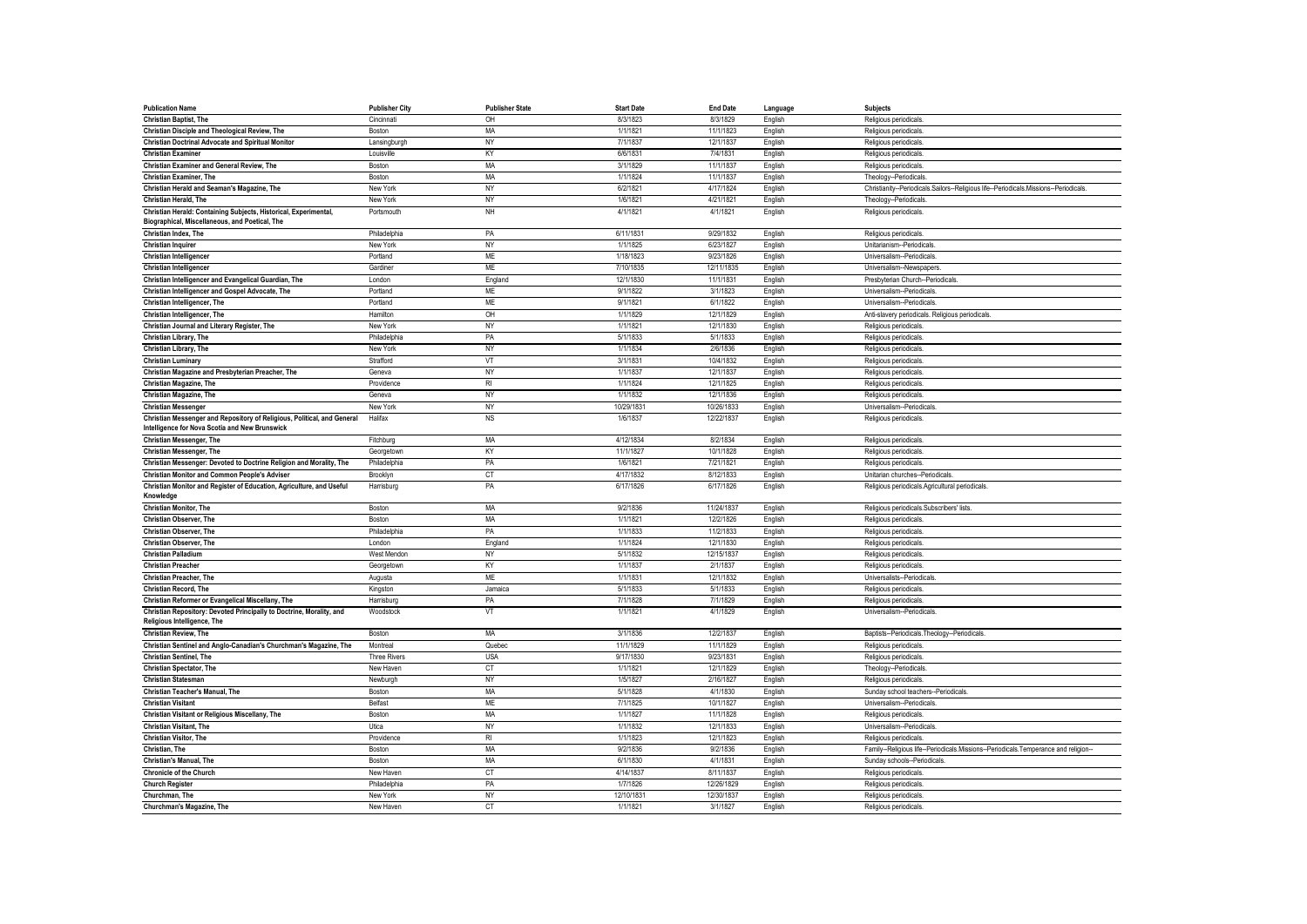| <b>Publication Name</b>                                                                                                   | <b>Publisher City</b> | <b>Publisher State</b> | <b>Start Date</b> | <b>End Date</b> | Language           | <b>Subjects</b>                                                                      |
|---------------------------------------------------------------------------------------------------------------------------|-----------------------|------------------------|-------------------|-----------------|--------------------|--------------------------------------------------------------------------------------|
| <b>Christian Baptist, The</b>                                                                                             | Cincinnati            | OH                     | 8/3/1823          | 8/3/1829        | English            | Religious periodicals                                                                |
| Christian Disciple and Theological Review, The                                                                            | Boston                | MA                     | 1/1/182           | 11/1/1823       | English            | Religious periodicals                                                                |
| Christian Doctrinal Advocate and Spiritual Monitor                                                                        | Lansingburgh          | <b>NY</b>              | 7/1/1837          | 12/1/1837       | English            | Religious periodicals                                                                |
| <b>Christian Examiner</b>                                                                                                 | Louisville            | KY                     | 6/6/1831          | 7/4/1831        | English            | Religious periodicals                                                                |
| Christian Examiner and General Review, The                                                                                | Boston                | MA                     | 3/1/1829          | 11/1/1837       | English            | Religious periodicals                                                                |
| Christian Examiner, The                                                                                                   | Boston                | MA                     | 1/1/1824          | 11/1/1837       | English            | Theology--Periodicals                                                                |
| Christian Herald and Seaman's Magazine, The                                                                               | New York              | NY                     | 6/2/1821          | 4/17/1824       | English            | Christianity--Periodicals.Sailors--Religious life--Periodicals.Missions--Periodicals |
| <b>Christian Herald, The</b>                                                                                              | New York              | NY                     | 1/6/1821          | 4/21/1821       | English            | Theology--Periodicals                                                                |
| Christian Herald: Containing Subjects, Historical, Experimental,<br>Biographical, Miscellaneous, and Poetical, The        | Portsmouth            | NH                     | 4/1/1821          | 4/1/1821        | English            | Religious periodicals                                                                |
| Christian Index, The                                                                                                      | Philadelphia          | PA                     | 6/11/1831         | 9/29/1832       | English            | Religious periodicals                                                                |
| <b>Christian Inquirer</b>                                                                                                 | New York              | NY                     | 1/1/1825          | 6/23/1827       | English            | Unitarianism--Periodicals                                                            |
| Christian Intelligencer                                                                                                   | Portland              | <b>ME</b>              | 1/18/1823         | 9/23/1826       | English            | Universalism--Periodicals                                                            |
| Christian Intelligencer                                                                                                   | Gardiner              | ME                     | 7/10/1835         | 12/11/1835      | English            | Universalism--Newspapers                                                             |
| Christian Intelligencer and Evangelical Guardian, The                                                                     | London                | England                | 12/1/1830         | 11/1/1831       | English            | Presbyterian Church--Periodicals.                                                    |
| Christian Intelligencer and Gospel Advocate, The                                                                          | Portland              | ME                     | 9/1/1822          | 3/1/1823        | English            | Universalism--Periodicals                                                            |
| Christian Intelligencer, The                                                                                              | Portland              | <b>ME</b>              | 9/1/1821          | 6/1/1822        | English            | Universalism--Periodicals                                                            |
| Christian Intelligencer, The                                                                                              | Hamilton              | OH                     | 1/1/1829          | 12/1/1829       | English            | Anti-slavery periodicals. Religious periodicals.                                     |
| Christian Journal and Literary Register, The                                                                              | New York              | NY                     | 1/1/1821          | 12/1/1830       | English            | Religious periodicals                                                                |
| Christian Library, The                                                                                                    | Philadelphia          | PA                     | 5/1/1833          | 5/1/1833        | English            | Religious periodicals                                                                |
| Christian Library, The                                                                                                    | New York              | NY                     | 1/1/1834          | 2/6/1836        | English            | Religious periodicals                                                                |
| <b>Christian Luminary</b>                                                                                                 | Strafford             | VT                     | 3/1/1831          | 10/4/1832       | English            | Religious periodicals                                                                |
| Christian Magazine and Presbyterian Preacher, The                                                                         | Geneva                | NY                     | 1/1/1837          | 12/1/1837       | English            | Religious periodicals                                                                |
| <b>Christian Magazine, The</b>                                                                                            | Providence            | R <sub>l</sub>         | 1/1/1824          | 12/1/1825       | English            | Religious periodicals                                                                |
| <b>Christian Magazine, The</b>                                                                                            | Geneva                | NY                     | 1/1/1832          | 12/1/1836       | English            | Religious periodicals                                                                |
| <b>Christian Messenger</b>                                                                                                | New York              | NY                     | 10/29/1831        | 10/26/1833      | English            | Universalism--Periodicals                                                            |
| Christian Messenger and Repository of Religious, Political, and General<br>Intelligence for Nova Scotia and New Brunswick | Halifax               | <b>NS</b>              | 1/6/1837          | 12/22/1837      | English            | Religious periodicals                                                                |
| <b>Christian Messenger, The</b>                                                                                           | Fitchburg             | MA                     | 4/12/1834         | 8/2/1834        | English            | Religious periodicals                                                                |
| <b>Christian Messenger, The</b>                                                                                           | Georgetown            | KY                     | 11/1/1827         | 10/1/1828       | English            | Religious periodicals                                                                |
| Christian Messenger: Devoted to Doctrine Religion and Morality, The                                                       | Philadelphia          | PA                     | 1/6/1821          | 7/21/1821       | English            | Religious periodicals                                                                |
|                                                                                                                           |                       |                        |                   |                 |                    | Unitarian churches--Periodicals                                                      |
| Christian Monitor and Common People's Adviser                                                                             | Brooklyn              | <b>CT</b>              | 4/17/1832         | 8/12/1833       | English            |                                                                                      |
| Christian Monitor and Register of Education, Agriculture, and Useful<br>Knowledge                                         | Harrisburg            | PA                     | 6/17/1826         | 6/17/1826       | English            | Religious periodicals.Agricultural periodicals.                                      |
| <b>Christian Monitor, The</b>                                                                                             | Boston                | MA                     | 9/2/1836          | 11/24/1837      | English            | Religious periodicals.Subscribers' lists                                             |
| <b>Christian Observer</b> . The                                                                                           | Boston                | <b>MA</b>              | 1/1/1821          | 12/2/1826       | English            | Religious periodicals                                                                |
| Christian Observer, The                                                                                                   | Philadelphia          | PA                     | 1/1/1833          | 11/2/1833       | English            | Religious periodicals                                                                |
| Christian Observer, The                                                                                                   | London                | England                | 1/1/1824          | 12/1/1830       | English            | Religious periodicals                                                                |
| <b>Christian Palladium</b>                                                                                                | West Mendon           | NY                     | 5/1/1832          | 12/15/1837      | English            | Religious periodicals                                                                |
| <b>Christian Preacher</b>                                                                                                 | Georgetown            | KY                     | 1/1/183           | 2/1/1837        | English            | Religious periodicals                                                                |
| <b>Christian Preacher, The</b>                                                                                            | Augusta               | <b>ME</b>              | 1/1/1831          | 12/1/1832       | English            | Universalists--Periodicals                                                           |
| <b>Christian Record, The</b>                                                                                              | Kingston              | Jamaica                | 5/1/1833          | 5/1/1833        | English            | Religious periodicals                                                                |
| Christian Reformer or Evangelical Miscellany, The                                                                         | Harrisburg            | PA                     | 7/1/1828          | 7/1/1829        | English            | Religious periodicals                                                                |
| Christian Repository: Devoted Principally to Doctrine, Morality, and<br>Religious Intelligence, The                       | Woodstock             | VT                     | 1/1/1821          | 4/1/1829        | English            | Universalism--Periodicals                                                            |
| Christian Review, The                                                                                                     | Boston                | MA                     | 3/1/1836          | 12/2/1837       | English            | Baptists--Periodicals.Theology--Periodicals                                          |
| Christian Sentinel and Anglo-Canadian's Churchman's Magazine, The                                                         | Montreal              | Quebec                 | 11/1/1829         | 11/1/1829       | English            | Religious periodicals                                                                |
| <b>Christian Sentinel</b> , The                                                                                           | <b>Three Rivers</b>   | <b>USA</b>             | 9/17/1830         | 9/23/1831       | English            | Religious periodicals                                                                |
| <b>Christian Spectator, The</b>                                                                                           | New Haven             | CT                     | 1/1/1821          | 12/1/1829       | English            | Theology--Periodicals                                                                |
| <b>Christian Statesman</b>                                                                                                | Newburgh              | <b>NY</b>              | 1/5/1827          | 2/16/1827       | English            | Religious periodicals                                                                |
| Christian Teacher's Manual, The                                                                                           | Boston                | <b>MA</b>              | 5/1/1828          | 4/1/1830        | English            |                                                                                      |
| <b>Christian Visitant</b>                                                                                                 | Belfast               | <b>ME</b>              | 7/1/1825          | 10/1/1827       | English            | Sunday school teachers--Periodicals<br>Universalism--Periodicals                     |
| Christian Visitant or Religious Miscellany, The                                                                           | Boston                | MA                     | 1/1/1827          | 11/1/1828       | English            | Religious periodicals                                                                |
| <b>Christian Visitant, The</b>                                                                                            | Utica                 | NY                     | 1/1/1832          | 12/1/1833       | English            | Universalism--Periodicals                                                            |
| <b>Christian Visitor, The</b>                                                                                             | Providence            | <b>RI</b>              | 1/1/1823          | 12/1/1823       | English            | Religious periodicals                                                                |
| Christian, The                                                                                                            | Boston                | MA                     | 9/2/1836          | 9/2/1836        | English            | Family--Religious life--Periodicals.Missions--Periodicals.Temperance and religion-   |
| Christian's Manual, The                                                                                                   | Boston                | MA                     | 6/1/1830          | 4/1/1831        |                    | Sunday schools--Periodicals                                                          |
| <b>Chronicle of the Church</b>                                                                                            | New Haven             | <b>CT</b>              | 4/14/1837         | 8/11/1837       | English<br>English | Religious periodicals                                                                |
| <b>Church Register</b>                                                                                                    | Philadelphia          | PA                     | 1/7/1826          | 12/26/1829      | English            | Religious periodicals                                                                |
| Churchman, The                                                                                                            | New York              | NY                     | 12/10/183         | 12/30/1837      | English            | Religious periodicals                                                                |
| Churchman's Magazine, The                                                                                                 | New Haven             | <b>CT</b>              | 1/1/1821          | 3/1/1827        | English            | Religious periodicals                                                                |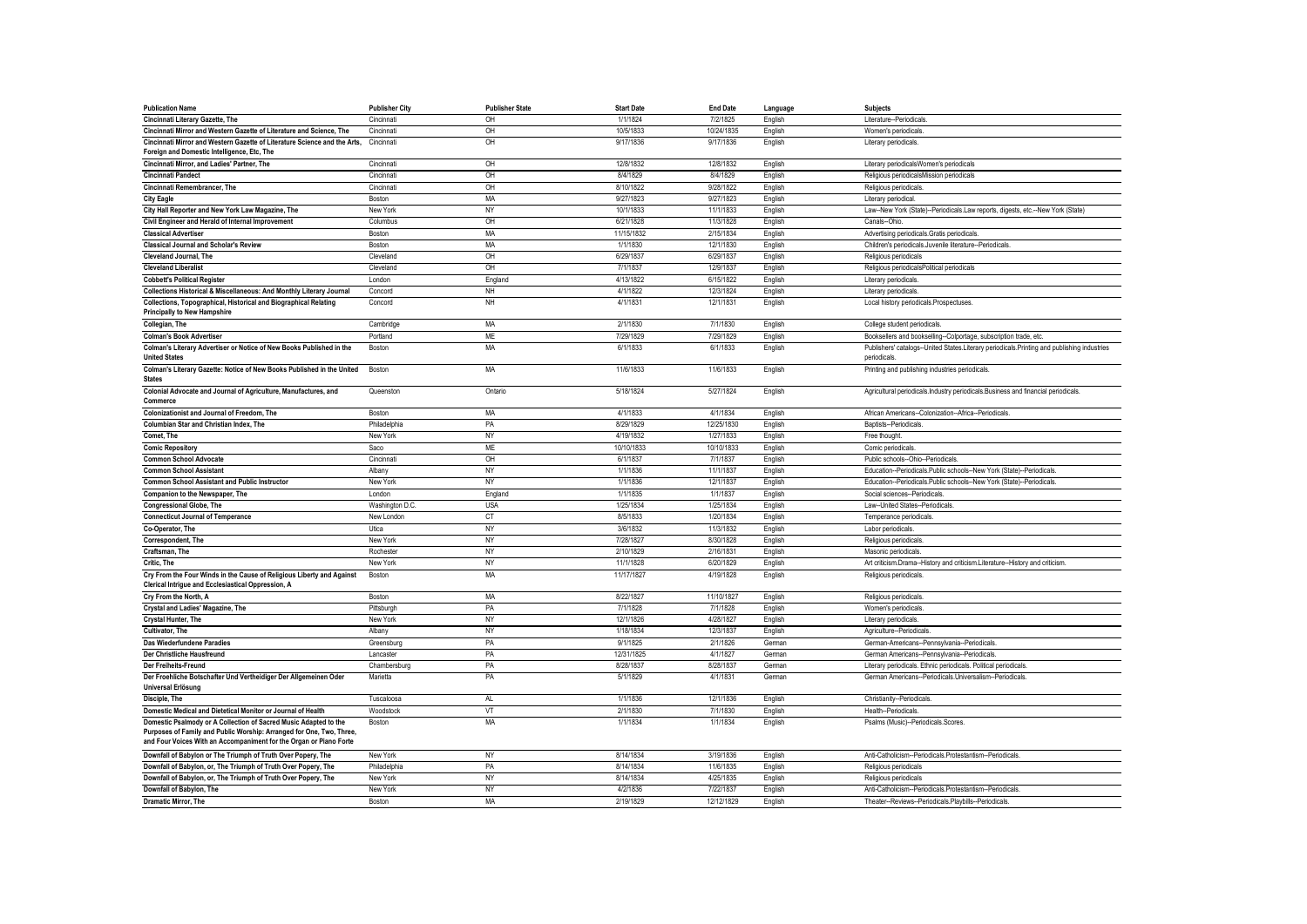| <b>Publication Name</b>                                                                      | <b>Publisher City</b> | <b>Publisher State</b> | <b>Start Date</b> | <b>End Date</b> | Language | <b>Subjects</b>                                                                                             |
|----------------------------------------------------------------------------------------------|-----------------------|------------------------|-------------------|-----------------|----------|-------------------------------------------------------------------------------------------------------------|
| Cincinnati Literary Gazette, The                                                             | Cincinnati            | OH                     | 1/1/1824          | 7/2/1825        | English  | Literature-Periodicals                                                                                      |
| Cincinnati Mirror and Western Gazette of Literature and Science, The                         | Cincinnati            | OH                     | 10/5/1833         | 10/24/1835      | English  | Women's periodicals                                                                                         |
| Cincinnati Mirror and Western Gazette of Literature Science and the Arts,                    | Cincinnati            | OH                     | 9/17/1836         | 9/17/1836       | English  | Literary periodicals.                                                                                       |
| Foreign and Domestic Intelligence, Etc, The                                                  |                       |                        |                   |                 |          |                                                                                                             |
| Cincinnati Mirror, and Ladies' Partner, The                                                  | Cincinnati            | OH                     | 12/8/1832         | 12/8/1832       | English  | Literary periodicalsWomen's periodicals                                                                     |
| <b>Cincinnati Pandect</b>                                                                    | Cincinnati            | OH                     | 8/4/1829          | 8/4/1829        | English  | Religious periodicalsMission periodicals                                                                    |
| Cincinnati Remembrancer, The                                                                 | Cincinnati            | OH                     | 8/10/1822         | 9/28/1822       | English  | Religious periodicals                                                                                       |
| <b>City Eagle</b>                                                                            | Boston                | <b>MA</b>              | 9/27/1823         | 9/27/1823       | English  | Literary periodical                                                                                         |
| City Hall Reporter and New York Law Magazine, The                                            | New York              | NY                     | 10/1/1833         | 11/1/1833       | English  | Law--New York (State)--Periodicals.Law reports, digests, etc.--New York (State)                             |
| Civil Engineer and Herald of Internal Improvement                                            | Columbus              | OH                     | 6/21/1828         | 11/3/1828       | English  | Canals--Ohio                                                                                                |
| <b>Classical Advertiser</b>                                                                  | Boston                | MA                     | 11/15/1832        | 2/15/1834       | English  | Advertising periodicals.Gratis periodicals.                                                                 |
| <b>Classical Journal and Scholar's Review</b>                                                | Boston                | <b>MA</b>              | 1/1/1830          | 12/1/1830       | English  | Children's periodicals.Juvenile literature--Periodicals.                                                    |
| <b>Cleveland Journal, The</b>                                                                | Cleveland             | OH                     | 6/29/1837         | 6/29/1837       | English  | Religious periodicals                                                                                       |
| <b>Cleveland Liberalist</b>                                                                  | Cleveland             | OH                     | 7/1/1837          | 12/9/1837       | English  | Religious periodicalsPolitical periodicals                                                                  |
| <b>Cobbett's Political Register</b>                                                          | London                | England                | 4/13/1822         | 6/15/1822       | English  | Literary periodicals                                                                                        |
| Collections Historical & Miscellaneous: And Monthly Literary Journal                         | Concord               | NH                     | 4/1/1822          | 12/3/1824       | English  | Literary periodicals                                                                                        |
| Collections, Topographical, Historical and Biographical Relating                             | Concord               | NH                     | 4/1/1831          | 12/1/1831       | English  | Local history periodicals.Prospectuses                                                                      |
| <b>Principally to New Hampshire</b>                                                          |                       |                        |                   |                 |          |                                                                                                             |
| Collegian, The                                                                               | Cambridge             | MA                     | 2/1/1830          | 7/1/1830        | English  | College student periodicals                                                                                 |
| <b>Colman's Book Advertiser</b>                                                              | Portland              | <b>ME</b>              | 7/29/1829         | 7/29/1829       | English  | Booksellers and bookselling--Colportage, subscription trade, etc.                                           |
| Colman's Literary Advertiser or Notice of New Books Published in the<br><b>United States</b> | Boston                | MA                     | 6/1/1833          | 6/1/1833        | English  | Publishers' catalogs--United States.Literary periodicals.Printing and publishing industries<br>periodicals. |
| Colman's Literary Gazette: Notice of New Books Published in the United<br><b>States</b>      | Boston                | MA                     | 11/6/1833         | 11/6/1833       | English  | Printing and publishing industries periodicals                                                              |
| Colonial Advocate and Journal of Agriculture, Manufactures, and                              | Queenston             | Ontario                | 5/18/1824         | 5/27/1824       | English  | Agricultural periodicals.Industry periodicals.Business and financial periodicals.                           |
| Commerce                                                                                     |                       |                        |                   |                 |          |                                                                                                             |
| Colonizationist and Journal of Freedom, The                                                  | <b>Boston</b>         | MA                     | 4/1/1833          | 4/1/1834        | English  | African Americans--Colonization--Africa--Periodicals                                                        |
| <b>Columbian Star and Christian Index. The</b>                                               | Philadelphia          | PA                     | 8/29/1829         | 12/25/1830      | English  | Baptists-Periodicals                                                                                        |
| Comet, The                                                                                   | New York              | <b>NY</b>              | 4/19/1832         | 1/27/1833       | English  | Free thought                                                                                                |
| <b>Comic Repository</b>                                                                      | Saco                  | ME                     | 10/10/1833        | 10/10/1833      | English  | Comic periodicals                                                                                           |
| <b>Common School Advocate</b>                                                                | Cincinnati            | OH                     | 6/1/1837          | 7/1/1837        | English  | Public schools--Ohio--Periodicals                                                                           |
| <b>Common School Assistant</b>                                                               | Albany                | NY                     | 1/1/1836          | 11/1/1837       | English  | Education--Periodicals.Public schools--New York (State)--Periodicals                                        |
| <b>Common School Assistant and Public Instructor</b>                                         | New York              | NY                     | 1/1/1836          | 12/1/1837       | English  | Education--Periodicals.Public schools--New York (State)--Periodicals.                                       |
| Companion to the Newspaper, The                                                              | London                | England                | 1/1/1835          | 1/1/1837        | English  | Social sciences--Periodicals                                                                                |
| <b>Congressional Globe, The</b>                                                              | Washington D.C.       | <b>USA</b>             | 1/25/1834         | 1/25/1834       | English  | Law--United States--Periodicals                                                                             |
| <b>Connecticut Journal of Temperance</b>                                                     | New London            | <b>CT</b>              | 8/5/1833          | 1/20/1834       | English  | Temperance periodicals                                                                                      |
| Co-Operator, The                                                                             | Utica                 | <b>NY</b>              | 3/6/1832          | 11/3/1832       | English  | Labor periodicals                                                                                           |
| Correspondent, The                                                                           | New York              | NY                     | 7/28/1827         | 8/30/1828       | English  | Religious periodicals                                                                                       |
| Craftsman. The                                                                               | Rochester             | <b>NY</b>              | 2/10/1829         | 2/16/1831       | English  | Masonic periodicals                                                                                         |
| Critic, The                                                                                  | New York              | NY                     | 11/1/1828         | 6/20/1829       | English  | Art criticism.Drama--History and criticism.Literature--History and criticism                                |
| Cry From the Four Winds in the Cause of Religious Liberty and Against                        | Boston                | MA                     | 11/17/1827        | 4/19/1828       | English  | Religious periodicals                                                                                       |
| Clerical Intrigue and Ecclesiastical Oppression, A                                           |                       |                        |                   |                 |          |                                                                                                             |
| Crv From the North, A                                                                        | Boston                | <b>MA</b>              | 8/22/1827         | 11/10/1827      | English  | Religious periodicals                                                                                       |
| Crystal and Ladies' Magazine, The                                                            | Pittsburgh            | PA                     | 7/1/1828          | 7/1/1828        | English  | Women's periodicals                                                                                         |
| Crystal Hunter, The                                                                          | New York              | NY                     | 12/1/1826         | 4/28/1827       | English  | Literary periodicals                                                                                        |
| Cultivator, The                                                                              | Albany                | NY                     | 1/18/1834         | 12/3/1837       | English  | Agriculture--Periodicals                                                                                    |
| Das Wiederfundene Paradies                                                                   | Greensburg            | PA                     | 9/1/1825          | 2/1/1826        | German   | German-Americans--Pennsylvania--Periodicals                                                                 |
| Der Christliche Hausfreund                                                                   | Lancaster             | PA                     | 12/31/1825        | 4/1/1827        | German   | German Americans--Pennsylvania--Periodicals                                                                 |
| Der Freiheits-Freund                                                                         | Chambersburg          | PA                     | 8/28/1837         | 8/28/1837       | German   | Literary periodicals. Ethnic periodicals. Political periodicals.                                            |
| Der Froehliche Botschafter Und Vertheidiger Der Allgemeinen Oder<br>Universal Erlösung       | Marietta              | PA                     | 5/1/1829          | 4/1/1831        | German   | German Americans--Periodicals.Universalism--Periodicals.                                                    |
| Disciple, The                                                                                | Tuscaloosa            | AL.                    | 1/1/1836          | 12/1/1836       | English  | Christianity--Periodicals.                                                                                  |
| Domestic Medical and Dietetical Monitor or Journal of Health                                 | Woodstock             | VT                     | 2/1/1830          | 7/1/1830        | English  | Health--Periodicals.                                                                                        |
| Domestic Psalmody or A Collection of Sacred Music Adapted to the                             | Boston                | MA                     | 1/1/1834          | 1/1/1834        | English  | Psalms (Music)--Periodicals.Scores.                                                                         |
| Purposes of Family and Public Worship: Arranged for One, Two, Three,                         |                       |                        |                   |                 |          |                                                                                                             |
| and Four Voices With an Accompaniment for the Organ or Piano Forte                           |                       |                        |                   |                 |          |                                                                                                             |
| Downfall of Babylon or The Triumph of Truth Over Popery, The                                 | New York              | NY                     | 8/14/1834         | 3/19/1836       | English  | Anti-Catholicism--Periodicals.Protestantism--Periodicals                                                    |
| Downfall of Babylon, or, The Triumph of Truth Over Popery, The                               | Philadelphia          | PA                     | 8/14/1834         | 11/6/1835       | English  | Religious periodicals                                                                                       |
| Downfall of Babylon, or, The Triumph of Truth Over Popery, The                               | New York              | NY                     | 8/14/1834         | 4/25/1835       | English  | Religious periodicals                                                                                       |
| Downfall of Babylon, The                                                                     | New York              | NY                     | 4/2/1836          | 7/22/1837       | English  | Anti-Catholicism--Periodicals.Protestantism--Periodicals                                                    |
| <b>Dramatic Mirror, The</b>                                                                  | Boston                | <b>MA</b>              | 2/19/1829         | 12/12/1829      | English  | Theater--Reviews--Periodicals.Playbills--Periodicals                                                        |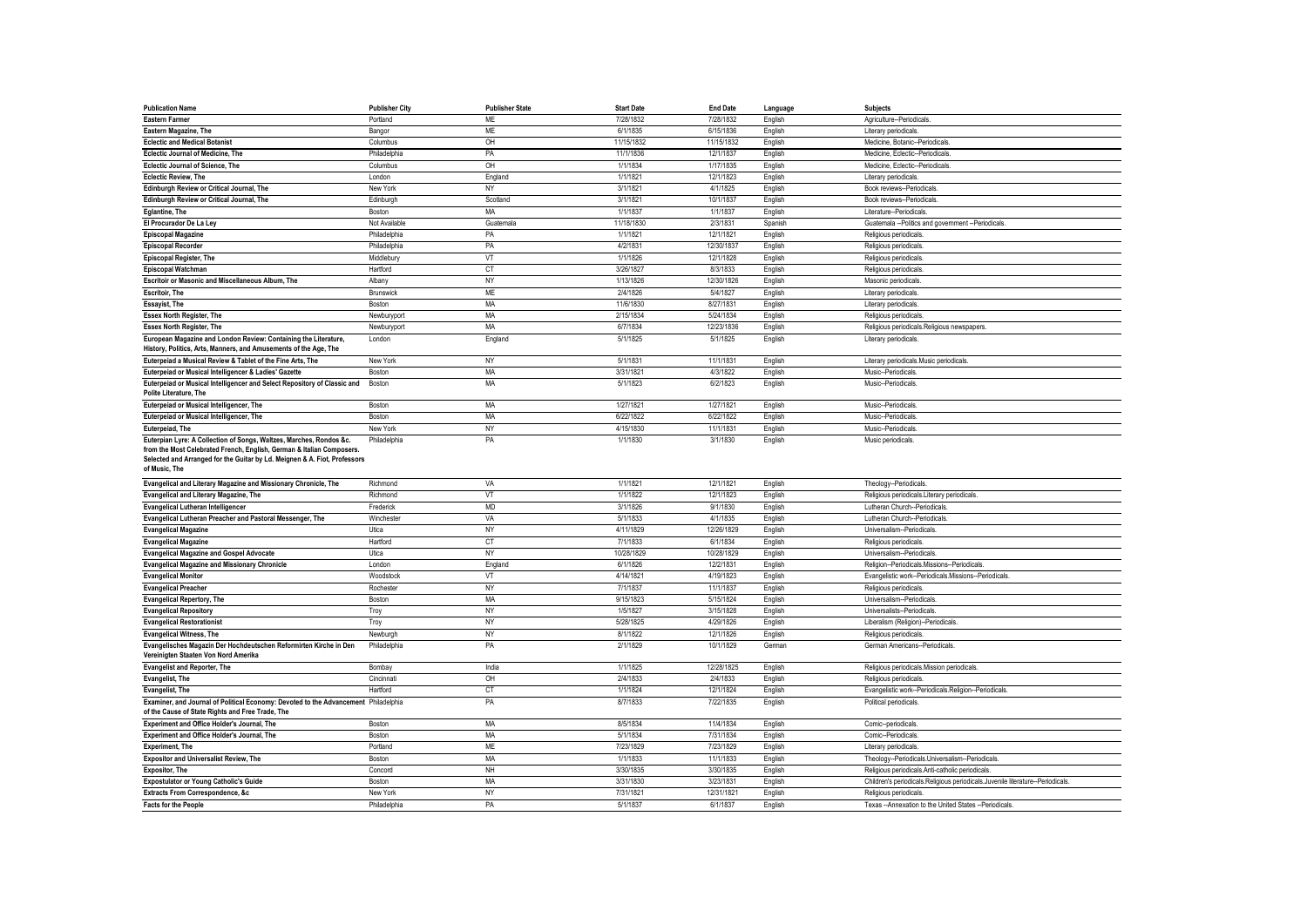| <b>Publication Name</b>                                                             | <b>Publisher City</b> | <b>Publisher State</b> | <b>Start Date</b> | <b>End Date</b> | Language | <b>Subjects</b>                                                                |
|-------------------------------------------------------------------------------------|-----------------------|------------------------|-------------------|-----------------|----------|--------------------------------------------------------------------------------|
| <b>Eastern Farmer</b>                                                               | Portland              | ME                     | 7/28/1832         | 7/28/1832       | English  | Agriculture--Periodicals                                                       |
| Eastern Magazine, The                                                               | Bangor                | ME                     | 6/1/1835          | 6/15/1836       | English  | Literary periodicals                                                           |
| <b>Eclectic and Medical Botanist</b>                                                | Columbus              | OH                     | 11/15/1832        | 11/15/1832      | English  | Medicine, Botanic--Periodicals                                                 |
| Eclectic Journal of Medicine, The                                                   | Philadelphia          | PA                     | 11/1/1836         | 12/1/1837       | English  | Medicine, Eclectic--Periodicals                                                |
| Eclectic Journal of Science, The                                                    | Columbus              | O <sub>H</sub>         | 1/1/1834          | 1/17/1835       | English  | Medicine, Eclectic--Periodicals                                                |
| <b>Eclectic Review, The</b>                                                         | I ondon               | England                | 1/1/1821          | 12/1/1823       | English  | Literary periodicals                                                           |
| Edinburgh Review or Critical Journal, The                                           | New York              | NY                     | 3/1/1821          | 4/1/1825        | English  | Book reviews--Periodicals                                                      |
| Edinburgh Review or Critical Journal, The                                           | Edinburgh             | Scotland               | 3/1/1821          | 10/1/1837       | English  | Book reviews--Periodicals                                                      |
| Eglantine, The                                                                      | Boston                | MA                     | 1/1/1837          | 1/1/1837        | English  | Literature-Periodicals                                                         |
| El Procurador De La Ley                                                             | Not Available         | Guatemala              | 11/18/1830        | 2/3/1831        | Spanish  | Guatemala --Politics and government --Periodicals                              |
| <b>Episcopal Magazine</b>                                                           | Philadelphia          | PA                     | 1/1/1821          | 12/1/1821       | English  | Religious periodicals.                                                         |
| <b>Episcopal Recorder</b>                                                           | Philadelphia          | PA                     | 4/2/1831          | 12/30/1837      | English  | Religious periodicals                                                          |
| <b>Episcopal Register, The</b>                                                      | Middlebury            | VT                     | 1/1/1826          | 12/1/1828       | English  | Religious periodicals                                                          |
| Episcopal Watchman                                                                  | Hartford              | CT                     | 3/26/1827         | 8/3/1833        | English  | Religious periodicals                                                          |
| Escritoir or Masonic and Miscellaneous Album, The                                   | Albany                | NY                     | 1/13/1826         | 12/30/1826      | English  | Masonic periodicals                                                            |
| <b>Escritoir, The</b>                                                               | Brunswick             | <b>ME</b>              | 2/4/1826          | 5/4/1827        | English  | Literary periodicals                                                           |
| <b>Essayist, The</b>                                                                | Boston                | MA                     | 11/6/1830         | 8/27/1831       | English  | Literary periodicals                                                           |
| <b>Essex North Register, The</b>                                                    | Newburyport           | MA                     | 2/15/1834         | 5/24/1834       | English  | Religious periodicals                                                          |
| <b>Essex North Register, The</b>                                                    | Newburyport           | MA                     | 6/7/1834          | 12/23/1836      | English  | Religious periodicals.Religious newspapers                                     |
| European Magazine and London Review: Containing the Literature,                     | London                | England                | 5/1/1825          | 5/1/1825        | English  | Literary periodicals.                                                          |
| History, Politics, Arts, Manners, and Amusements of the Age, The                    |                       |                        |                   |                 |          |                                                                                |
| Euterpeiad a Musical Review & Tablet of the Fine Arts, The                          | New York              | NY                     | 5/1/1831          | 11/1/1831       | English  | Literary periodicals.Music periodicals                                         |
| Euterpeiad or Musical Intelligencer & Ladies' Gazette                               | Boston                | MA                     | 3/31/1821         | 4/3/1822        | English  | Music--Periodicals                                                             |
| Euterpeiad or Musical Intelligencer and Select Repository of Classic and            | Boston                | <b>MA</b>              | 5/1/1823          | 6/2/1823        | English  | Music--Periodicals                                                             |
| Polite Literature, The                                                              |                       |                        |                   |                 |          |                                                                                |
| Euterpeiad or Musical Intelligencer, The                                            | Boston                | MA                     | 1/27/1821         | 1/27/1821       | English  | Music-Periodicals                                                              |
| Euterpeiad or Musical Intelligencer, The                                            | Boston                | <b>MA</b>              | 6/22/1822         | 6/22/1822       | English  | Music-Periodicals                                                              |
| Euterpeiad, The                                                                     | New York              | NY                     | 4/15/1830         | 11/1/1831       | English  | Music--Periodicals                                                             |
| Euterpian Lyre: A Collection of Songs, Waltzes, Marches, Rondos &c.                 | Philadelphia          | PA                     | 1/1/1830          | 3/1/1830        | English  | Music periodicals                                                              |
| from the Most Celebrated French, English, German & Italian Composers.               |                       |                        |                   |                 |          |                                                                                |
| Selected and Arranged for the Guitar by Ld. Meignen & A. Fiot, Professors           |                       |                        |                   |                 |          |                                                                                |
| of Music, The                                                                       |                       |                        |                   |                 |          |                                                                                |
| Evangelical and Literary Magazine and Missionary Chronicle, The                     | Richmond              | VA                     | 1/1/1821          | 12/1/1821       | English  | Theology--Periodicals.                                                         |
| Evangelical and Literary Magazine, The                                              | Richmond              | $\sqrt{}$              | 1/1/1822          | 12/1/1823       | English  | Religious periodicals.Literary periodicals.                                    |
| <b>Evangelical Lutheran Intelligencer</b>                                           | Frederick             | <b>MD</b>              | 3/1/1826          | 9/1/1830        | English  | Lutheran Church--Periodicals                                                   |
| Evangelical Lutheran Preacher and Pastoral Messenger, The                           | Winchester            | VA                     | 5/1/1833          | 4/1/1835        | English  | Lutheran Church--Periodicals                                                   |
| <b>Evangelical Magazine</b>                                                         | Utica                 | <b>NY</b>              | 4/11/1829         | 12/26/1829      | English  | Universalism--Periodicals                                                      |
| <b>Evangelical Magazine</b>                                                         | Hartford              | CT                     | 7/1/1833          | 6/1/1834        | English  | Religious periodicals                                                          |
| <b>Evangelical Magazine and Gospel Advocate</b>                                     | Utica                 | NY                     | 10/28/1829        | 10/28/1829      | English  | Universalism--Periodicals                                                      |
| <b>Evangelical Magazine and Missionary Chronicle</b>                                | London                | England                | 6/1/1826          | 12/2/1831       | English  | Religion--Periodicals.Missions--Periodicals                                    |
| <b>Evangelical Monitor</b>                                                          | Woodstock             | VT                     | 4/14/1821         | 4/19/1823       | English  | Evangelistic work--Periodicals.Missions--Periodicals.                          |
| <b>Evangelical Preacher</b>                                                         | Rochester             | NY                     | 7/1/1837          | 11/1/1837       | English  | Religious periodicals                                                          |
| <b>Evangelical Repertory, The</b>                                                   | Boston                | MA                     | 9/15/1823         | 5/15/1824       | English  | Universalism--Periodicals                                                      |
| <b>Evangelical Repository</b>                                                       | Troy                  | NY                     | 1/5/1827          | 3/15/1828       | English  | Universalists--Periodicals                                                     |
| <b>Evangelical Restorationist</b>                                                   | Troy                  | NY                     | 5/28/1825         | 4/29/1826       | English  | Liberalism (Religion)--Periodicals                                             |
| <b>Evangelical Witness, The</b>                                                     | Newburgh              | <b>NY</b>              | 8/1/1822          | 12/1/1826       | English  | Religious periodicals                                                          |
| Evangelisches Magazin Der Hochdeutschen Reformirten Kirche in Den                   | Philadelphia          | PA                     | 2/1/1829          | 10/1/1829       | German   | German Americans--Periodicals.                                                 |
| Vereinigten Staaten Von Nord Amerika                                                |                       |                        |                   |                 |          |                                                                                |
| <b>Evangelist and Reporter, The</b>                                                 | Bombay                | India                  | 1/1/1825          | 12/28/1825      | English  | Religious periodicals.Mission periodicals.                                     |
| <b>Evangelist, The</b>                                                              | Cincinnati            | OH                     | 2/4/1833          | 2/4/1833        | English  | Religious periodicals.                                                         |
| Evangelist, The                                                                     | Hartford              | CT                     | 1/1/1824          | 12/1/1824       | English  | Evangelistic work--Periodicals.Religion--Periodicals                           |
| Examiner, and Journal of Political Economy: Devoted to the Advancement Philadelphia |                       | PA                     | 8/7/1833          | 7/22/1835       | English  | Political periodicals.                                                         |
| of the Cause of State Rights and Free Trade, The                                    |                       |                        |                   |                 |          |                                                                                |
| Experiment and Office Holder's Journal, The                                         | Boston                | MA                     | 8/5/1834          | 11/4/1834       | English  | Comic--periodicals                                                             |
| Experiment and Office Holder's Journal, The                                         | Boston                | MA                     | 5/1/1834          | 7/31/1834       | English  | Comic-Periodicals                                                              |
| <b>Experiment, The</b>                                                              | Portland              | <b>ME</b>              | 7/23/1829         | 7/23/1829       | English  | Literary periodicals                                                           |
| <b>Expositor and Universalist Review, The</b>                                       | Boston                | MA                     | 1/1/1833          | 11/1/1833       | English  | Theology--Periodicals.Universalism--Periodicals                                |
| <b>Expositor, The</b>                                                               | Concord               | NH                     | 3/30/1835         | 3/30/1835       | English  | Religious periodicals.Anti-catholic periodicals                                |
| <b>Expostulator or Young Catholic's Guide</b>                                       | Boston                | MA                     | 3/31/1830         | 3/23/1831       | English  | Children's periodicals.Religious periodicals.Juvenile literature--Periodicals. |
| <b>Extracts From Correspondence, &amp;c</b>                                         | New York              | <b>NY</b>              | 7/31/1821         | 12/31/1821      | English  | Religious periodicals.                                                         |
| <b>Facts for the People</b>                                                         | Philadelphia          | PA                     | 5/1/1837          | 6/1/1837        | Enalish  | Texas --Annexation to the United States --Periodicals                          |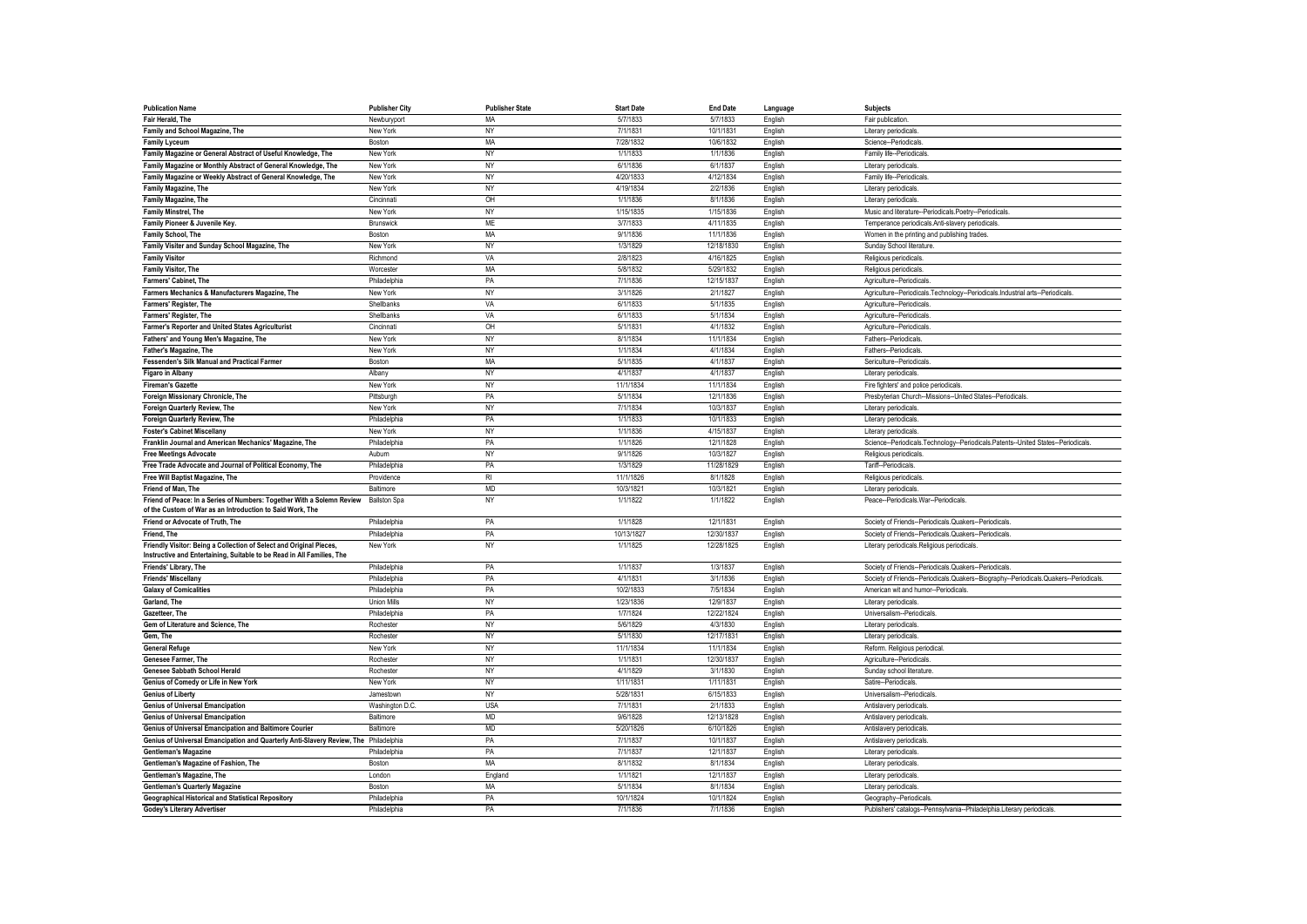| <b>Publication Name</b>                                                              | <b>Publisher City</b> | <b>Publisher State</b> | <b>Start Date</b> | <b>End Date</b> | Language | <b>Subjects</b>                                                                      |
|--------------------------------------------------------------------------------------|-----------------------|------------------------|-------------------|-----------------|----------|--------------------------------------------------------------------------------------|
| Fair Herald, The                                                                     | Newburyport           | MA                     | 5/7/1833          | 5/7/1833        | English  | Fair publication                                                                     |
| Family and School Magazine, The                                                      | New York              | NY                     | 7/1/1831          | 10/1/1831       | English  | Literary periodicals                                                                 |
| <b>Family Lyceum</b>                                                                 | Boston                | MA                     | 7/28/1832         | 10/6/1832       | English  | Science--Periodicals                                                                 |
| Family Magazine or General Abstract of Useful Knowledge, The                         | New York              | NY                     | 1/1/1833          | 1/1/1836        | English  | Family life--Periodicals                                                             |
| Family Magazine or Monthly Abstract of General Knowledge, The                        | New York              | NY                     | 6/1/1836          | 6/1/1837        | English  | Literary periodicals                                                                 |
| Family Magazine or Weekly Abstract of General Knowledge, The                         | New York              | NY                     | 4/20/1833         | 4/12/1834       | English  | Family life--Periodicals                                                             |
| Family Magazine, The                                                                 | New York              | NY                     | 4/19/1834         | 2/2/1836        | English  | Literary periodicals                                                                 |
| Family Magazine, The                                                                 | Cincinnati            | OH                     | 1/1/1836          | 8/1/1836        | English  | Literary periodicals                                                                 |
| <b>Family Minstrel, The</b>                                                          | New York              | NY                     | 1/15/1835         | 1/15/1836       | English  | Music and literature--Periodicals.Poetry--Periodicals.                               |
| Family Pioneer & Juvenile Key.                                                       | Brunswick             | <b>ME</b>              | 3/7/1833          | 4/11/1835       | English  | Temperance periodicals.Anti-slavery periodicals                                      |
| Family School, The                                                                   | Boston                | MA                     | 9/1/1836          | 11/1/1836       | English  | Women in the printing and publishing trades.                                         |
| Family Visiter and Sunday School Magazine, The                                       | New York              | NY                     | 1/3/1829          | 12/18/1830      | English  | Sunday School literature                                                             |
| <b>Family Visitor</b>                                                                | Richmond              | VA                     | 2/8/1823          | 4/16/1825       | English  | Religious periodicals                                                                |
| Family Visitor, The                                                                  | Worcester             | MA                     | 5/8/1832          | 5/29/1832       | English  | Religious periodicals                                                                |
| Farmers' Cabinet, The                                                                | Philadelphia          | PA                     | 7/1/1836          | 12/15/1837      | English  | Agriculture-Periodicals                                                              |
| Farmers Mechanics & Manufacturers Magazine, The                                      | New York              | NY                     | 3/1/1826          | 2/1/1827        | English  | Agriculture--Periodicals.Technology--Periodicals.Industrial arts--Periodicals        |
| Farmers' Register, The                                                               | Shellbanks            | VA                     | 6/1/1833          | 5/1/1835        | English  | Agriculture--Periodicals                                                             |
| Farmers' Register, The                                                               | Shellbanks            | VA                     | 6/1/1833          | 5/1/1834        | English  | Agriculture--Periodicals.                                                            |
| Farmer's Reporter and United States Agriculturist                                    | Cincinnati            | OH                     | 5/1/1831          | 4/1/1832        | English  | Agriculture--Periodicals                                                             |
| Fathers' and Young Men's Magazine, The                                               | New York              | NY                     | 8/1/1834          | 11/1/1834       | English  | Fathers--Periodicals                                                                 |
| Father's Magazine, The                                                               | New York              | <b>NY</b>              | 1/1/1834          | 4/1/1834        | English  | Fathers--Periodicals                                                                 |
| Fessenden's Silk Manual and Practical Farmer                                         | Boston                | MA                     | 5/1/1835          | 4/1/1837        | English  | Sericulture--Periodicals                                                             |
| <b>Figaro in Albany</b>                                                              | Albany                | NY                     | 4/1/1837          | 4/1/1837        | English  | Literary periodicals                                                                 |
| <b>Fireman's Gazette</b>                                                             | New York              | NY                     | 11/1/1834         | 11/1/1834       | English  | Fire fighters' and police periodicals.                                               |
| Foreign Missionary Chronicle, The                                                    | Pittsburgh            | PA                     | 5/1/1834          | 12/1/1836       | English  | Presbyterian Church--Missions--United States--Periodicals                            |
| Foreign Quarterly Review, The                                                        | New York              | NY                     | 7/1/1834          | 10/3/1837       | English  | Literary periodicals                                                                 |
| Foreign Quarterly Review, The                                                        | Philadelphia          | PA                     | 1/1/1833          | 10/1/1833       | English  | Literary periodicals                                                                 |
| <b>Foster's Cabinet Miscellany</b>                                                   | New York              | <b>NY</b>              | 1/1/1836          | 4/15/1837       | English  | Literary periodicals                                                                 |
| Franklin Journal and American Mechanics' Magazine, The                               | Philadelphia          | PA                     | 1/1/1826          | 12/1/1828       | English  | Science--Periodicals.Technology--Periodicals.Patents--United States--Periodicals     |
| <b>Free Meetings Advocate</b>                                                        | Aubum                 | NY                     | 9/1/1826          | 10/3/1827       | English  | Religious periodicals                                                                |
| Free Trade Advocate and Journal of Political Economy, The                            | Philadelphia          | PA                     | 1/3/1829          | 11/28/1829      | English  | Tariff--Periodicals                                                                  |
| Free Will Baptist Magazine, The                                                      | Providence            | R <sub>l</sub>         | 11/1/1826         | 8/1/1828        | English  | Religious periodicals                                                                |
| Friend of Man, The                                                                   | Baltimore             | <b>MD</b>              | 10/3/1821         | 10/3/1821       | English  | Literary periodicals                                                                 |
| Friend of Peace: In a Series of Numbers: Together With a Solemn Review               | <b>Ballston Spa</b>   | NY                     | 1/1/1822          | 1/1/1822        | English  | Peace--Periodicals.War--Periodicals.                                                 |
| of the Custom of War as an Introduction to Said Work, The                            |                       |                        |                   |                 |          |                                                                                      |
| Friend or Advocate of Truth, The                                                     | Philadelphia          | PA                     | 1/1/1828          | 12/1/1831       | English  | Society of Friends--Periodicals.Quakers--Periodicals.                                |
| Friend, The                                                                          | Philadelphia          | PA                     | 10/13/1827        | 12/30/1837      | English  | Society of Friends--Periodicals.Quakers--Periodicals.                                |
| Friendly Visitor: Being a Collection of Select and Original Pieces,                  | New York              | <b>NY</b>              | 1/1/1825          | 12/28/1825      | English  | Literary periodicals.Religious periodicals.                                          |
| Instructive and Entertaining, Suitable to be Read in All Families, The               |                       |                        |                   |                 |          |                                                                                      |
| Friends' Library, The                                                                | Philadelphia          | PA                     | 1/1/1837          | 1/3/1837        | English  | Society of Friends--Periodicals.Quakers--Periodicals.                                |
| <b>Friends' Miscellany</b>                                                           | Philadelphia          | PA                     | 4/1/1831          | 3/1/1836        | English  | Society of Friends--Periodicals.Quakers--Biography--Periodicals.Quakers--Periodicals |
| <b>Galaxy of Comicalities</b>                                                        | Philadelphia          | PA                     | 10/2/1833         | 7/5/1834        | English  | American wit and humor--Periodicals                                                  |
| Garland, The                                                                         | <b>Union Mills</b>    | NY                     | 1/23/1836         | 12/9/1837       | English  | Literary periodicals                                                                 |
| Gazetteer, The                                                                       | Philadelphia          | PA                     | 1/7/1824          | 12/22/1824      | English  | Universalism--Periodicals                                                            |
| Gem of Literature and Science, The                                                   | Rochester             | NY                     | 5/6/1829          | 4/3/1830        | English  | Literary periodicals                                                                 |
| Gem, The                                                                             | Rochester             | NY                     | 5/1/1830          | 12/17/1831      | English  | Literary periodicals                                                                 |
| <b>General Refuge</b>                                                                | New York              | NY                     | 11/1/1834         | 11/1/1834       | English  | Reform. Religious periodical                                                         |
| <b>Genesee Farmer, The</b>                                                           | Rochester             | <b>NY</b>              | 1/1/1831          | 12/30/1837      | English  | Agriculture--Periodicals                                                             |
| Genesee Sabbath School Herald                                                        | Rochester             | <b>NY</b>              | 4/1/1829          | 3/1/1830        | English  | Sunday school literature                                                             |
| Genius of Comedy or Life in New York                                                 | New York              | NY                     | 1/11/1831         | 1/11/1831       | English  | Satire--Periodicals                                                                  |
| <b>Genius of Liberty</b>                                                             | Jamestown             | NY                     | 5/28/1831         | 6/15/1833       | English  | Universalism--Periodicals                                                            |
| <b>Genius of Universal Emancipation</b>                                              | Washington D.C.       | <b>USA</b>             | 7/1/1831          | 2/1/1833        | English  | Antislavery periodicals                                                              |
| <b>Genius of Universal Emancipation</b>                                              | Baltimore             | <b>MD</b>              | 9/6/1828          | 12/13/1828      | English  | Antislavery periodicals                                                              |
| Genius of Universal Emancipation and Baltimore Courier                               | Baltimore             | <b>MD</b>              | 5/20/1826         | 6/10/1826       | English  | Antislavery periodicals                                                              |
| Genius of Universal Emancipation and Quarterly Anti-Slavery Review, The Philadelphia |                       | PA                     | 7/1/1837          | 10/1/1837       | English  | Antislavery periodicals                                                              |
| <b>Gentleman's Magazine</b>                                                          | Philadelphia          | PA                     | 7/1/1837          | 12/1/1837       | English  | Literary periodicals                                                                 |
| Gentleman's Magazine of Fashion, The                                                 | Boston                | MA                     | 8/1/1832          | 8/1/1834        | English  | Literary periodicals                                                                 |
| Gentleman's Magazine, The                                                            | London                | England                | 1/1/1821          | 12/1/1837       | English  | Literary periodicals                                                                 |
| <b>Gentleman's Quarterly Magazine</b>                                                | Boston                | MA                     | 5/1/1834          | 8/1/1834        | English  | Literary periodicals                                                                 |
| Geographical Historical and Statistical Repository                                   | Philadelphia          | PA                     | 10/1/1824         | 10/1/1824       | English  | Geography--Periodicals.                                                              |
| <b>Godey's Literary Advertiser</b>                                                   | Philadelphia          | PA                     | 7/1/1836          | 7/1/1836        | English  | Publishers' catalogs--Pennsylvania--Philadelphia.Literary periodicals                |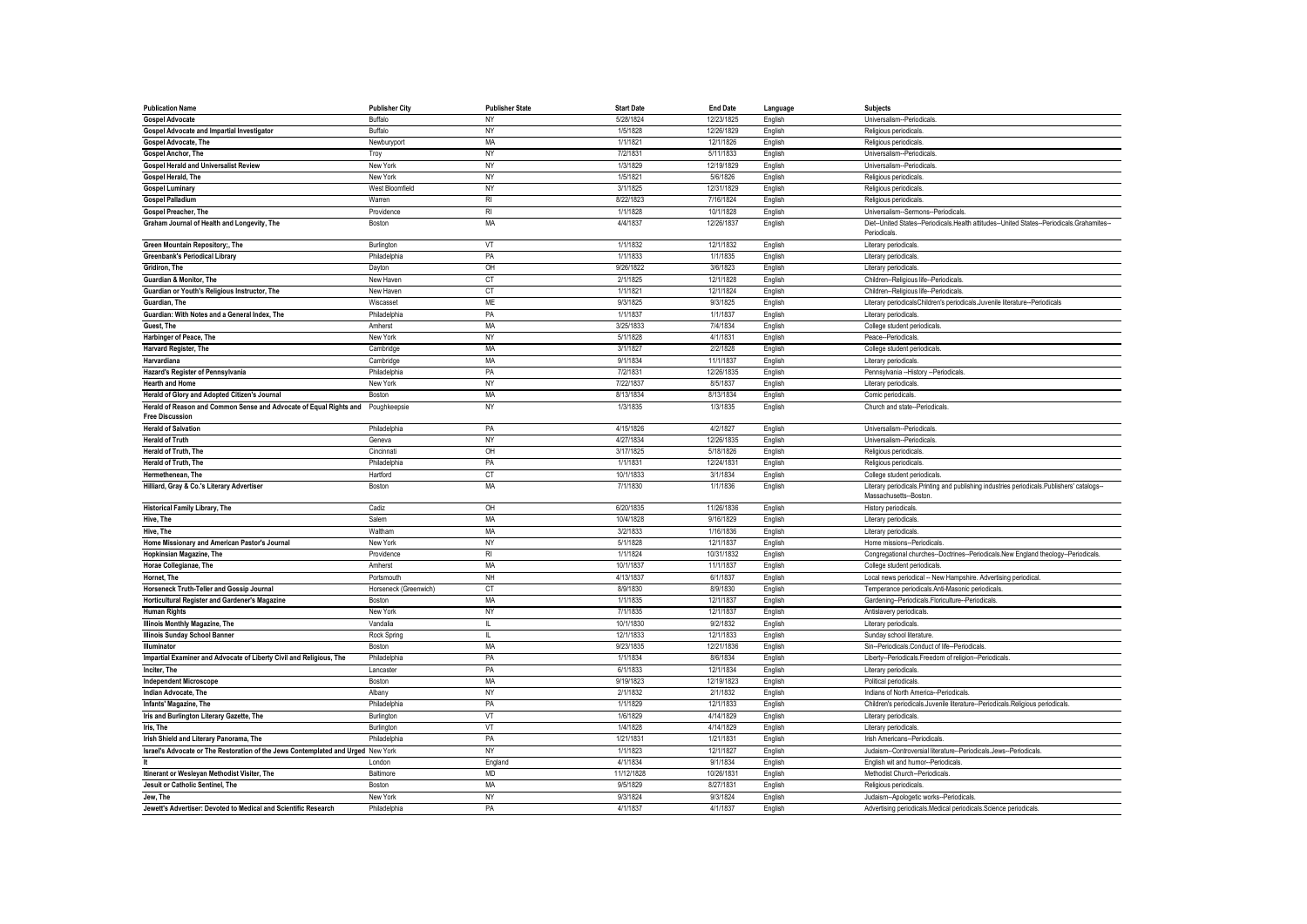| <b>Publication Name</b>                                                                                   | <b>Publisher City</b> | <b>Publisher State</b> | <b>Start Date</b> | <b>End Date</b> | Language | <b>Subjects</b>                                                                                                      |
|-----------------------------------------------------------------------------------------------------------|-----------------------|------------------------|-------------------|-----------------|----------|----------------------------------------------------------------------------------------------------------------------|
| <b>Gospel Advocate</b>                                                                                    | Buffalo               | NY                     | 5/28/1824         | 12/23/1825      | English  | Universalism--Periodicals                                                                                            |
| <b>Gospel Advocate and Impartial Investigator</b>                                                         | Buffalo               | NY                     | 1/5/1828          | 12/26/1829      | English  | Religious periodicals                                                                                                |
| Gospel Advocate, The                                                                                      | Newburyport           | MA                     | 1/1/1821          | 12/1/1826       | English  | Religious periodicals                                                                                                |
| <b>Gospel Anchor, The</b>                                                                                 | Troy                  | NY                     | 7/2/1831          | 5/11/1833       | English  | Universalism--Periodicals                                                                                            |
| <b>Gospel Herald and Universalist Review</b>                                                              | New York              | NY                     | 1/3/1829          | 12/19/1829      | English  | Universalism--Periodicals                                                                                            |
| Gospel Herald, The                                                                                        | New York              | NY                     | 1/5/1821          | 5/6/1826        | English  | Religious periodicals                                                                                                |
| <b>Gospel Luminary</b>                                                                                    | West Bloomfield       | NY                     | 3/1/1825          | 12/31/1829      | English  | Religious periodicals                                                                                                |
| <b>Gospel Palladium</b>                                                                                   | Warren                | R <sub>l</sub>         | 8/22/1823         | 7/16/1824       | English  | Religious periodicals                                                                                                |
| Gospel Preacher, The                                                                                      | Providence            | R <sub>l</sub>         | 1/1/1828          | 10/1/1828       | English  | Universalism--Sermons--Periodicals                                                                                   |
| Graham Journal of Health and Longevity, The                                                               | Boston                | MA                     | 4/4/1837          | 12/26/1837      | English  | Diet--United States--Periodicals.Health attitudes--United States--Periodicals.Grahamites-                            |
|                                                                                                           |                       | VT                     | 1/1/1832          | 12/1/1832       |          | Periodicals                                                                                                          |
| Green Mountain Repository;, The                                                                           | Burlington            |                        |                   |                 | English  | Literary periodicals                                                                                                 |
| <b>Greenbank's Periodical Library</b>                                                                     | Philadelphia          | PA                     | 1/1/1833          | 1/1/1835        | English  | Literary periodicals                                                                                                 |
| Gridiron. The                                                                                             | Dayton                | OH                     | 9/26/1822         | 3/6/1823        | English  | Literary periodicals.                                                                                                |
| Guardian & Monitor, The                                                                                   | New Haven             | CT                     | 2/1/1825          | 12/1/1828       | English  | Children--Religious life--Periodicals                                                                                |
| Guardian or Youth's Religious Instructor, The                                                             | New Haven             | CT                     | 1/1/1821          | 12/1/1824       | English  | Children--Religious life--Periodicals                                                                                |
| Guardian, The                                                                                             | Wiscasset             | <b>ME</b>              | 9/3/1825          | 9/3/1825        | English  | Literary periodicalsChildren's periodicals.Juvenile literature--Periodicals                                          |
| Guardian: With Notes and a General Index. The                                                             | Philadelphia          | PA                     | 1/1/1837          | 1/1/1837        | English  | Literary periodicals                                                                                                 |
| Guest. The                                                                                                | Amherst               | MA                     | 3/25/1833         | 7/4/1834        | English  | College student periodicals.                                                                                         |
| Harbinger of Peace, The                                                                                   | New York              | <b>NY</b>              | 5/1/1828          | 4/1/1831        | English  | Peace--Periodicals                                                                                                   |
| Harvard Register, The                                                                                     | Cambridge             | MA                     | 3/1/1827          | 2/2/1828        | English  | College student periodicals                                                                                          |
| Harvardiana                                                                                               | Cambridge             | MA                     | 9/1/1834          | 11/1/1837       | English  | Literary periodicals                                                                                                 |
| Hazard's Register of Pennsylvania                                                                         | Philadelphia          | PA                     | 7/2/1831          | 12/26/1835      | English  | Pennsylvania -- History -- Periodicals                                                                               |
| <b>Hearth and Home</b>                                                                                    | New York              | NY                     | 7/22/1837         | 8/5/1837        | English  | Literary periodicals                                                                                                 |
| Herald of Glory and Adopted Citizen's Journal                                                             | <b>Bostor</b>         | MA                     | 8/13/1834         | 8/13/1834       | English  | Comic periodicals                                                                                                    |
| Herald of Reason and Common Sense and Advocate of Equal Rights and Poughkeepsie<br><b>Free Discussion</b> |                       | NY                     | 1/3/1835          | 1/3/1835        | English  | Church and state--Periodicals.                                                                                       |
| <b>Herald of Salvation</b>                                                                                | Philadelphia          | PA                     | 4/15/1826         | 4/2/1827        | English  | Universalism--Periodicals                                                                                            |
| <b>Herald of Truth</b>                                                                                    | Geneva                | <b>NY</b>              | 4/27/1834         | 12/26/1835      | English  | Universalism--Periodicals                                                                                            |
| Herald of Truth. The                                                                                      | Cincinnati            | OH                     | 3/17/1825         | 5/18/1826       | English  | Religious periodicals                                                                                                |
| Herald of Truth, The                                                                                      | Philadelphia          | PA                     | 1/1/1831          | 12/24/1831      | English  | Religious periodicals                                                                                                |
| Hermethenean. The                                                                                         | Hartford              | <b>CT</b>              | 10/1/1833         | 3/1/1834        | English  | College student periodicals                                                                                          |
| Hilliard, Gray & Co.'s Literary Advertiser                                                                | Boston                | MA                     | 7/1/1830          | 1/1/1836        | English  | Literary periodicals. Printing and publishing industries periodicals. Publishers' catalogs-<br>Massachusetts--Boston |
| Historical Family Library, The                                                                            | Cadiz                 | OH                     | 6/20/1835         | 11/26/1836      | English  | History periodicals                                                                                                  |
| Hive, The                                                                                                 | Salem                 | MA                     | 10/4/1828         | 9/16/1829       | English  | Literary periodicals                                                                                                 |
| Hive, The                                                                                                 | Waltham               | MA                     | 3/2/1833          | 1/16/1836       | English  | Literary periodicals                                                                                                 |
| Home Missionary and American Pastor's Journal                                                             | New York              | NY                     | 5/1/1828          | 12/1/1837       | English  | Home missions--Periodicals                                                                                           |
| Hopkinsian Magazine, The                                                                                  | Providence            | $R_{\parallel}$        | 1/1/1824          | 10/31/1832      | English  | Congregational churches--Doctrines--Periodicals.New England theology--Periodicals                                    |
| Horae Collegianae, The                                                                                    | Amherst               | MA                     | 10/1/1837         | 11/1/1837       | English  | College student periodicals                                                                                          |
| Hornet. The                                                                                               | Portsmouth            | NH                     | 4/13/1837         | 6/1/1837        | English  | Local news periodical -- New Hampshire. Advertising periodical.                                                      |
| Horseneck Truth-Teller and Gossip Journal                                                                 | Horseneck (Greenwich) | CT                     | 8/9/1830          | 8/9/1830        | English  | Temperance periodicals.Anti-Masonic periodicals                                                                      |
| Horticultural Register and Gardener's Magazine                                                            | Boston                | MA                     | 1/1/1835          | 12/1/1837       | English  | Gardening--Periodicals.Floriculture--Periodicals                                                                     |
| <b>Human Rights</b>                                                                                       | New York              | <b>NY</b>              | 7/1/1835          | 12/1/1837       | English  | Antislavery periodicals                                                                                              |
| Illinois Monthly Magazine, The                                                                            | Vandalia              | $\mathbf{H}$           | 10/1/1830         | 9/2/1832        | English  | Literary periodicals                                                                                                 |
| Illinois Sunday School Banner                                                                             | Rock Spring           | Ш.                     | 12/1/1833         | 12/1/1833       | English  | Sunday school literature                                                                                             |
| Illuminator                                                                                               | Boston                | MA                     | 9/23/1835         | 12/21/1836      | English  | Sin--Periodicals.Conduct of life--Periodicals                                                                        |
| Impartial Examiner and Advocate of Liberty Civil and Religious, The                                       | Philadelphia          | PA                     | 1/1/1834          | 8/6/1834        | English  | Liberty--Periodicals.Freedom of religion--Periodicals                                                                |
| Inciter, The                                                                                              | Lancaster             | PA                     | 6/1/1833          | 12/1/1834       | English  | Literary periodicals                                                                                                 |
| <b>Independent Microscope</b>                                                                             | Boston                | MA                     | 9/19/1823         | 12/19/1823      | English  | Political periodicals                                                                                                |
| Indian Advocate, The                                                                                      | Albany                | NY                     | 2/1/1832          | 2/1/1832        | English  | Indians of North America--Periodicals                                                                                |
| Infants' Magazine, The                                                                                    | Philadelphia          | PA                     | 1/1/1829          | 12/1/1833       | English  | Children's periodicals.Juvenile literature--Periodicals.Religious periodicals.                                       |
| Iris and Burlington Literary Gazette, The                                                                 | Burlington            | VT                     | 1/6/1829          | 4/14/1829       | English  | Literary periodicals                                                                                                 |
| Iris, The                                                                                                 | Burlington            | VT                     | 1/4/1828          | 4/14/1829       | English  | Literary periodicals                                                                                                 |
| Irish Shield and Literary Panorama, The                                                                   | Philadelphia          | PA                     | 1/21/1831         | 1/21/1831       | English  | Irish Americans--Periodicals                                                                                         |
| Israel's Advocate or The Restoration of the Jews Contemplated and Urged New York                          |                       | NY                     | 1/1/1823          | 12/1/1827       | English  | Judaism--Controversial literature--Periodicals.Jews--Periodicals                                                     |
|                                                                                                           | London                | England                | 4/1/1834          | 9/1/1834        | English  | English wit and humor--Periodicals                                                                                   |
| Itinerant or Wesleyan Methodist Visiter, The                                                              | Baltimore             | <b>MD</b>              | 11/12/1828        | 10/26/1831      | English  | Methodist Church--Periodicals                                                                                        |
| Jesuit or Catholic Sentinel, The                                                                          | Boston                | MA                     | 9/5/1829          | 8/27/1831       | English  | Religious periodicals                                                                                                |
| Jew. The                                                                                                  | New York              | NY                     | 9/3/1824          | 9/3/1824        | English  | Judaism--Apologetic works--Periodicals                                                                               |
| Jewett's Advertiser: Devoted to Medical and Scientific Research                                           | Philadelphia          | PA                     | 4/1/1837          | 4/1/1837        | English  | Advertising periodicals.Medical periodicals.Science periodicals                                                      |
|                                                                                                           |                       |                        |                   |                 |          |                                                                                                                      |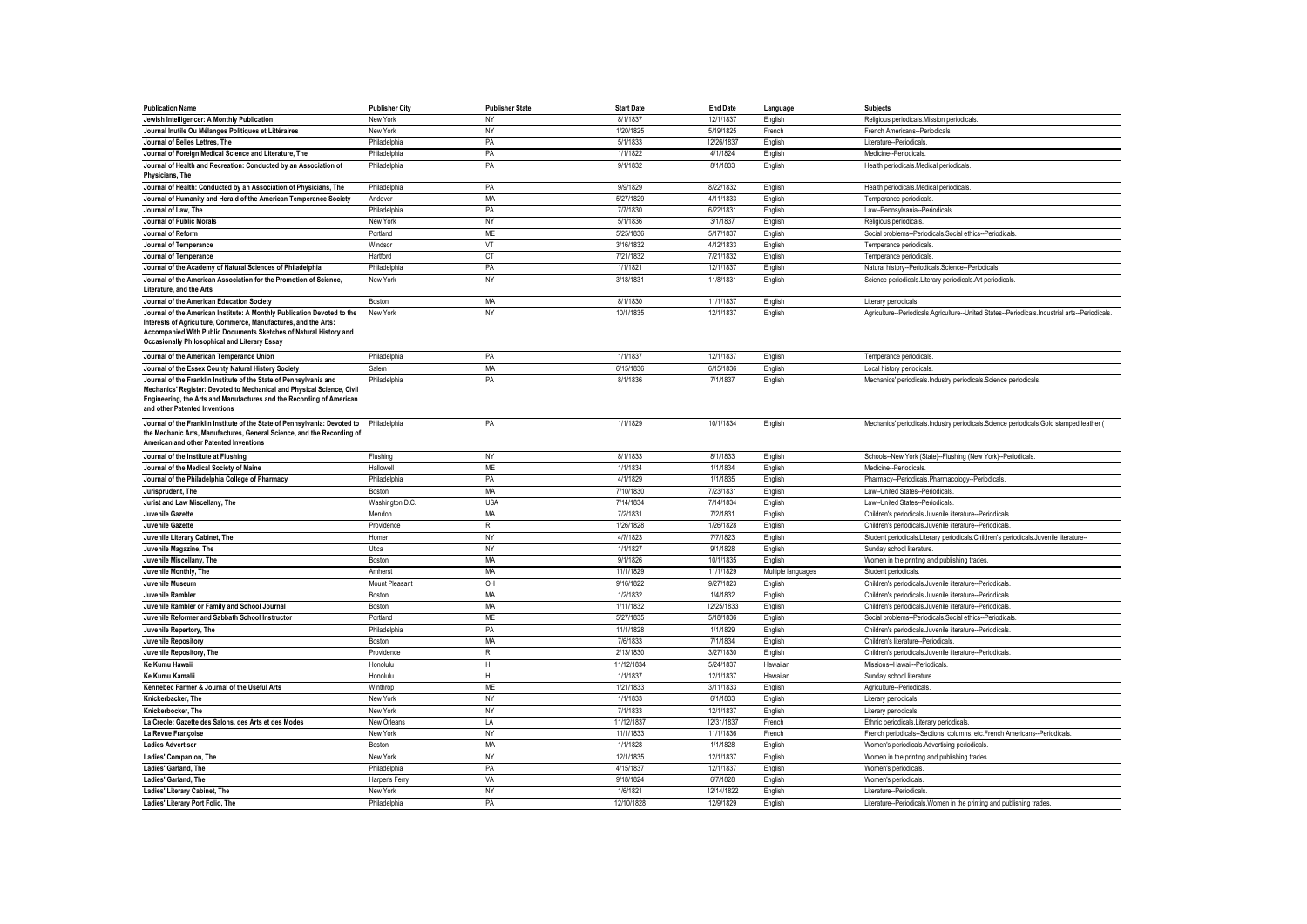| <b>Publication Name</b>                                                                                                                                                                                                                               | <b>Publisher City</b> | <b>Publisher State</b> | <b>Start Date</b> | <b>End Date</b> | Language           | <b>Subjects</b>                                                                                |
|-------------------------------------------------------------------------------------------------------------------------------------------------------------------------------------------------------------------------------------------------------|-----------------------|------------------------|-------------------|-----------------|--------------------|------------------------------------------------------------------------------------------------|
| Jewish Intelligencer: A Monthly Publication                                                                                                                                                                                                           | New York              | <b>NY</b>              | 8/1/1837          | 12/1/1837       | English            | Religious periodicals.Mission periodicals.                                                     |
| Journal Inutile Ou Mélanges Politiques et Littéraires                                                                                                                                                                                                 | New York              | NY                     | 1/20/1825         | 5/19/1825       | French             | French Americans--Periodicals                                                                  |
| Journal of Belles Lettres, The                                                                                                                                                                                                                        | Philadelphia          | PA                     | 5/1/1833          | 12/26/1837      | English            | Literature--Periodicals                                                                        |
| Journal of Foreign Medical Science and Literature, The                                                                                                                                                                                                | Philadelphia          | PA                     | 1/1/1822          | 4/1/1824        | English            | Medicine--Periodicals.                                                                         |
| Journal of Health and Recreation: Conducted by an Association of<br>Physicians, The                                                                                                                                                                   | Philadelphia          | PA                     | 9/1/1832          | 8/1/1833        | English            | Health periodicals.Medical periodicals.                                                        |
| Journal of Health: Conducted by an Association of Physicians, The                                                                                                                                                                                     | Philadelphia          | PA                     | 9/9/1829          | 8/22/1832       | English            | Health periodicals.Medical periodicals                                                         |
| Journal of Humanity and Herald of the American Temperance Society                                                                                                                                                                                     | Andover               | MA                     | 5/27/1829         | 4/11/1833       | English            | Temperance periodicals                                                                         |
| Journal of Law. The                                                                                                                                                                                                                                   | Philadelphia          | PA                     | 7/7/1830          | 6/22/1831       | English            | Law--Pennsylvania--Periodicals                                                                 |
| Journal of Public Morals                                                                                                                                                                                                                              | New York              | <b>NY</b>              | 5/1/1836          | 3/1/1837        | English            | Religious periodicals                                                                          |
| Journal of Reform                                                                                                                                                                                                                                     | Portland              | <b>ME</b>              | 5/25/1836         | 5/17/1837       | English            | Social problems--Periodicals.Social ethics--Periodicals                                        |
| Journal of Temperance                                                                                                                                                                                                                                 | Windsor               | VT                     | 3/16/1832         | 4/12/1833       | English            | Temperance periodicals                                                                         |
| <b>Journal of Temperance</b>                                                                                                                                                                                                                          | Hartford              | <b>CT</b>              | 7/21/1832         | 7/21/1832       | English            | Temperance periodicals                                                                         |
| Journal of the Academy of Natural Sciences of Philadelphia                                                                                                                                                                                            | Philadelphia          | PA                     | 1/1/1821          | 12/1/1837       | English            | Natural history--Periodicals.Science--Periodicals                                              |
| Journal of the American Association for the Promotion of Science,<br>Literature, and the Arts                                                                                                                                                         | New York              | NY                     | 3/18/1831         | 11/8/1831       | English            | Science periodicals.Literary periodicals.Art periodicals                                       |
| Journal of the American Education Society                                                                                                                                                                                                             | Boston                | <b>MA</b>              | 8/1/1830          | 11/1/1837       | English            | Literary periodicals.                                                                          |
| Journal of the American Institute: A Monthly Publication Devoted to the<br>Interests of Agriculture, Commerce, Manufactures, and the Arts:<br>Accompanied With Public Documents Sketches of Natural History and                                       | New York              | NY                     | 10/1/1835         | 12/1/1837       | English            | Agriculture--Periodicals.Agriculture--United States--Periodicals.Industrial arts--Periodicals. |
| <b>Occasionally Philosophical and Literary Essay</b>                                                                                                                                                                                                  |                       |                        |                   |                 |                    |                                                                                                |
| Journal of the American Temperance Union                                                                                                                                                                                                              | Philadelphia          | PA                     | 1/1/1837          | 12/1/1837       | English            | Temperance periodicals                                                                         |
| Journal of the Essex County Natural History Society                                                                                                                                                                                                   | Salem                 | MA                     | 6/15/1836         | 6/15/1836       | English            | Local history periodicals                                                                      |
| Journal of the Franklin Institute of the State of Pennsylvania and<br>Mechanics' Register: Devoted to Mechanical and Physical Science, Civil<br>Engineering, the Arts and Manufactures and the Recording of American<br>and other Patented Inventions | Philadelphia          | PA                     | 8/1/1836          | 7/1/1837        | English            | Mechanics' periodicals.Industry periodicals.Science periodicals                                |
| Journal of the Franklin Institute of the State of Pennsylvania: Devoted to<br>the Mechanic Arts, Manufactures, General Science, and the Recording of<br>American and other Patented Inventions                                                        | Philadelphia          | PA                     | 1/1/1829          | 10/1/1834       | English            | Mechanics' periodicals.Industry periodicals.Science periodicals.Gold stamped leather (         |
| Journal of the Institute at Flushing                                                                                                                                                                                                                  | Flushing              | NY                     | 8/1/1833          | 8/1/1833        | English            | Schools--New York (State)--Flushing (New York)--Periodicals                                    |
| Journal of the Medical Society of Maine                                                                                                                                                                                                               | Hallowell             | <b>ME</b>              | 1/1/1834          | 1/1/1834        | English            | Medicine-Periodicals                                                                           |
| Journal of the Philadelphia College of Pharmacy                                                                                                                                                                                                       | Philadelphia          | PA                     | 4/1/1829          | 1/1/1835        | English            | Pharmacy--Periodicals.Pharmacology--Periodicals                                                |
| Jurisprudent, The                                                                                                                                                                                                                                     | Boston                | <b>MA</b>              | 7/10/1830         | 7/23/1831       | English            | Law--United States--Periodicals                                                                |
| Jurist and Law Miscellany, The                                                                                                                                                                                                                        | Washington D.C.       | <b>USA</b>             | 7/14/1834         | 7/14/1834       | English            | Law--United States--Periodicals                                                                |
| Juvenile Gazette                                                                                                                                                                                                                                      | Mendon                | MA                     | 7/2/1831          | 7/2/1831        | English            | Children's periodicals.Juvenile literature--Periodicals                                        |
| Juvenile Gazette                                                                                                                                                                                                                                      | Providence            | <b>RI</b>              | 1/26/1828         | 1/26/1828       | English            | Children's periodicals.Juvenile literature--Periodicals                                        |
| Juvenile Literary Cabinet, The                                                                                                                                                                                                                        | Homer                 | NY                     | 4/7/1823          | 7/7/1823        | English            | Student periodicals.Literary periodicals.Children's periodicals.Juvenile literature-           |
| Juvenile Magazine, The                                                                                                                                                                                                                                | Utica                 | NY                     | 1/1/1827          | 9/1/1828        | English            | Sunday school literature                                                                       |
| Juvenile Miscellany, The                                                                                                                                                                                                                              | Boston                | <b>MA</b>              | 9/1/1826          | 10/1/1835       | English            | Women in the printing and publishing trades                                                    |
| Juvenile Monthly, The                                                                                                                                                                                                                                 | Amherst               | MA                     | 11/1/1829         | 11/1/1829       | Multiple languages | Student periodicals                                                                            |
| Juvenile Museum                                                                                                                                                                                                                                       | Mount Pleasant        | OH                     | 9/16/1822         | 9/27/1823       | English            | Children's periodicals.Juvenile literature--Periodicals                                        |
| Juvenile Rambler                                                                                                                                                                                                                                      | Boston                | MA                     | 1/2/1832          | 1/4/1832        | English            | Children's periodicals.Juvenile literature--Periodicals                                        |
| Juvenile Rambler or Family and School Journal                                                                                                                                                                                                         | <b>Boston</b>         | MA                     | 1/11/1832         | 12/25/1833      | English            | Children's periodicals.Juvenile literature--Periodicals.                                       |
| Juvenile Reformer and Sabbath School Instructor                                                                                                                                                                                                       | Portland              | <b>ME</b>              | 5/27/1835         | 5/18/1836       | English            | Social problems--Periodicals.Social ethics--Periodicals                                        |
| Juvenile Repertory, The                                                                                                                                                                                                                               | Philadelphia          | PA                     | 11/1/1828         | 1/1/1829        | English            | Children's periodicals.Juvenile literature--Periodicals                                        |
| Juvenile Repository                                                                                                                                                                                                                                   | Boston                | <b>MA</b>              | 7/6/1833          | 7/1/1834        | English            | Children's literature--Periodicals                                                             |
| Juvenile Repository, The                                                                                                                                                                                                                              | Providence            | <b>RI</b>              | 2/13/1830         | 3/27/1830       | English            | Children's periodicals.Juvenile literature--Periodicals                                        |
| Ke Kumu Hawaii                                                                                                                                                                                                                                        | Honolulu              | HI                     | 11/12/1834        | 5/24/1837       | Hawaiian           | Missions--Hawaii--Periodicals                                                                  |
| <b>Ke Kumu Kamali</b>                                                                                                                                                                                                                                 | Honolulu              | HI                     | 1/1/1837          | 12/1/1837       | Hawaiian           | Sunday school literature                                                                       |
| Kennebec Farmer & Journal of the Useful Arts                                                                                                                                                                                                          | Winthrop              | <b>ME</b>              | 1/21/1833         | 3/11/1833       | English            | Agriculture--Periodicals                                                                       |
| Knickerbacker, The                                                                                                                                                                                                                                    | New York              | <b>NY</b>              | 1/1/1833          | 6/1/1833        | English            | Literary periodicals                                                                           |
| Knickerbocker, The                                                                                                                                                                                                                                    | New York              | NY                     | 7/1/1833          | 12/1/1837       | English            | Literary periodicals.                                                                          |
| La Creole: Gazette des Salons, des Arts et des Modes                                                                                                                                                                                                  | New Orleans           | LA                     | 11/12/1837        | 12/31/1837      | French             | Ethnic periodicals.Literary periodicals                                                        |
| La Revue Francoise                                                                                                                                                                                                                                    | New York              | NY                     | 11/1/1833         | 11/1/1836       | French             | French periodicals--Sections, columns, etc.French Americans--Periodicals.                      |
| <b>Ladies Advertiser</b>                                                                                                                                                                                                                              | Boston                | MA                     | 1/1/1828          | 1/1/1828        | English            | Women's periodicals.Advertising periodicals                                                    |
| Ladies' Companion. The                                                                                                                                                                                                                                | New York              | NY                     | 12/1/1835         | 12/1/1837       | English            | Women in the printing and publishing trades.                                                   |
| Ladies' Garland, The                                                                                                                                                                                                                                  | Philadelphia          | PA                     | 4/15/1837         | 12/1/1837       | English            | Women's periodicals                                                                            |
| Ladies' Garland, The                                                                                                                                                                                                                                  | Harper's Ferry        | VA                     | 9/18/1824         | 6/7/1828        | English            | Women's periodicals                                                                            |
| Ladies' Literary Cabinet, The                                                                                                                                                                                                                         | New York              | <b>NY</b>              | 1/6/1821          | 12/14/1822      | English            | Literature--Periodicals                                                                        |
| Ladies' Literary Port Folio, The                                                                                                                                                                                                                      | Philadelphia          | PA                     | 12/10/1828        | 12/9/1829       | English            | Literature--Periodicals. Women in the printing and publishing trades.                          |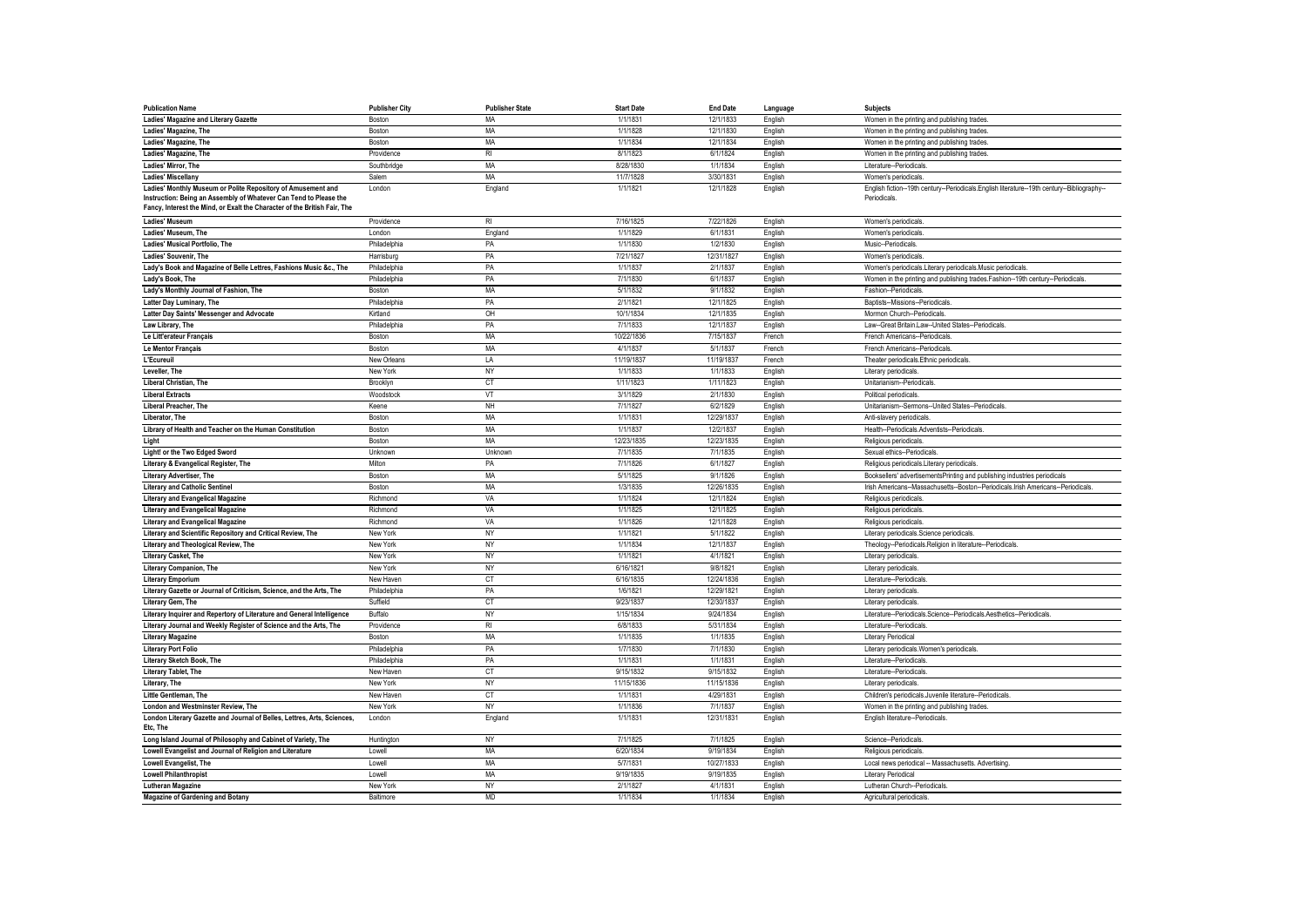| <b>Publication Name</b>                                                                                                                     | <b>Publisher City</b> | <b>Publisher State</b> | <b>Start Date</b> | <b>End Date</b>          | Language           | Subjects                                                                                        |
|---------------------------------------------------------------------------------------------------------------------------------------------|-----------------------|------------------------|-------------------|--------------------------|--------------------|-------------------------------------------------------------------------------------------------|
| Ladies' Magazine and Literary Gazette                                                                                                       | Boston                | MA                     | 1/1/1831          | 12/1/1833                | English            | Women in the printing and publishing trades                                                     |
| Ladies' Magazine, The                                                                                                                       | Boston                | MA                     | 1/1/1828          | 12/1/1830                | English            | Women in the printing and publishing trades.                                                    |
| Ladies' Magazine, The                                                                                                                       | Boston                | MA                     | 1/1/1834          | 12/1/1834                | English            | Women in the printing and publishing trades.                                                    |
| Ladies' Magazine, The                                                                                                                       | Providence            | R <sub>l</sub>         | 8/1/1823          | 6/1/1824                 | English            | Women in the printing and publishing trades.                                                    |
| Ladies' Mirror. The                                                                                                                         | Southbridge           | MA                     | 8/28/1830         | 1/1/1834                 | English            | Literature--Periodicals                                                                         |
| Ladies' Miscellany                                                                                                                          | Salem                 | MA                     | 11/7/1828         | 3/30/1831                | English            | Women's periodicals                                                                             |
| Ladies' Monthly Museum or Polite Repository of Amusement and                                                                                | London                | England                | 1/1/1821          | 12/1/1828                | English            | English fiction--19th century--Periodicals.English literature--19th century--Bibliography-      |
| Instruction: Being an Assembly of Whatever Can Tend to Please the                                                                           |                       |                        |                   |                          |                    | Periodicals.                                                                                    |
| Fancy, Interest the Mind, or Exalt the Character of the British Fair, The                                                                   |                       |                        |                   |                          |                    |                                                                                                 |
| Ladies' Museum                                                                                                                              | Providence            | <b>RI</b>              | 7/16/1825         | 7/22/1826                | English            | Women's periodicals                                                                             |
| Ladies' Museum, The                                                                                                                         | London                | England                | 1/1/1829          | 6/1/1831                 | English            | Women's periodicals                                                                             |
| Ladies' Musical Portfolio, The                                                                                                              | Philadelphia          | PA                     | 1/1/1830          | 1/2/1830                 | English            | Music--Periodicals                                                                              |
| Ladies' Souvenir, The                                                                                                                       | Harrisburg            | PA                     | 7/21/1827         | 12/31/1827               | English            | Women's periodicals                                                                             |
| Lady's Book and Magazine of Belle Lettres, Fashions Music &c., The                                                                          | Philadelphia          | PA                     | 1/1/1837          | 2/1/1837                 | English            | Women's periodicals.Literary periodicals.Music periodicals                                      |
| Lady's Book, The                                                                                                                            | Philadelphia          | PA                     | 7/1/1830          | 6/1/1837                 | English            | Women in the printing and publishing trades.Fashion--19th century--Periodicals                  |
| Lady's Monthly Journal of Fashion, The                                                                                                      | Boston                | <b>MA</b>              | 5/1/1832          | 9/1/1832                 | English            | Fashion--Periodicals                                                                            |
| Latter Day Luminary, The                                                                                                                    | Philadelphia          | PA                     | 2/1/1821          | 12/1/1825                | English            | Baptists--Missions--Periodicals                                                                 |
| Latter Day Saints' Messenger and Advocate                                                                                                   | Kirtland              | OH                     | 10/1/1834         | 12/1/1835                | English            | Mormon Church--Periodicals                                                                      |
| Law Library, The                                                                                                                            | Philadelphia          | PA                     | 7/1/1833          | 12/1/1837                | English            | Law--Great Britain.Law--United States--Periodicals                                              |
| Le Litt'erateur Français                                                                                                                    | Boston                | MA                     | 10/22/1836        | 7/15/1837                | French             | French Americans--Periodicals                                                                   |
| Le Mentor Français                                                                                                                          | Boston                | MA                     | 4/1/1837          | 5/1/1837                 | French             | French Americans--Periodicals                                                                   |
| L'Ecureuil                                                                                                                                  | New Orleans           | LA                     | 11/19/1837        | 11/19/1837               | French             | Theater periodicals. Ethnic periodicals                                                         |
| Leveller, The                                                                                                                               | New York              | <b>NY</b>              | 1/1/1833          | 1/1/1833                 | English            | Literary periodicals                                                                            |
| Liberal Christian, The                                                                                                                      | Brooklyn              | <b>CT</b>              | 1/11/1823         | 1/11/1823                | English            | Unitarianism-Periodicals                                                                        |
| <b>Liberal Extracts</b>                                                                                                                     | Woodstock             | VT                     | 3/1/1829          | 2/1/1830                 | English            | Political periodicals                                                                           |
| Liberal Preacher, The                                                                                                                       | Keene                 | <b>NH</b>              | 7/1/1827          | 6/2/1829                 | English            | Unitarianism--Sermons--United States--Periodicals                                               |
| Liberator, The                                                                                                                              | Boston                | MA                     | 1/1/1831          | 12/29/1837               | English            | Anti-slavery periodicals                                                                        |
| Library of Health and Teacher on the Human Constitution                                                                                     | Boston                | MA                     | 1/1/1837          | 12/2/1837                | English            | Health--Periodicals.Adventists--Periodicals                                                     |
| Light                                                                                                                                       | Boston                | <b>MA</b>              | 12/23/1835        | 12/23/1835               | English            | Religious periodicals                                                                           |
| Light! or the Two Edged Sword                                                                                                               | Unknown               | Unknown                | 7/1/1835          | 7/1/1835                 | English            | Sexual ethics--Periodicals                                                                      |
| Literary & Evangelical Register, The                                                                                                        | Milton                | PA                     | 7/1/1826          | 6/1/1827                 | English            | Religious periodicals.Literary periodicals.                                                     |
| Literary Advertiser, The                                                                                                                    | Boston                | MA                     | 5/1/1825          | 9/1/1826                 | English            | Booksellers' advertisementsPrinting and publishing industries periodicals                       |
| <b>Literary and Catholic Sentinel</b>                                                                                                       | Boston                | MA                     | 1/3/1835          | 12/26/1835               | English            | Irish Americans--Massachusetts--Boston--Periodicals.Irish Americans--Periodicals                |
| Literary and Evangelical Magazine                                                                                                           | Richmond              | VA                     | 1/1/1824          | 12/1/1824                | English            | Religious periodicals                                                                           |
| Literary and Evangelical Magazine                                                                                                           | Richmond              | VA                     | 1/1/1825          | 12/1/1825                | English            | Religious periodicals                                                                           |
| <b>Literary and Evangelical Magazine</b>                                                                                                    | Richmond              | VA                     | 1/1/1826          | 12/1/1828                | English            | Religious periodicals                                                                           |
| Literary and Scientific Repository and Critical Review, The                                                                                 | New York              | NY                     | 1/1/1821          | 5/1/1822                 | English            | Literary periodicals.Science periodicals                                                        |
| Literary and Theological Review, The                                                                                                        | New York              | <b>NY</b>              | 1/1/1834          | 12/1/1837                | English            | Theology--Periodicals.Religion in literature--Periodicals                                       |
| Literary Casket, The                                                                                                                        | New York              | <b>NY</b>              | 1/1/1821          | 4/1/1821                 | English            | Literary periodicals.                                                                           |
| Literary Companion, The                                                                                                                     | New York              | NY                     | 6/16/1821         | 9/8/1821                 | English            | Literary periodicals                                                                            |
| <b>Literary Emporium</b>                                                                                                                    | New Haven             | <b>CT</b>              | 6/16/1835         | 12/24/1836               |                    | Literature--Periodicals                                                                         |
|                                                                                                                                             | Philadelphia          | PA                     | 1/6/1821          |                          | English            |                                                                                                 |
| Literary Gazette or Journal of Criticism, Science, and the Arts, The<br>Literary Gem, The                                                   | Suffield              | CT                     | 9/23/1837         | 12/29/1821<br>12/30/1837 | English<br>English | Literary periodicals<br>Literary periodicals.                                                   |
|                                                                                                                                             |                       | NY                     | 1/15/1834         | 9/24/1834                |                    |                                                                                                 |
| Literary Inquirer and Repertory of Literature and General Intelligence<br>Literary Journal and Weekly Register of Science and the Arts, The | Buffalo<br>Providence | <b>RI</b>              | 6/8/1833          | 5/31/1834                | English<br>English | Literature--Periodicals.Science--Periodicals.Aesthetics--Periodicals.<br>Literature-Periodicals |
| <b>Literary Magazine</b>                                                                                                                    | Boston                | <b>MA</b>              | 1/1/1835          | 1/1/1835                 |                    | <b>Literary Periodical</b>                                                                      |
|                                                                                                                                             | Philadelphia          |                        | 1/7/1830          |                          | English            |                                                                                                 |
| <b>Literary Port Folio</b>                                                                                                                  |                       | PA                     | 1/1/1831          | 7/1/1830<br>1/1/1831     | English            | Literary periodicals. Women's periodicals.                                                      |
| Literary Sketch Book, The                                                                                                                   | Philadelphia          | PA                     | 9/15/1832         |                          | English            | Literature--Periodicals                                                                         |
| Literary Tablet, The                                                                                                                        | New Haven             | CT<br>NY               | 11/15/1836        | 9/15/1832                | English            | Literature-Periodicals                                                                          |
| Literary, The<br>Little Gentleman, The                                                                                                      | New York              | <b>CT</b>              | 1/1/1831          | 11/15/1836<br>4/29/1831  | English            | Literary periodicals.<br>Children's periodicals.Juvenile literature--Periodicals                |
|                                                                                                                                             | New Haven             | <b>NY</b>              | 1/1/1836          | 7/1/1837                 | English            |                                                                                                 |
| London and Westminster Review, The                                                                                                          | New York              |                        |                   |                          | English            | Women in the printing and publishing trades                                                     |
| London Literary Gazette and Journal of Belles, Lettres, Arts, Sciences,<br>Etc, The                                                         | London                | England                | 1/1/1831          | 12/31/1831               | English            | English literature--Periodicals                                                                 |
| Long Island Journal of Philosophy and Cabinet of Variety, The                                                                               | Huntington            | NY                     | 7/1/1825          | 7/1/1825                 | English            | Science-Periodicals                                                                             |
| Lowell Evangelist and Journal of Religion and Literature                                                                                    | Lowel                 | MA                     | 6/20/1834         | 9/19/1834                | English            | Religious periodicals                                                                           |
| Lowell Evangelist, The                                                                                                                      | Lowell                | <b>MA</b>              | 5/7/1831          | 10/27/1833               | English            | Local news periodical -- Massachusetts. Advertising                                             |
| <b>Lowell Philanthropist</b>                                                                                                                | Lowell                | <b>MA</b>              | 9/19/1835         | 9/19/1835                | English            | Literary Periodical                                                                             |
| <b>Lutheran Magazine</b>                                                                                                                    | New York              | <b>NY</b>              | 2/1/1827          | 4/1/1831                 | English            | Lutheran Church--Periodicals.                                                                   |
| <b>Magazine of Gardening and Botany</b>                                                                                                     | Baltimore             | <b>MD</b>              | 1/1/1834          | 1/1/1834                 | English            | Agricultural periodicals                                                                        |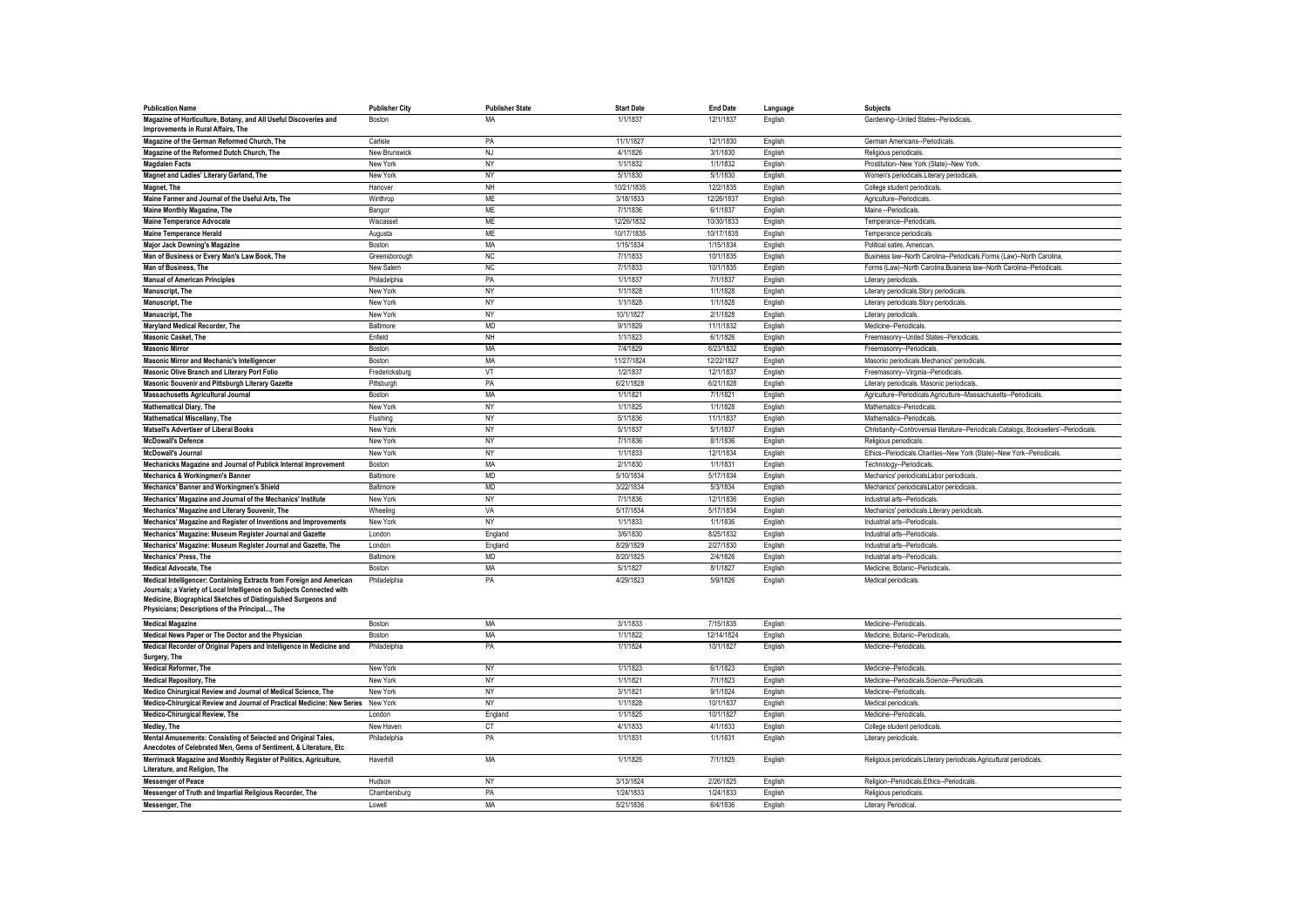| <b>Publication Name</b>                                                                                         | <b>Publisher City</b>     | <b>Publisher State</b> | <b>Start Date</b>    | <b>End Date</b>       | Language           | <b>Subjects</b>                                                                                                   |
|-----------------------------------------------------------------------------------------------------------------|---------------------------|------------------------|----------------------|-----------------------|--------------------|-------------------------------------------------------------------------------------------------------------------|
| Magazine of Horticulture, Botany, and All Useful Discoveries and<br>Improvements in Rural Affairs. The          | Boston                    | MA                     | 1/1/1837             | 12/1/1837             | English            | Gardening--United States--Periodicals.                                                                            |
| Magazine of the German Reformed Church, The                                                                     | Carlisle                  | PA                     | 11/1/1827            | 12/1/1830             | English            | German Americans--Periodicals.                                                                                    |
| Magazine of the Reformed Dutch Church, The                                                                      | New Brunswick             | <b>NJ</b>              | 4/1/1826             | 3/1/1830              | English            | Religious periodicals                                                                                             |
| <b>Magdalen Facts</b>                                                                                           | New York                  | <b>NY</b>              | 1/1/1832             | 1/1/1832              | English            | Prostitution--New York (State)--New York                                                                          |
| Magnet and Ladies' Literary Garland, The                                                                        | New York                  | NY                     | 5/1/1830             | 5/1/1830              | English            | Women's periodicals. Literary periodicals                                                                         |
| Magnet, The                                                                                                     | Hanover                   | NH                     | 10/21/1835           | 12/2/1835             | English            | College student periodicals                                                                                       |
| Maine Farmer and Journal of the Useful Arts, The                                                                | Winthrop                  | <b>ME</b>              | 3/18/1833            | 12/26/1837            | English            | Agriculture--Periodicals.                                                                                         |
| Maine Monthly Magazine, The                                                                                     | Bangor                    | <b>ME</b>              | 7/1/1836             | 6/1/1837              | English            | Maine -- Periodicals                                                                                              |
| <b>Maine Temperance Advocate</b>                                                                                | Wiscasset                 | <b>ME</b>              | 12/26/1832           | 10/30/1833            | English            | Temperance--Periodicals.                                                                                          |
| <b>Maine Temperance Herald</b>                                                                                  | Augusta                   | <b>ME</b>              | 10/17/1835           | 10/17/1835            | English            | Temperance periodicals                                                                                            |
| <b>Major Jack Downing's Magazine</b>                                                                            | Boston                    | <b>MA</b>              | 1/15/1834            | 1/15/1834             | English            | Political satire, American                                                                                        |
| Man of Business or Every Man's Law Book, The                                                                    | Greensborough             | <b>NC</b>              | 7/1/1833             | 10/1/1835             | English            | Business law--North Carolina--Periodicals.Forms (Law)--North Carolina.                                            |
| Man of Business. The                                                                                            | New Salem                 | <b>NC</b>              | 7/1/1833             | 10/1/1835             | English            | Forms (Law)--North Carolina.Business law--North Carolina--Periodicals                                             |
| <b>Manual of American Principles</b>                                                                            | Philadelphia              | PA                     | 1/1/1837             | 7/1/1837              | English            | Literary periodicals                                                                                              |
| <b>Manuscript, The</b>                                                                                          | New York                  | NY                     | 1/1/1828             | 1/1/1828              | English            | Literary periodicals. Story periodicals.                                                                          |
| <b>Manuscript</b> , The                                                                                         | New York                  | NY                     | 1/1/1828             | 1/1/1828              | English            | Literary periodicals.Story periodicals                                                                            |
| <b>Manuscript, The</b>                                                                                          | New York                  | <b>NY</b>              | 10/1/1827            | 2/1/1828              | English            | Literary periodicals                                                                                              |
| Maryland Medical Recorder, The                                                                                  | Baltimore                 | <b>MD</b>              | 9/1/1829             | 11/1/1832             | English            | Medicine--Periodicals.                                                                                            |
| <b>Masonic Casket, The</b>                                                                                      | Fnfield                   | NH                     | 1/1/1823             | 6/1/1826              | English            | Freemasonry--United States--Periodicals.                                                                          |
| <b>Masonic Mirror</b>                                                                                           | <b>Boston</b>             | MA                     | 7/4/1829             | 6/23/1832             | English            | Freemasonry--Periodicals                                                                                          |
| Masonic Mirror and Mechanic's Intelligencer                                                                     | Boston                    | MA                     | 11/27/1824           | 12/22/1827            | English            | Masonic periodicals.Mechanics' periodicals.                                                                       |
| Masonic Olive Branch and Literary Port Folio                                                                    | Fredericksburg            | VT                     | 1/2/1837             | 12/1/1837             | English            | Freemasonry--Virginia--Periodicals                                                                                |
| Masonic Souvenir and Pittsburgh Literary Gazette                                                                | Pittsburgh                | PA                     | 6/21/1828            | 6/21/1828             | English            | Literary periodicals. Masonic periodicals.                                                                        |
| <b>Massachusetts Agricultural Journal</b>                                                                       | Boston                    | MA                     | 1/1/1821             | 7/1/1821              | English            | Agriculture--Periodicals.Agriculture--Massachusetts--Periodicals                                                  |
| <b>Mathematical Diary, The</b>                                                                                  | New York                  | NY<br><b>NY</b>        | 1/1/1825<br>5/1/1836 | 1/1/1828<br>11/1/1837 | English            | Mathematics--Periodicals                                                                                          |
| <b>Mathematical Miscellany, The</b>                                                                             | Flushing                  |                        | 5/1/1837             | 5/1/1837              | English            | Mathematics--Periodicals                                                                                          |
| Matsell's Advertiser of Liberal Books<br><b>McDowall's Defence</b>                                              | New York<br>New York      | NY<br><b>NY</b>        | 7/1/1836             | 8/1/1836              | English<br>English | Christianity--Controversial literature--Periodicals.Catalogs, Booksellers'--Periodicals.<br>Religious periodicals |
| <b>McDowall's Journal</b>                                                                                       | New York                  | <b>NY</b>              | 1/1/1833             | 12/1/1834             | English            | Ethics--Periodicals.Charities--New York (State)--New York--Periodicals                                            |
| Mechanicks Magazine and Journal of Publick Internal Improvement                                                 | Boston                    | MA                     | 2/1/1830             | 1/1/1831              | English            | Technology--Periodicals                                                                                           |
| <b>Mechanics &amp; Workingmen's Banner</b>                                                                      | Baltimore                 | MD                     | 5/10/1834            | 5/17/1834             | English            | Mechanics' periodicalsLabor periodicals                                                                           |
| Mechanics' Banner and Workingmen's Shield                                                                       | Baltimore                 | <b>MD</b>              | 3/22/1834            | 5/3/1834              | English            | Mechanics' periodicalsLabor periodicals                                                                           |
| Mechanics' Magazine and Journal of the Mechanics' Institute                                                     | New York                  | NY                     | 7/1/1836             | 12/1/1836             | English            | Industrial arts--Periodicals                                                                                      |
| Mechanics' Magazine and Literary Souvenir, The                                                                  | Wheeling                  | VA                     | 5/17/1834            | 5/17/1834             | English            | Mechanics' periodicals. Literary periodicals.                                                                     |
| Mechanics' Magazine and Register of Inventions and Improvements                                                 | New York                  | NY                     | 1/1/1833             | 1/1/1836              | English            | Industrial arts--Periodicals                                                                                      |
| Mechanics' Magazine: Museum Register Journal and Gazette                                                        | London                    | England                | 3/6/1830             | 8/25/1832             | English            | Industrial arts--Periodicals.                                                                                     |
| Mechanics' Magazine: Museum Register Journal and Gazette, The                                                   | London                    | England                | 8/29/1829            | 2/27/1830             | English            | Industrial arts--Periodicals                                                                                      |
| <b>Mechanics' Press. The</b>                                                                                    | Baltimore                 | <b>MD</b>              | 8/20/1825            | 2/4/1826              | Enalish            | Industrial arts--Periodicals                                                                                      |
| <b>Medical Advocate, The</b>                                                                                    | Boston                    | MA                     | 5/1/1827             | 8/1/1827              | English            | Medicine, Botanic--Periodicals                                                                                    |
| Medical Intelligencer: Containing Extracts from Foreign and American                                            | Philadelphia              | PA                     | 4/29/1823            | 5/9/1826              | English            | Medical periodicals.                                                                                              |
| Journals; a Variety of Local Intelligence on Subjects Connected with                                            |                           |                        |                      |                       |                    |                                                                                                                   |
| Medicine, Biographical Sketches of Distinguished Surgeons and<br>Physicians; Descriptions of the Principal, The |                           |                        |                      |                       |                    |                                                                                                                   |
| <b>Medical Magazine</b>                                                                                         | Boston                    | <b>MA</b>              | 3/1/1833             | 7/15/1835             | English            | Medicine--Periodicals                                                                                             |
| Medical News Paper or The Doctor and the Physician                                                              | Boston                    | MA                     | 1/1/1822             | 12/14/1824            | English            | Medicine, Botanic--Periodicals.                                                                                   |
| Medical Recorder of Original Papers and Intelligence in Medicine and<br>Surgery, The                            | Philadelphia              | PA                     | 1/1/1824             | 10/1/1827             | English            | Medicine--Periodicals.                                                                                            |
| <b>Medical Reformer, The</b>                                                                                    | New York                  | <b>NY</b>              | 1/1/1823             | 6/1/1823              | English            | Medicine--Periodicals.                                                                                            |
| <b>Medical Repository. The</b>                                                                                  | New York                  | <b>NY</b>              | 1/1/1821             | 7/1/1823              | English            | Medicine--Periodicals.Science--Periodicals                                                                        |
| Medico Chirurgical Review and Journal of Medical Science, The                                                   | New York                  | <b>NY</b>              | 3/1/1821             | 9/1/1824              | English            | Medicine--Periodicals                                                                                             |
| Medico-Chirurgical Review and Journal of Practical Medicine: New Series New York                                |                           | NY                     | 1/1/1828             | 10/1/1837             | English            | Medical periodicals.                                                                                              |
| Medico-Chirurgical Review, The                                                                                  | London                    | England                | 1/1/1825             | 10/1/1827             | English            | Medicine--Periodicals                                                                                             |
| Medley, The<br>Mental Amusements: Consisting of Selected and Original Tales                                     | New Haven<br>Philadelphia | CT<br>PA               | 4/1/1833<br>1/1/1831 | 4/1/1833<br>1/1/1831  | English<br>English | College student periodicals<br>Literary periodicals                                                               |
| Anecdotes of Celebrated Men, Gems of Sentiment, & Literature, Etc.                                              |                           |                        |                      |                       |                    |                                                                                                                   |
| Merrimack Magazine and Monthly Register of Politics, Agriculture,<br>Literature, and Religion, The              | Haverhill                 | MA                     | 1/1/1825             | 7/1/1825              | English            | Religious periodicals.Literary periodicals.Agricultural periodicals.                                              |
| <b>Messenger of Peace</b>                                                                                       | Hudson                    | NY                     | 3/13/1824            | 2/26/1825             | English            | Religion--Periodicals.Ethics--Periodicals.                                                                        |
| Messenger of Truth and Impartial Religious Recorder, The                                                        | Chambersburg              | PA                     | 1/24/1833            | 1/24/1833             | English            | Religious periodicals                                                                                             |
| Messenger, The                                                                                                  | Lowell                    | <b>MA</b>              | 5/21/1836            | 6/4/1836              | English            | <b>Literary Periodical</b>                                                                                        |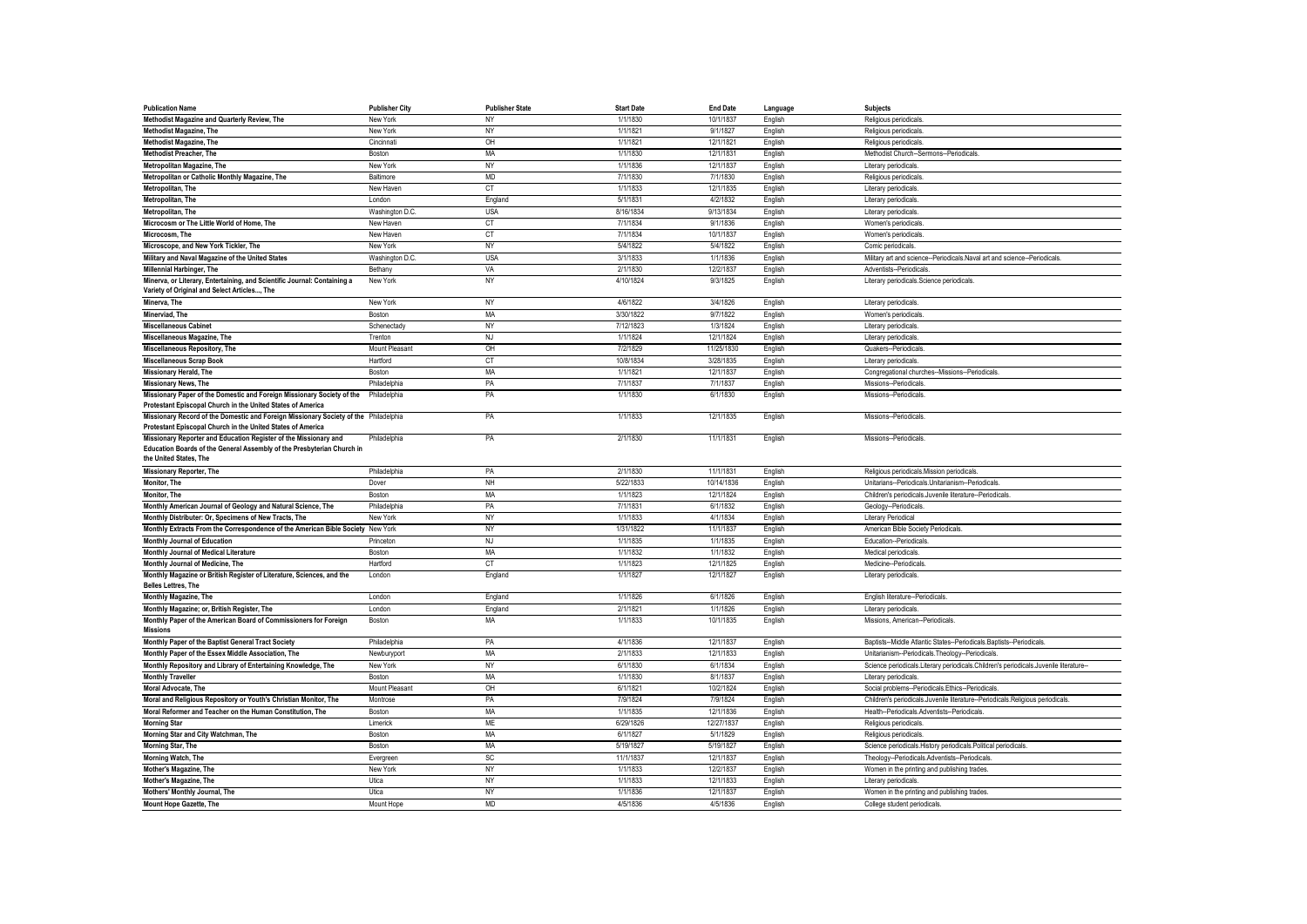| <b>Publication Name</b>                                                                                                                                              | <b>Publisher City</b> | <b>Publisher State</b> | <b>Start Date</b> | <b>End Date</b> | Language | Subjects                                                                             |
|----------------------------------------------------------------------------------------------------------------------------------------------------------------------|-----------------------|------------------------|-------------------|-----------------|----------|--------------------------------------------------------------------------------------|
| Methodist Magazine and Quarterly Review, The                                                                                                                         | New York              | NY                     | 1/1/1830          | 10/1/1837       | English  | Religious periodicals                                                                |
| <b>Methodist Magazine, The</b>                                                                                                                                       | New York              | NY                     | 1/1/1821          | 9/1/1827        | English  | Religious periodicals                                                                |
| Methodist Magazine, The                                                                                                                                              | Cincinnati            | OH                     | 1/1/1821          | 12/1/1821       | English  | Religious periodicals                                                                |
| Methodist Preacher, The                                                                                                                                              | Boston                | <b>MA</b>              | 1/1/1830          | 12/1/1831       | English  | Methodist Church--Sermons--Periodicals                                               |
| Metropolitan Magazine, The                                                                                                                                           | New York              | <b>NY</b>              | 1/1/1836          | 12/1/1837       | English  | Literary periodicals                                                                 |
| Metropolitan or Catholic Monthly Magazine, The                                                                                                                       | Baltimore             | <b>MD</b>              | 7/1/1830          | 7/1/1830        | English  | Religious periodicals                                                                |
| Metropolitan, The                                                                                                                                                    | New Haven             | <b>CT</b>              | 1/1/1833          | 12/1/1835       | English  | Literary periodicals                                                                 |
| Metropolitan, The                                                                                                                                                    | London                | England                | 5/1/1831          | 4/2/1832        | English  | Literary periodicals                                                                 |
| Metropolitan, The                                                                                                                                                    | Washington D.C        | <b>USA</b>             | 8/16/1834         | 9/13/1834       | English  | Literary periodicals                                                                 |
| Microcosm or The Little World of Home, The                                                                                                                           | New Haven             | <b>CT</b>              | 7/1/1834          | 9/1/1836        | English  | Women's periodicals                                                                  |
| Microcosm, The                                                                                                                                                       | New Haven             | CT                     | 7/1/1834          | 10/1/1837       | English  | Women's periodicals                                                                  |
| Microscope, and New York Tickler, The                                                                                                                                | New York              | NY                     | 5/4/1822          | 5/4/1822        | English  | Comic periodicals                                                                    |
| Military and Naval Magazine of the United States                                                                                                                     | Washington D.C.       | <b>USA</b>             | 3/1/1833          | 1/1/1836        | English  | Military art and science--Periodicals.Naval art and science--Periodicals             |
| Millennial Harbinger, The                                                                                                                                            | Bethany               | VA                     | 2/1/1830          | 12/2/1837       | English  | Adventists--Periodicals                                                              |
| Minerva, or Literary, Entertaining, and Scientific Journal: Containing a<br>Variety of Original and Select Articles, The                                             | New York              | <b>NY</b>              | 4/10/1824         | 9/3/1825        | English  | Literary periodicals.Science periodicals.                                            |
| Minerva, The                                                                                                                                                         | New York              | NY                     | 4/6/1822          | 3/4/1826        | English  | Literary periodicals                                                                 |
| Minerviad, The                                                                                                                                                       | Boston                | <b>MA</b>              | 3/30/1822         | 9/7/1822        | English  | Women's periodicals                                                                  |
| <b>Miscellaneous Cabinet</b>                                                                                                                                         | Schenectady           | NY                     | 7/12/1823         | 1/3/1824        | English  | Literary periodicals                                                                 |
| Miscellaneous Magazine, The                                                                                                                                          | Trenton               | NJ                     | 1/1/1824          | 12/1/1824       | English  | Literary periodicals                                                                 |
| Miscellaneous Repository, The                                                                                                                                        | Mount Pleasant        | OH                     | 7/2/1829          | 11/25/1830      | English  | Quakers--Periodicals                                                                 |
| <b>Miscellaneous Scrap Book</b>                                                                                                                                      | Hartford              | CT                     | 10/8/1834         | 3/28/1835       | English  | Literary periodicals.                                                                |
| Missionary Herald, The                                                                                                                                               | Boston                | MA                     | 1/1/1821          | 12/1/1837       | English  | Congregational churches--Missions--Periodicals                                       |
| Missionary News, The                                                                                                                                                 | Philadelphia          | PA                     | 7/1/1837          | 7/1/1837        | English  | Missions--Periodicals                                                                |
| Missionary Paper of the Domestic and Foreign Missionary Society of the<br>Protestant Episcopal Church in the United States of America                                | Philadelphia          | PA                     | 1/1/1830          | 6/1/1830        | English  | Missions--Periodicals                                                                |
| Missionary Record of the Domestic and Foreign Missionary Society of the Philadelphia<br>Protestant Episcopal Church in the United States of America                  |                       | PA                     | 1/1/1833          | 12/1/1835       | English  | Missions--Periodicals                                                                |
| Missionary Reporter and Education Register of the Missionary and<br>Education Boards of the General Assembly of the Presbyterian Church in<br>the United States, The | Philadelphia          | PA                     | 2/1/1830          | 11/1/1831       | English  | Missions--Periodicals                                                                |
| <b>Missionary Reporter, The</b>                                                                                                                                      | Philadelphia          | PA                     | 2/1/1830          | 11/1/1831       | English  | Religious periodicals.Mission periodicals.                                           |
| Monitor, The                                                                                                                                                         | Dover                 | NH                     | 5/22/1833         | 10/14/1836      | English  | Unitarians--Periodicals.Unitarianism--Periodicals                                    |
| Monitor. The                                                                                                                                                         | Boston                | <b>MA</b>              | 1/1/1823          | 12/1/1824       | English  | Children's periodicals.Juvenile literature--Periodicals.                             |
| Monthly American Journal of Geology and Natural Science, The                                                                                                         | Philadelphia          | PA                     | 7/1/1831          | 6/1/1832        | English  | Geology--Periodicals                                                                 |
| Monthly Distributer: Or, Specimens of New Tracts, The                                                                                                                | New York              | NY                     | 1/1/1833          | 4/1/1834        | English  | Literary Periodical                                                                  |
| Monthly Extracts From the Correspondence of the American Bible Society New York                                                                                      |                       | NY                     | 1/31/1822         | 11/1/1837       | English  | American Bible Society Periodicals                                                   |
| Monthly Journal of Education                                                                                                                                         | Princeton             | <b>NJ</b>              | 1/1/1835          | 1/1/1835        | English  | Education--Periodicals                                                               |
| Monthly Journal of Medical Literature                                                                                                                                | Boston                | MA                     | 1/1/1832          | 1/1/1832        | English  | Medical periodicals                                                                  |
| Monthly Journal of Medicine, The                                                                                                                                     | Hartford              | CT                     | 1/1/1823          | 12/1/1825       | English  | Medicine--Periodicals                                                                |
| Monthly Magazine or British Register of Literature, Sciences, and the<br><b>Belles Lettres, The</b>                                                                  | London                | England                | 1/1/1827          | 12/1/1827       | English  | Literary periodicals                                                                 |
| Monthly Magazine, The                                                                                                                                                | London                | England                | 1/1/1826          | 6/1/1826        | English  | English literature--Periodicals.                                                     |
| Monthly Magazine; or, British Register, The                                                                                                                          | London                | England                | 2/1/1821          | 1/1/1826        | English  | Literary periodicals                                                                 |
| Monthly Paper of the American Board of Commissioners for Foreign<br><b>Missions</b>                                                                                  | Boston                | MA                     | 1/1/1833          | 10/1/1835       | English  | Missions, American--Periodicals                                                      |
| Monthly Paper of the Baptist General Tract Society                                                                                                                   | Philadelphia          | PA                     | 4/1/1836          | 12/1/1837       | English  | Baptists--Middle Atlantic States--Periodicals.Baptists--Periodicals                  |
| Monthly Paper of the Essex Middle Association, The                                                                                                                   | Newburyport           | MA                     | 2/1/1833          | 12/1/1833       | English  | Unitarianism--Periodicals.Theology--Periodicals                                      |
| Monthly Repository and Library of Entertaining Knowledge, The                                                                                                        | New York              | <b>NY</b>              | 6/1/1830          | 6/1/1834        | English  | Science periodicals.Literary periodicals.Children's periodicals.Juvenile literature- |
| <b>Monthly Traveller</b>                                                                                                                                             | Boston                | MA                     | 1/1/1830          | 8/1/1837        | English  | Literary periodicals.                                                                |
| Moral Advocate, The                                                                                                                                                  | Mount Pleasant        | OH                     | 6/1/1821          | 10/2/1824       | English  | Social problems--Periodicals.Ethics--Periodicals                                     |
| Moral and Religious Repository or Youth's Christian Monitor, The                                                                                                     | Montrose              | PA                     | 7/9/1824          | 7/9/1824        | English  | Children's periodicals.Juvenile literature--Periodicals.Religious periodicals.       |
| Moral Reformer and Teacher on the Human Constitution, The                                                                                                            | <b>Bostor</b>         | MA                     | 1/1/1835          | 12/1/1836       | English  | Health--Periodicals.Adventists--Periodicals                                          |
| <b>Morning Star</b>                                                                                                                                                  | Limerick              | <b>ME</b>              | 6/29/1826         | 12/27/1837      | English  | Religious periodicals                                                                |
| Morning Star and City Watchman, The                                                                                                                                  | Boston                | MA                     | 6/1/1827          | 5/1/1829        | English  | Religious periodicals                                                                |
| Morning Star, The                                                                                                                                                    | Boston                | <b>MA</b>              | 5/19/1827         | 5/19/1827       | English  | Science periodicals. History periodicals. Political periodicals                      |
| Morning Watch, The                                                                                                                                                   | Evergreen             | <b>SC</b>              | 11/1/1837         | 12/1/1837       | English  | Theology--Periodicals.Adventists--Periodicals                                        |
| Mother's Magazine, The                                                                                                                                               | New York              | NY                     | 1/1/1833          | 12/2/1837       | English  | Women in the printing and publishing trades                                          |
| Mother's Magazine, The                                                                                                                                               | Utica                 | NY                     | 1/1/1833          | 12/1/1833       | English  | Literary periodicals.                                                                |
| Mothers' Monthly Journal, The                                                                                                                                        | Utica                 | <b>NY</b>              | 1/1/1836          | 12/1/1837       | English  | Women in the printing and publishing trades                                          |
| <b>Mount Hope Gazette, The</b>                                                                                                                                       | Mount Hope            | <b>MD</b>              | 4/5/1836          | 4/5/1836        | English  | College student periodicals                                                          |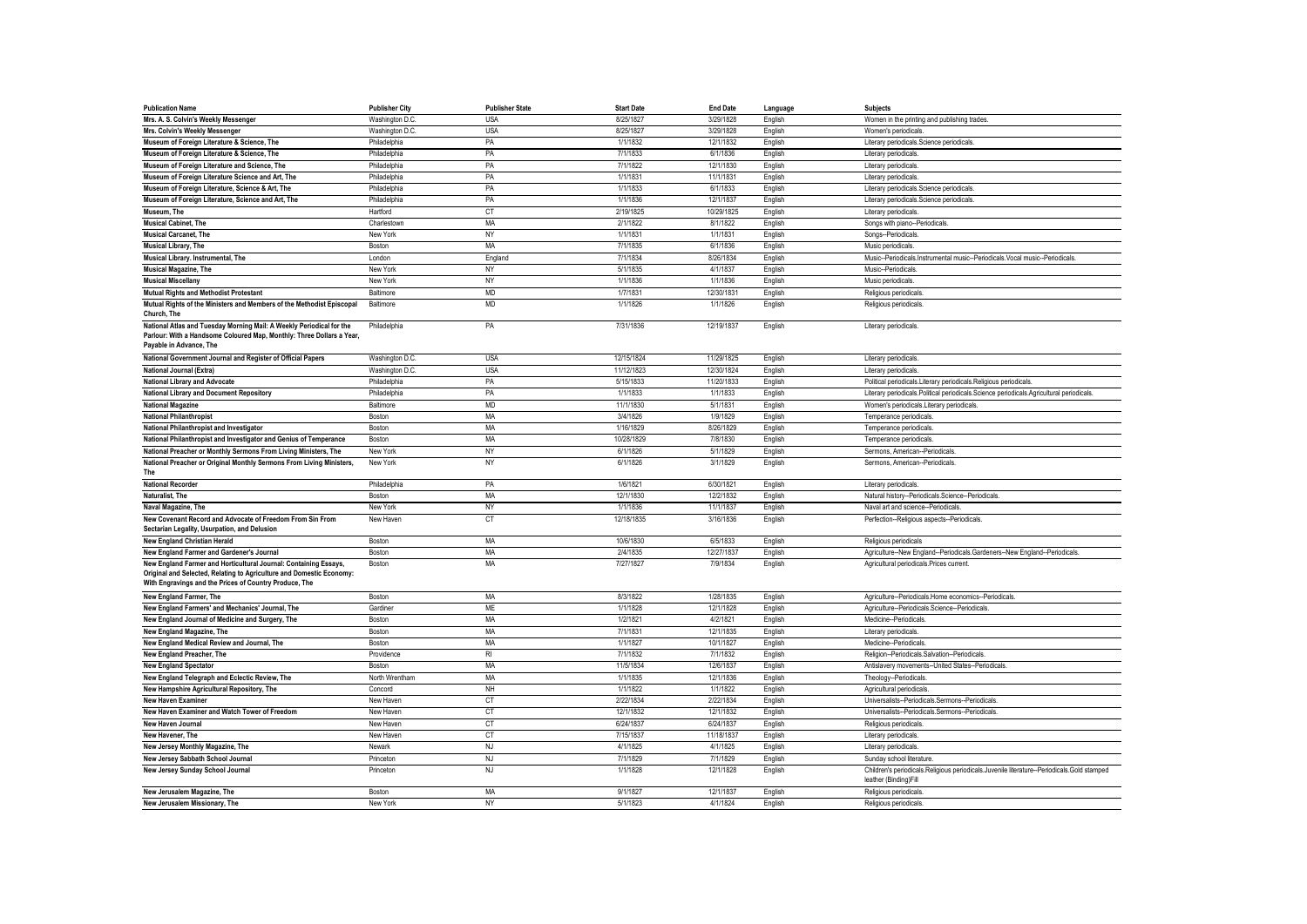| <b>Publication Name</b>                                               | <b>Publisher City</b> | <b>Publisher State</b>  | <b>Start Date</b> | <b>End Date</b> | Language | <b>Subjects</b>                                                                            |
|-----------------------------------------------------------------------|-----------------------|-------------------------|-------------------|-----------------|----------|--------------------------------------------------------------------------------------------|
| Mrs. A. S. Colvin's Weekly Messenger                                  | Washington D.C        | <b>USA</b>              | 8/25/1827         | 3/29/1828       | English  | Women in the printing and publishing trades                                                |
| Mrs. Colvin's Weekly Messenger                                        | Washington D.C.       | <b>USA</b>              | 8/25/1827         | 3/29/1828       | English  | Women's periodicals                                                                        |
| Museum of Foreign Literature & Science, The                           | Philadelphia          | PA                      | 1/1/1832          | 12/1/1832       | English  | Literary periodicals.Science periodicals.                                                  |
| Museum of Foreign Literature & Science, The                           | Philadelphia          | PA                      | 7/1/1833          | 6/1/1836        | English  | Literary periodicals.                                                                      |
| Museum of Foreign Literature and Science, The                         | Philadelphia          | PA                      | 7/1/1822          | 12/1/1830       | English  | Literary periodicals                                                                       |
| Museum of Foreign Literature Science and Art, The                     | Philadelphia          | PA                      | 1/1/1831          | 11/1/1831       | English  | Literary periodicals                                                                       |
| Museum of Foreign Literature, Science & Art, The                      | Philadelphia          | PA                      | 1/1/1833          | 6/1/1833        | English  | Literary periodicals.Science periodicals                                                   |
| Museum of Foreign Literature, Science and Art, The                    | Philadelphia          | PA                      | 1/1/1836          | 12/1/1837       | English  | Literary periodicals.Science periodicals                                                   |
| Museum, The                                                           | Hartford              | $\mathbb{C} \mathbb{T}$ | 2/19/1825         | 10/29/1825      | English  | Literary periodicals.                                                                      |
| <b>Musical Cabinet, The</b>                                           | Charlestown           | <b>MA</b>               | 2/1/1822          | 8/1/1822        | English  | Songs with piano--Periodicals                                                              |
| <b>Musical Carcanet. The</b>                                          | New York              | NY                      | 1/1/1831          | 1/1/1831        | English  | Songs--Periodicals                                                                         |
| Musical Library, The                                                  | Boston                | MA                      | 7/1/1835          | 6/1/1836        | English  | Music periodicals                                                                          |
| Musical Library. Instrumental, The                                    | London                | England                 | 7/1/1834          | 8/26/1834       | English  | Music--Periodicals.Instrumental music--Periodicals.Vocal music--Periodicals.               |
| <b>Musical Magazine, The</b>                                          | New York              | NY                      | 5/1/1835          | 4/1/1837        | English  | Music-Periodicals                                                                          |
| <b>Musical Miscellany</b>                                             | New York              | NY                      | 1/1/1836          | 1/1/1836        | English  | Music periodicals                                                                          |
| <b>Mutual Rights and Methodist Protestant</b>                         | Baltimore             | <b>MD</b>               | 1/7/1831          | 12/30/1831      | English  | Religious periodicals                                                                      |
| Mutual Rights of the Ministers and Members of the Methodist Episcopal | Baltimore             | <b>MD</b>               | 1/1/1826          | 1/1/1826        | English  | Religious periodicals                                                                      |
| Church, The                                                           |                       |                         |                   |                 |          |                                                                                            |
| National Atlas and Tuesday Morning Mail: A Weekly Periodical for the  | Philadelphia          | PA                      | 7/31/1836         | 12/19/1837      | English  | Literary periodicals.                                                                      |
| Parlour: With a Handsome Coloured Map, Monthly: Three Dollars a Year, |                       |                         |                   |                 |          |                                                                                            |
| Payable in Advance, The                                               |                       |                         |                   |                 |          |                                                                                            |
| National Government Journal and Register of Official Papers           | Washington D.C.       | <b>USA</b>              | 12/15/1824        | 11/29/1825      | English  | Literary periodicals                                                                       |
| National Journal (Extra)                                              | Washington D.C.       | <b>USA</b>              | 11/12/1823        | 12/30/1824      | English  | Literary periodicals.                                                                      |
| National Library and Advocate                                         | Philadelphia          | PA                      | 5/15/1833         | 11/20/1833      | English  | Political periodicals.Literary periodicals.Religious periodicals                           |
| National Library and Document Repository                              | Philadelphia          | PA                      | 1/1/1833          | 1/1/1833        | English  | Literary periodicals.Political periodicals.Science periodicals.Agricultural periodicals.   |
| <b>National Magazine</b>                                              | Baltimore             | <b>MD</b>               | 11/1/1830         | 5/1/1831        | English  | Women's periodicals.Literary periodicals                                                   |
| <b>National Philanthropist</b>                                        | Boston                | MA                      | 3/4/1826          | 1/9/1829        | English  | Temperance periodicals                                                                     |
| National Philanthropist and Investigator                              | Boston                | <b>MA</b>               | 1/16/1829         | 8/26/1829       | English  | Temperance periodicals                                                                     |
| National Philanthropist and Investigator and Genius of Temperance     | Boston                | <b>MA</b>               | 10/28/1829        | 7/8/1830        | English  | Temperance periodicals                                                                     |
| National Preacher or Monthly Sermons From Living Ministers. The       | New York              | <b>NY</b>               | 6/1/1826          | 5/1/1829        | English  | Sermons, American--Periodicals                                                             |
| National Preacher or Original Monthly Sermons From Living Ministers,  | New York              | NY                      | 6/1/1826          | 3/1/1829        | English  | Sermons, American--Periodicals                                                             |
| The                                                                   |                       |                         |                   |                 |          |                                                                                            |
| <b>National Recorder</b>                                              | Philadelphia          | PA                      | 1/6/1821          | 6/30/1821       | English  | Literary periodicals                                                                       |
| Naturalist. The                                                       | Boston                | MA                      | 12/1/1830         | 12/2/1832       | English  | Natural history--Periodicals.Science--Periodicals.                                         |
| Naval Magazine, The                                                   | New York              | NY                      | 1/1/1836          | 11/1/1837       | English  | Naval art and science--Periodicals                                                         |
| New Covenant Record and Advocate of Freedom From Sin From             | New Haven             | CT                      | 12/18/1835        | 3/16/1836       | English  | Perfection--Religious aspects--Periodicals                                                 |
| Sectarian Legality, Usurpation, and Delusion                          |                       |                         |                   |                 |          |                                                                                            |
| <b>New England Christian Herald</b>                                   | Boston                | <b>MA</b>               | 10/6/1830         | 6/5/1833        | English  | Religious periodicals                                                                      |
| New England Farmer and Gardener's Journal                             | Boston                | <b>MA</b>               | 2/4/1835          | 12/27/1837      | English  | Agriculture--New England--Periodicals.Gardeners--New England--Periodicals                  |
| New England Farmer and Horticultural Journal: Containing Essays,      | Boston                | MA                      | 7/27/1827         | 7/9/1834        | English  | Agricultural periodicals.Prices current                                                    |
| Original and Selected, Relating to Agriculture and Domestic Economy:  |                       |                         |                   |                 |          |                                                                                            |
| With Engravings and the Prices of Country Produce, The                |                       |                         |                   |                 |          |                                                                                            |
| New England Farmer, The                                               | Boston                | MA                      | 8/3/1822          | 1/28/1835       | English  | Agriculture--Periodicals.Home economics--Periodicals                                       |
| New England Farmers' and Mechanics' Journal, The                      | Gardiner              | <b>ME</b>               | 1/1/1828          | 12/1/1828       | English  | Agriculture--Periodicals.Science--Periodicals                                              |
| New England Journal of Medicine and Surgery, The                      | Boston                | MA                      | 1/2/1821          | 4/2/1821        | English  | Medicine-Periodicals.                                                                      |
| New England Magazine, The                                             | Boston                | MA                      | 7/1/1831          | 12/1/1835       | English  | Literary periodicals                                                                       |
| New England Medical Review and Journal, The                           | Boston                | MA                      | 1/1/1827          | 10/1/1827       | English  | Medicine--Periodicals.                                                                     |
| New England Preacher, The                                             | Providence            | R <sub>l</sub>          | 7/1/1832          | 7/1/1832        | English  | Religion--Periodicals.Salvation--Periodicals                                               |
| <b>New England Spectator</b>                                          | Boston                | MA                      | 11/5/1834         | 12/6/1837       | English  | Antislavery movements--United States--Periodicals                                          |
| New England Telegraph and Eclectic Review, The                        | North Wrentham        | <b>MA</b>               | 1/1/1835          | 12/1/1836       | English  | Theology--Periodicals                                                                      |
| New Hampshire Agricultural Repository, The                            | Concord               | <b>NH</b>               | 1/1/1822          | 1/1/1822        | English  | Agricultural periodicals                                                                   |
| <b>New Haven Examiner</b>                                             | New Haven             | <b>CT</b>               | 2/22/1834         | 2/22/1834       | English  | Universalists--Periodicals.Sermons--Periodicals                                            |
| New Haven Examiner and Watch Tower of Freedom                         | New Haven             | CT                      | 12/1/1832         | 12/1/1832       | English  | Universalists--Periodicals.Sermons--Periodicals                                            |
| New Haven Journal                                                     | New Haven             | CT                      | 6/24/1837         | 6/24/1837       | English  | Religious periodicals                                                                      |
| New Havener, The                                                      | New Haven             | <b>CT</b>               | 7/15/1837         | 11/18/1837      | English  | Literary periodicals                                                                       |
| New Jersey Monthly Magazine, The                                      | Newark                | NJ                      | 4/1/1825          | 4/1/1825        | English  | Literary periodicals                                                                       |
| New Jersey Sabbath School Journal                                     | Princeton             | NJ                      | 7/1/1829          | 7/1/1829        | English  | Sunday school literature.                                                                  |
| New Jersey Sunday School Journal                                      | Princeton             | NJ                      | 1/1/1828          | 12/1/1828       | English  | Children's periodicals.Religious periodicals.Juvenile literature--Periodicals.Gold stamped |
|                                                                       |                       |                         |                   |                 |          | leather (Binding)Fill                                                                      |
| New Jerusalem Magazine, The                                           | Boston                | MA                      | 9/1/1827          | 12/1/1837       | English  | Religious periodicals                                                                      |
| New Jerusalem Missionary. The                                         | New York              | NY                      | 5/1/1823          | 4/1/1824        | English  | Religious periodicals                                                                      |
|                                                                       |                       |                         |                   |                 |          |                                                                                            |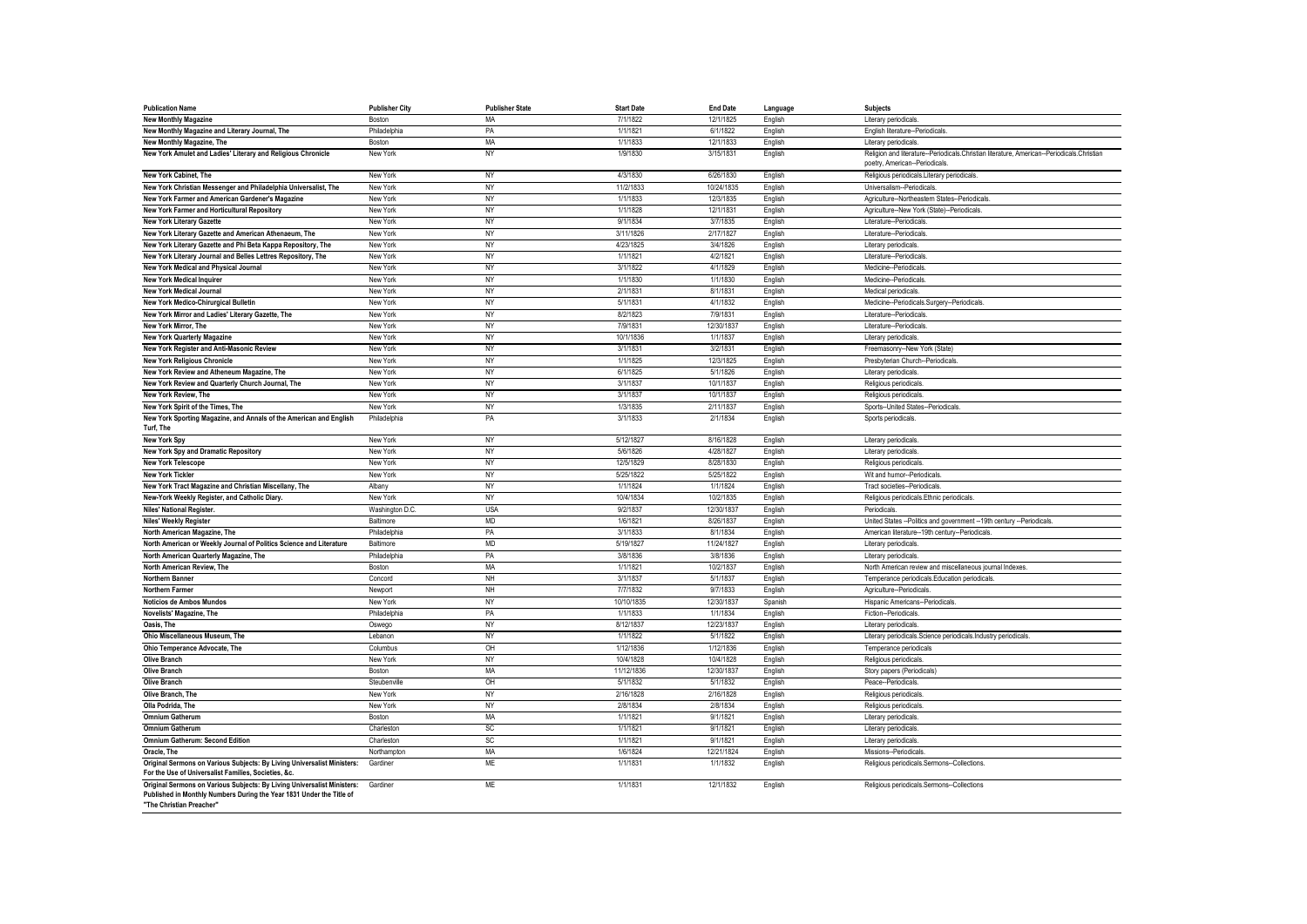| <b>Publication Name</b>                                                                                                                                                     | <b>Publisher City</b> | <b>Publisher State</b> | <b>Start Date</b> | <b>End Date</b> | Language | <b>Subjects</b>                                                                            |
|-----------------------------------------------------------------------------------------------------------------------------------------------------------------------------|-----------------------|------------------------|-------------------|-----------------|----------|--------------------------------------------------------------------------------------------|
| <b>New Monthly Magazine</b>                                                                                                                                                 | Boston                | MA                     | 7/1/1822          | 12/1/1825       | English  | Literary periodicals.                                                                      |
| New Monthly Magazine and Literary Journal, The                                                                                                                              | Philadelphia          | PA                     | 1/1/1821          | 6/1/1822        | English  | English literature--Periodicals                                                            |
| New Monthly Magazine, The                                                                                                                                                   | Boston                | <b>MA</b>              | 1/1/1833          | 12/1/1833       | English  | Literary periodicals                                                                       |
| New York Amulet and Ladies' Literary and Religious Chronicle                                                                                                                | New York              | NY                     | 1/9/1830          | 3/15/1831       | English  | Religion and literature--Periodicals.Christian literature, American--Periodicals.Christian |
|                                                                                                                                                                             |                       |                        |                   |                 |          | poetry, American--Periodicals.                                                             |
| <b>New York Cabinet. The</b>                                                                                                                                                | New York              | NY                     | 4/3/1830          | 6/26/1830       | English  | Religious periodicals.Literary periodicals.                                                |
| New York Christian Messenger and Philadelphia Universalist, The                                                                                                             | New York              | NY                     | 11/2/1833         | 10/24/1835      | English  | Universalism--Periodicals                                                                  |
| New York Farmer and American Gardener's Magazine                                                                                                                            | New York              | NY                     | 1/1/1833          | 12/3/1835       | English  | Agriculture--Northeastern States--Periodicals                                              |
| New York Farmer and Horticultural Repository                                                                                                                                | New York              | NY                     | 1/1/1828          | 12/1/1831       | English  | Agriculture--New York (State)--Periodicals                                                 |
| <b>New York Literary Gazette</b>                                                                                                                                            | New York              | NY                     | 9/1/1834          | 3/7/1835        | English  | Literature--Periodicals                                                                    |
| New York Literary Gazette and American Athenaeum, The                                                                                                                       | New York              | NY                     | 3/11/1826         | 2/17/1827       | English  | Literature--Periodicals                                                                    |
| New York Literary Gazette and Phi Beta Kappa Repository. The                                                                                                                | New York              | NY                     | 4/23/1825         | 3/4/1826        | English  | Literary periodicals.                                                                      |
| New York Literary Journal and Belles Lettres Repository, The                                                                                                                | New York              | NY                     | 1/1/1821          | 4/2/1821        | English  | Literature--Periodicals                                                                    |
| New York Medical and Physical Journal                                                                                                                                       | New York              | NY                     | 3/1/1822          | 4/1/1829        | English  | Medicine--Periodicals.                                                                     |
| <b>New York Medical Inquirer</b>                                                                                                                                            | New York              | NY                     | 1/1/1830          | 1/1/1830        | English  | Medicine-Periodicals.                                                                      |
| <b>New York Medical Journal</b>                                                                                                                                             | New York              | <b>NY</b>              | 2/1/1831          | 8/1/1831        | English  | Medical periodicals                                                                        |
| New York Medico-Chirurgical Bulletin                                                                                                                                        | New York              | NY                     | 5/1/1831          | 4/1/1832        | English  | Medicine--Periodicals.Surgery--Periodicals                                                 |
| New York Mirror and Ladies' Literary Gazette, The                                                                                                                           | New York              | NY                     | 8/2/1823          | 7/9/1831        | English  | Literature--Periodicals                                                                    |
| New York Mirror. The                                                                                                                                                        | New York              | NY                     | 7/9/1831          | 12/30/1837      | English  | Literature-Periodicals.                                                                    |
| <b>New York Quarterly Magazine</b>                                                                                                                                          | New York              | <b>NY</b>              | 10/1/1836         | 1/1/1837        | English  | Literary periodicals                                                                       |
| New York Register and Anti-Masonic Review                                                                                                                                   | New York              | NY                     | 3/1/1831          | 3/2/1831        | English  | Freemasonry--New York (State)                                                              |
| <b>New York Religious Chronicle</b>                                                                                                                                         | New York              | NY                     | 1/1/1825          | 12/3/1825       | English  | Presbyterian Church--Periodicals                                                           |
| New York Review and Atheneum Magazine. The                                                                                                                                  | New York              | <b>NY</b>              | 6/1/1825          | 5/1/1826        | English  | Literary periodicals                                                                       |
| New York Review and Quarterly Church Journal, The                                                                                                                           | New York              | NY                     | 3/1/1837          | 10/1/1837       | English  | Religious periodicals                                                                      |
| New York Review, The                                                                                                                                                        | New York              | NY                     | 3/1/1837          | 10/1/1837       | English  | Religious periodicals                                                                      |
| New York Spirit of the Times, The                                                                                                                                           | New York              | NY                     | 1/3/1835          | 2/11/1837       | English  | Sports--United States--Periodicals.                                                        |
| New York Sporting Magazine, and Annals of the American and English<br>Turf. The                                                                                             | Philadelphia          | PA                     | 3/1/1833          | 2/1/1834        | English  | Sports periodicals.                                                                        |
| New York Spy                                                                                                                                                                | New York              | <b>NY</b>              | 5/12/1827         | 8/16/1828       | English  | Literary periodicals                                                                       |
| New York Spy and Dramatic Repository                                                                                                                                        | New York              | NY                     | 5/6/1826          | 4/28/1827       | English  | Literary periodicals.                                                                      |
| <b>New York Telescope</b>                                                                                                                                                   | New York              | NY                     | 12/5/1829         | 8/28/1830       | English  | Religious periodicals                                                                      |
| <b>New York Tickler</b>                                                                                                                                                     | New York              | NY                     | 5/25/1822         | 5/25/1822       | English  | Wit and humor--Periodicals                                                                 |
| New York Tract Magazine and Christian Miscellany, The                                                                                                                       | Albany                | NY                     | 1/1/1824          | 1/1/1824        | English  | Tract societies--Periodicals                                                               |
| New-York Weekly Register, and Catholic Diary.                                                                                                                               | New York              | NY                     | 10/4/1834         | 10/2/1835       | English  | Religious periodicals.Ethnic periodicals.                                                  |
| Niles' National Register.                                                                                                                                                   | Washington D.C.       | <b>USA</b>             | 9/2/1837          | 12/30/1837      | English  | Periodicals.                                                                               |
| <b>Niles' Weekly Register</b>                                                                                                                                               | Baltimore             | <b>MD</b>              | 1/6/1821          | 8/26/1837       | English  | United States -- Politics and government -- 19th century -- Periodicals.                   |
| North American Magazine. The                                                                                                                                                | Philadelphia          | PA                     | 3/1/1833          | 8/1/1834        | English  | American literature--19th century--Periodicals.                                            |
| North American or Weekly Journal of Politics Science and Literature                                                                                                         | Baltimore             | <b>MD</b>              | 5/19/1827         | 11/24/1827      | English  | Literary periodicals                                                                       |
| North American Quarterly Magazine, The                                                                                                                                      | Philadelphia          | PA                     | 3/8/1836          | 3/8/1836        | English  | Literary periodicals.                                                                      |
| North American Review, The                                                                                                                                                  | Boston                | MA                     | 1/1/1821          | 10/2/1837       | English  | North American review and miscellaneous journal Indexes.                                   |
| Northern Banner                                                                                                                                                             | Concord               | <b>NH</b>              | 3/1/1837          | 5/1/1837        | English  | Temperance periodicals.Education periodicals                                               |
| <b>Northern Farmer</b>                                                                                                                                                      | Newport               | <b>NH</b>              | 7/7/1832          | 9/7/1833        | English  | Agriculture--Periodicals.                                                                  |
| Noticios de Ambos Mundos                                                                                                                                                    | New York              | NY                     | 10/10/1835        | 12/30/1837      | Spanish  | Hispanic Americans--Periodicals                                                            |
| Novelists' Magazine, The                                                                                                                                                    | Philadelphia          | PA                     | 1/1/1833          | 1/1/1834        | English  | Fiction--Periodicals                                                                       |
| Oasis. The                                                                                                                                                                  | Oswego                | NY                     | 8/12/1837         | 12/23/1837      | English  | Literary periodicals.                                                                      |
| Ohio Miscellaneous Museum, The                                                                                                                                              | Lebanon               | NY                     | 1/1/1822          | 5/1/1822        | English  | Literary periodicals.Science periodicals.Industry periodicals.                             |
| Ohio Temperance Advocate, The                                                                                                                                               | Columbus              | OH                     | 1/12/1836         | 1/12/1836       | English  | Temperance periodicals                                                                     |
| <b>Olive Branch</b>                                                                                                                                                         | New York              | NY                     | 10/4/1828         | 10/4/1828       | English  | Religious periodicals                                                                      |
| <b>Olive Branch</b>                                                                                                                                                         | Boston                | MA                     | 11/12/1836        | 12/30/1837      | English  | Story papers (Periodicals)                                                                 |
| <b>Olive Branch</b>                                                                                                                                                         | Steubenville          | OH                     | 5/1/1832          | 5/1/1832        | English  | Peace--Periodicals                                                                         |
| Olive Branch, The                                                                                                                                                           | New York              | NY                     | 2/16/1828         | 2/16/1828       | English  | Religious periodicals                                                                      |
| Olla Podrida, The                                                                                                                                                           | New York              | NY                     | 2/8/1834          | 2/8/1834        | English  | Religious periodicals                                                                      |
| <b>Omnium Gatherum</b>                                                                                                                                                      | Boston                | MA                     | 1/1/1821          | 9/1/1821        | English  | Literary periodicals                                                                       |
| <b>Omnium Gatherum</b>                                                                                                                                                      | Charleston            | SC                     | 1/1/1821          | 9/1/1821        | English  | Literary periodicals                                                                       |
| <b>Omnium Gatherum: Second Edition</b>                                                                                                                                      | Charleston            | SC                     | 1/1/1821          | 9/1/1821        | English  | Literary periodicals.                                                                      |
| Oracle. The                                                                                                                                                                 | Northampton           | MA                     | 1/6/1824          | 12/21/1824      | English  | Missions--Periodicals.                                                                     |
| Original Sermons on Various Subjects: By Living Universalist Ministers:<br>For the Use of Universalist Families, Societies, &c.                                             | Gardiner              | <b>ME</b>              | 1/1/1831          | 1/1/1832        | English  | Religious periodicals.Sermons--Collections.                                                |
| Original Sermons on Various Subjects: By Living Universalist Ministers:<br>Published in Monthly Numbers During the Year 1831 Under the Title of<br>"The Christian Preacher" | Gardiner              | <b>ME</b>              | 1/1/1831          | 12/1/1832       | English  | Religious periodicals.Sermons--Collections                                                 |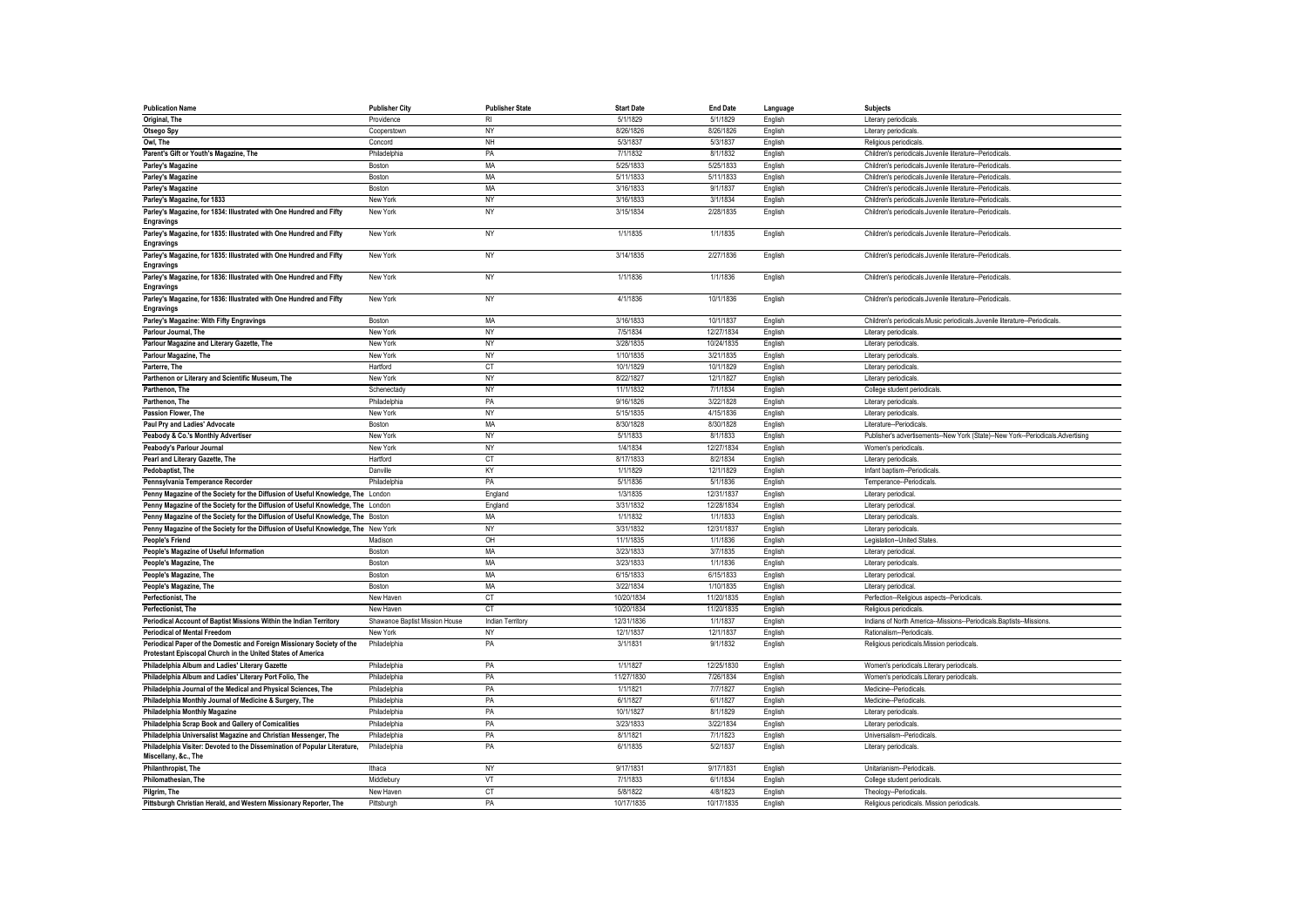| <b>Publication Name</b>                                                           | <b>Publisher City</b>          | <b>Publisher State</b>  | <b>Start Date</b> | <b>End Date</b> | Language | <b>Subjects</b>                                                                 |
|-----------------------------------------------------------------------------------|--------------------------------|-------------------------|-------------------|-----------------|----------|---------------------------------------------------------------------------------|
| Original, The                                                                     | Providence                     | <b>RI</b>               | 5/1/1829          | 5/1/1829        | English  | Literary periodicals.                                                           |
| Otsego Spy                                                                        | Cooperstown                    | NY                      | 8/26/1826         | 8/26/1826       | English  | Literary periodicals.                                                           |
| Owl. The                                                                          | Concord                        | NH                      | 5/3/1837          | 5/3/1837        | English  | Religious periodicals                                                           |
| Parent's Gift or Youth's Magazine, The                                            | Philadelphia                   | PA                      | 7/1/1832          | 8/1/1832        | English  | Children's periodicals.Juvenile literature--Periodicals                         |
| Parley's Magazine                                                                 | Boston                         | <b>MA</b>               | 5/25/1833         | 5/25/1833       | English  | Children's periodicals.Juvenile literature--Periodicals                         |
| Parley's Magazine                                                                 | Boston                         | MA                      | 5/11/1833         | 5/11/1833       | English  | Children's periodicals.Juvenile literature--Periodicals                         |
| Parley's Magazine                                                                 | Boston                         | <b>MA</b>               | 3/16/1833         | 9/1/1837        | English  | Children's periodicals.Juvenile literature--Periodicals                         |
| Parley's Magazine, for 1833                                                       | New York                       | <b>NY</b>               | 3/16/1833         | 3/1/1834        | English  | Children's periodicals.Juvenile literature--Periodicals.                        |
| Parley's Magazine, for 1834: Illustrated with One Hundred and Fifty               | New York                       | <b>NY</b>               | 3/15/1834         | 2/28/1835       | English  | Children's periodicals.Juvenile literature--Periodicals.                        |
| <b>Engravings</b>                                                                 |                                |                         |                   |                 |          |                                                                                 |
| Parley's Magazine, for 1835: Illustrated with One Hundred and Fifty               | New York                       | <b>NY</b>               | 1/1/1835          | 1/1/1835        | English  | Children's periodicals.Juvenile literature--Periodicals.                        |
| <b>Engravings</b>                                                                 |                                |                         |                   |                 |          |                                                                                 |
| Parley's Magazine, for 1835: Illustrated with One Hundred and Fifty               | New York                       | <b>NY</b>               | 3/14/1835         | 2/27/1836       | English  | Children's periodicals.Juvenile literature--Periodicals.                        |
| Engravings                                                                        |                                |                         |                   |                 |          |                                                                                 |
| Parley's Magazine, for 1836: Illustrated with One Hundred and Fifty               | New York                       | NY                      | 1/1/1836          | 1/1/1836        | English  | Children's periodicals.Juvenile literature--Periodicals.                        |
| <b>Engravings</b>                                                                 |                                |                         |                   |                 |          |                                                                                 |
| Parley's Magazine, for 1836: Illustrated with One Hundred and Fifty               | New York                       | <b>NY</b>               | 4/1/1836          | 10/1/1836       | English  | Children's periodicals.Juvenile literature--Periodicals                         |
| <b>Engravings</b>                                                                 |                                |                         |                   |                 |          |                                                                                 |
| Parley's Magazine: With Fifty Engravings                                          | Boston                         | <b>MA</b>               | 3/16/1833         | 10/1/1837       | English  | Children's periodicals.Music periodicals.Juvenile literature--Periodicals       |
| Parlour Journal, The                                                              | New York                       | NY                      | 7/5/1834          | 12/27/1834      | English  | Literary periodicals.                                                           |
| Parlour Magazine and Literary Gazette, The                                        | New York                       | NY                      | 3/28/1835         | 10/24/1835      | English  | Literary periodicals.                                                           |
| <b>Parlour Magazine, The</b>                                                      | New York                       | <b>NY</b>               | 1/10/1835         | 3/21/1835       | English  | Literary periodicals.                                                           |
| Parterre, The                                                                     | Hartford                       | CT                      | 10/1/1829         | 10/1/1829       | English  | Literary periodicals.                                                           |
| Parthenon or Literary and Scientific Museum, The                                  | New York                       | <b>NY</b>               | 8/22/1827         | 12/1/1827       | English  | Literary periodicals.                                                           |
| Parthenon, The                                                                    | Schenectady                    | <b>NY</b>               | 11/1/1832         | 7/1/1834        | English  | College student periodicals                                                     |
| Parthenon, The                                                                    | Philadelphia                   | PA                      | 9/16/1826         | 3/22/1828       | English  | Literary periodicals.                                                           |
| Passion Flower, The                                                               | New York                       | NY                      | 5/15/1835         | 4/15/1836       | English  | Literary periodicals                                                            |
| Paul Pry and Ladies' Advocate                                                     | Boston                         | <b>MA</b>               | 8/30/1828         | 8/30/1828       | English  | Literature--Periodicals                                                         |
| Peabody & Co.'s Monthly Advertiser                                                | New York                       | <b>NY</b>               | 5/1/1833          | 8/1/1833        | English  | Publisher's advertisements--New York (State)--New York--Periodicals.Advertising |
| Peabody's Parlour Journal                                                         | New York                       | <b>NY</b>               | 1/4/1834          | 12/27/1834      | English  | Women's periodicals                                                             |
| Pearl and Literary Gazette, The                                                   | Hartford                       | CT                      | 8/17/1833         | 8/2/1834        | English  | Literary periodicals.                                                           |
| Pedobaptist, The                                                                  | Danville                       | KY                      | 1/1/1829          | 12/1/1829       | English  | Infant baptism--Periodicals                                                     |
| Pennsylvania Temperance Recorder                                                  | Philadelphia                   | PA                      | 5/1/1836          | 5/1/1836        | English  | Temperance--Periodicals.                                                        |
| Penny Magazine of the Society for the Diffusion of Useful Knowledge, The London   |                                | England                 | 1/3/1835          | 12/31/1837      | English  | Literary periodical                                                             |
| Penny Magazine of the Society for the Diffusion of Useful Knowledge, The London   |                                | England                 | 3/31/1832         | 12/28/1834      | English  | Literary periodical                                                             |
| Penny Magazine of the Society for the Diffusion of Useful Knowledge, The Boston   |                                | <b>MA</b>               | 1/1/1832          | 1/1/1833        | English  | Literary periodicals                                                            |
| Penny Magazine of the Society for the Diffusion of Useful Knowledge, The New York |                                | NY                      | 3/31/1832         | 12/31/1837      | English  | Literary periodicals.                                                           |
| <b>People's Friend</b>                                                            | Madison                        | OH                      | 11/1/1835         | 1/1/1836        | English  | Legislation--United States                                                      |
| People's Magazine of Useful Information                                           | Boston                         | <b>MA</b>               | 3/23/1833         | 3/7/1835        | English  | Literary periodical                                                             |
| People's Magazine, The                                                            | Boston                         | MA                      | 3/23/1833         | 1/1/1836        | English  | Literary periodicals.                                                           |
| People's Magazine, The                                                            | Boston                         | MA                      | 6/15/1833         | 6/15/1833       | English  | Literary periodical                                                             |
| People's Magazine, The                                                            | Boston                         | MA                      | 3/22/1834         | 1/10/1835       | English  | Literary periodical                                                             |
| Perfectionist, The                                                                | New Haven                      | CT                      | 10/20/1834        | 11/20/1835      | English  | Perfection--Religious aspects--Periodicals                                      |
| Perfectionist. The                                                                | New Haven                      | CT                      | 10/20/1834        | 11/20/1835      | English  | Religious periodicals                                                           |
| Periodical Account of Baptist Missions Within the Indian Territory                | Shawanoe Baptist Mission House | <b>Indian Territory</b> | 12/31/1836        | 1/1/1837        | English  | Indians of North America--Missions--Periodicals.Baptists--Missions.             |
| <b>Periodical of Mental Freedom</b>                                               | New York                       | NY                      | 12/1/1837         | 12/1/1837       | English  | Rationalism--Periodicals                                                        |
| Periodical Paper of the Domestic and Foreign Missionary Society of the            | Philadelphia                   | PA                      | 3/1/1831          | 9/1/1832        | English  | Religious periodicals.Mission periodicals.                                      |
| Protestant Episcopal Church in the United States of America                       |                                |                         |                   |                 |          |                                                                                 |
| Philadelphia Album and Ladies' Literary Gazette                                   | Philadelphia                   | PA                      | 1/1/1827          | 12/25/1830      | English  | Women's periodicals.Literary periodicals                                        |
| Philadelphia Album and Ladies' Literary Port Folio, The                           | Philadelphia                   | PA                      | 11/27/1830        | 7/26/1834       | English  | Women's periodicals.Literary periodicals                                        |
| Philadelphia Journal of the Medical and Physical Sciences, The                    | Philadelphia                   | PA                      | 1/1/1821          | 7/7/1827        | English  | Medicine--Periodicals                                                           |
| Philadelphia Monthly Journal of Medicine & Surgery, The                           | Philadelphia                   | PA                      | 6/1/1827          | 6/1/1827        | English  | Medicine--Periodicals                                                           |
| Philadelphia Monthly Magazine                                                     | Philadelphia                   | PA                      | 10/1/1827         | 8/1/1829        | English  | Literary periodicals.                                                           |
| Philadelphia Scrap Book and Gallery of Comicalities                               | Philadelphia                   | PA                      | 3/23/1833         | 3/22/1834       | English  | Literary periodicals.                                                           |
| Philadelphia Universalist Magazine and Christian Messenger, The                   | Philadelphia                   | PA                      | 8/1/1821          | 7/1/1823        | English  | Universalism--Periodicals                                                       |
| Philadelphia Visiter: Devoted to the Dissemination of Popular Literature,         | Philadelphia                   | PA                      | 6/1/1835          | 5/2/1837        | English  | Literary periodicals.                                                           |
| Miscellany, &c., The                                                              |                                |                         |                   |                 |          |                                                                                 |
| Philanthropist, The                                                               | Ithaca                         | NY                      | 9/17/1831         | 9/17/1831       | English  | Unitarianism--Periodicals                                                       |
| Philomathesian, The                                                               | Middlebury                     | VT                      | 7/1/1833          | 6/1/1834        | English  | College student periodicals                                                     |
| Pilgrim, The                                                                      | New Haven                      | CT                      | 5/8/1822          | 4/8/1823        | English  | Theology--Periodicals                                                           |
| Pittsburgh Christian Herald, and Western Missionary Reporter, The                 | Pittsburgh                     | PA                      | 10/17/1835        | 10/17/1835      | English  | Religious periodicals. Mission periodicals.                                     |
|                                                                                   |                                |                         |                   |                 |          |                                                                                 |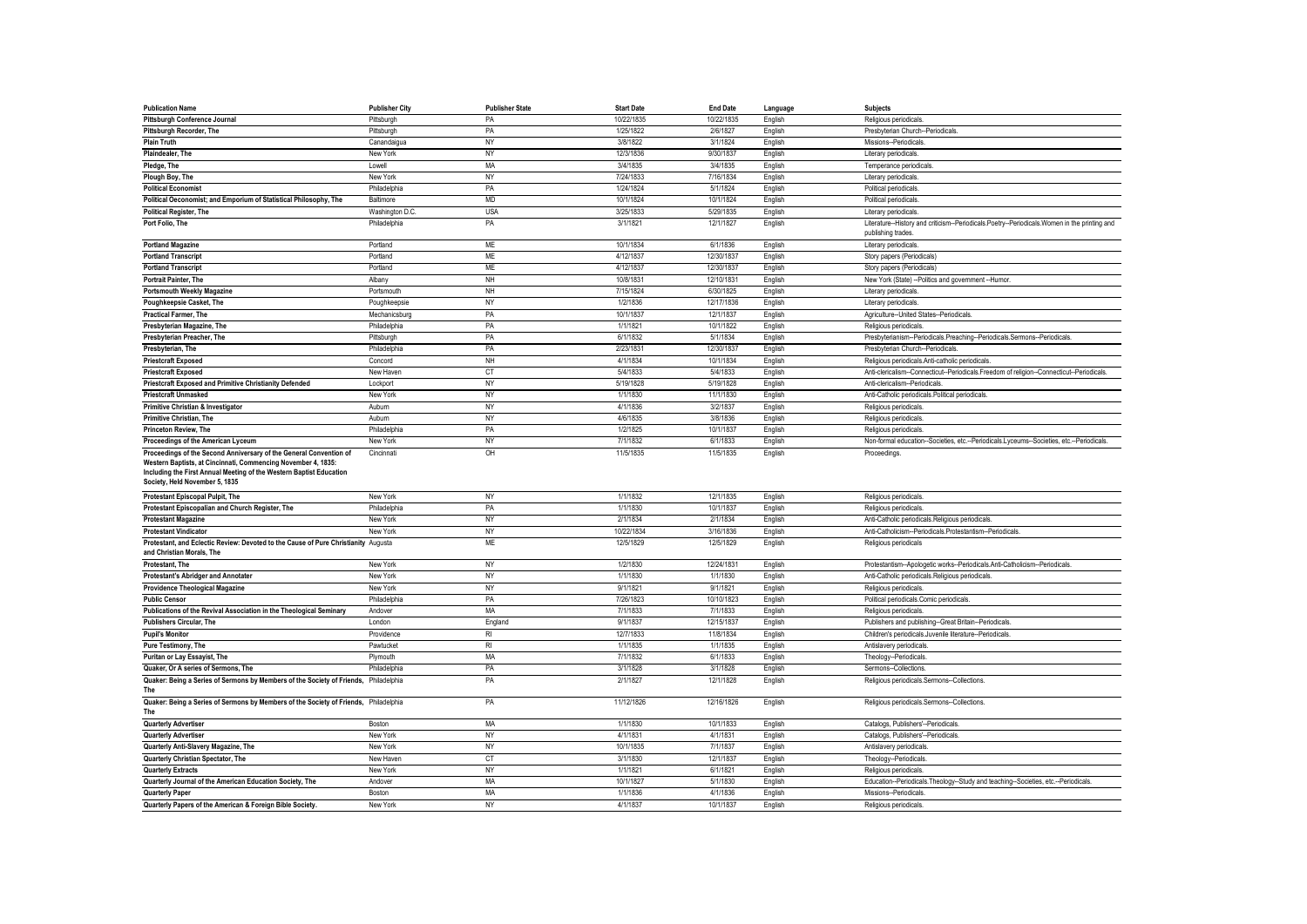| <b>Publication Name</b>                                                                                                                                                | <b>Publisher City</b> | <b>Publisher State</b> | <b>Start Date</b> | <b>End Date</b> | Language | Subjects                                                                                                          |
|------------------------------------------------------------------------------------------------------------------------------------------------------------------------|-----------------------|------------------------|-------------------|-----------------|----------|-------------------------------------------------------------------------------------------------------------------|
| Pittsburgh Conference Journal                                                                                                                                          | Pittsburgh            | PA                     | 10/22/1835        | 10/22/1835      | English  | Religious periodicals                                                                                             |
| Pittsburgh Recorder, The                                                                                                                                               | Pittsburgh            | PA                     | 1/25/1822         | 2/6/1827        | English  | Presbyterian Church--Periodicals                                                                                  |
| <b>Plain Truth</b>                                                                                                                                                     | Canandaigua           | NY                     | 3/8/1822          | 3/1/1824        | English  | Missions--Periodicals                                                                                             |
| Plaindealer, The                                                                                                                                                       | New York              | <b>NY</b>              | 12/3/1836         | 9/30/1837       | English  | Literary periodicals                                                                                              |
| Pledge, The                                                                                                                                                            | Lowell                | MA                     | 3/4/1835          | 3/4/1835        | English  | Temperance periodicals                                                                                            |
| Plough Boy, The                                                                                                                                                        | New York              | NY                     | 7/24/1833         | 7/16/1834       | English  | Literary periodicals                                                                                              |
| <b>Political Economist</b>                                                                                                                                             | Philadelphia          | PA                     | 1/24/1824         | 5/1/1824        | English  | Political periodicals                                                                                             |
| Political Oeconomist; and Emporium of Statistical Philosophy, The                                                                                                      | Baltimore             | <b>MD</b>              | 10/1/1824         | 10/1/1824       | English  | Political periodicals.                                                                                            |
| Political Register, The                                                                                                                                                | Washington D.C.       | <b>USA</b>             | 3/25/1833         | 5/29/1835       | English  | Literary periodicals                                                                                              |
| Port Folio, The                                                                                                                                                        | Philadelphia          | PA                     | 3/1/1821          | 12/1/1827       | English  | Literature--History and criticism--Periodicals.Poetry--Periodicals.Women in the printing and<br>publishing trades |
| <b>Portland Magazine</b>                                                                                                                                               | Portland              | ME                     | 10/1/1834         | 6/1/1836        | English  | Literary periodicals                                                                                              |
| <b>Portland Transcript</b>                                                                                                                                             | Portland              | ME                     | 4/12/1837         | 12/30/1837      | English  | Story papers (Periodicals)                                                                                        |
| <b>Portland Transcript</b>                                                                                                                                             | Portland              | <b>ME</b>              | 4/12/1837         | 12/30/1837      | English  | Story papers (Periodicals)                                                                                        |
| Portrait Painter, The                                                                                                                                                  | Albany                | <b>NH</b>              | 10/8/1831         | 12/10/1831      | English  | New York (State) -- Politics and government -- Humor.                                                             |
| <b>Portsmouth Weekly Magazine</b>                                                                                                                                      | Portsmouth            | NH                     | 7/15/1824         | 6/30/1825       | English  | Literary periodicals                                                                                              |
| Poughkeepsie Casket, The                                                                                                                                               | Poughkeepsie          | <b>NY</b>              | 1/2/1836          | 12/17/1836      | English  | Literary periodicals                                                                                              |
| <b>Practical Farmer, The</b>                                                                                                                                           | Mechanicsburg         | PA                     | 10/1/1837         | 12/1/1837       | English  | Agriculture--United States--Periodicals.                                                                          |
| Presbyterian Magazine, The                                                                                                                                             | Philadelphia          | PA                     | 1/1/1821          | 10/1/1822       | English  | Religious periodicals                                                                                             |
| Presbyterian Preacher, The                                                                                                                                             | Pittsburgh            | PA                     | 6/1/1832          | 5/1/1834        | English  | Presbyterianism--Periodicals.Preaching--Periodicals.Sermons--Periodicals.                                         |
| Presbyterian, The                                                                                                                                                      | Philadelphia          | PA                     | 2/23/1831         | 12/30/1837      | English  | Presbyterian Church--Periodicals                                                                                  |
| <b>Priestcraft Exposed</b>                                                                                                                                             | Concord               | NH                     | 4/1/1834          | 10/1/1834       | English  | Religious periodicals.Anti-catholic periodicals                                                                   |
| <b>Priestcraft Exposed</b>                                                                                                                                             | New Haven             | CT                     | 5/4/1833          | 5/4/1833        | English  | Anti-clericalism--Connecticut--Periodicals.Freedom of religion--Connecticut--Periodicals                          |
| Priestcraft Exposed and Primitive Christianity Defended                                                                                                                | Lockport              | <b>NY</b>              | 5/19/1828         | 5/19/1828       | English  | Anti-clericalism--Periodicals                                                                                     |
| <b>Priestcraft Unmasked</b>                                                                                                                                            | New York              | <b>NY</b>              | 1/1/1830          | 11/1/1830       | English  | Anti-Catholic periodicals.Political periodicals                                                                   |
| <b>Primitive Christian &amp; Investigator</b>                                                                                                                          | Aubum                 | <b>NY</b>              | 4/1/1836          | 3/2/1837        | English  | Religious periodicals                                                                                             |
| Primitive Christian, The                                                                                                                                               | Aubum                 | NY                     | 4/6/1835          | 3/8/1836        | English  | Religious periodicals                                                                                             |
| Princeton Review, The                                                                                                                                                  | Philadelphia          | PA                     | 1/2/1825          | 10/1/1837       | English  | Religious periodicals                                                                                             |
| Proceedings of the American Lyceum                                                                                                                                     | New York              | NY                     | 7/1/1832          | 6/1/1833        | English  | Non-formal education--Societies, etc.--Periodicals.Lyceums--Societies, etc.--Periodicals.                         |
| Proceedings of the Second Anniversary of the General Convention of                                                                                                     | Cincinnati            | OH                     | 11/5/1835         | 11/5/1835       | English  | Proceedings                                                                                                       |
| Western Baptists, at Cincinnati, Commencing November 4, 1835:<br>Including the First Annual Meeting of the Western Baptist Education<br>Society, Held November 5, 1835 |                       |                        |                   |                 |          |                                                                                                                   |
| Protestant Episcopal Pulpit, The                                                                                                                                       | New York              | NY                     | 1/1/1832          | 12/1/1835       | English  | Religious periodicals.                                                                                            |
| Protestant Episcopalian and Church Register, The                                                                                                                       | Philadelphia          | PA                     | 1/1/1830          | 10/1/1837       | English  | Religious periodicals                                                                                             |
| <b>Protestant Magazine</b>                                                                                                                                             | New York              | NY                     | 2/1/1834          | 2/1/1834        | English  | Anti-Catholic periodicals.Religious periodicals.                                                                  |
| <b>Protestant Vindicator</b>                                                                                                                                           | New York              | ΝY                     | 10/22/1834        | 3/16/1836       | English  | Anti-Catholicism--Periodicals.Protestantism--Periodicals.                                                         |
| Protestant, and Eclectic Review: Devoted to the Cause of Pure Christianity Augusta<br>and Christian Morals, The                                                        |                       | <b>ME</b>              | 12/5/1829         | 12/5/1829       | English  | Religious periodicals                                                                                             |
| Protestant, The                                                                                                                                                        | New York              | NY                     | 1/2/1830          | 12/24/1831      | English  | Protestantism--Apologetic works--Periodicals.Anti-Catholicism--Periodicals.                                       |
| <b>Protestant's Abridger and Annotater</b>                                                                                                                             | New York              | NY                     | 1/1/1830          | 1/1/1830        | English  | Anti-Catholic periodicals.Religious periodicals                                                                   |
| <b>Providence Theological Magazine</b>                                                                                                                                 | New York              | <b>NY</b>              | 9/1/1821          | 9/1/1821        | English  | Religious periodicals                                                                                             |
| <b>Public Censor</b>                                                                                                                                                   | Philadelphia          | PA                     | 7/26/1823         | 10/10/1823      | English  | Political periodicals.Comic periodicals.                                                                          |
| Publications of the Revival Association in the Theological Seminary                                                                                                    | Andover               | MA                     | 7/1/1833          | 7/1/1833        | English  | Religious periodicals                                                                                             |
| <b>Publishers Circular, The</b>                                                                                                                                        | I ondon               | England                | 9/1/1837          | 12/15/1837      | English  | Publishers and publishing--Great Britain--Periodicals                                                             |
| <b>Pupil's Monitor</b>                                                                                                                                                 | Providence            | $R_{\rm I}$            | 12/7/1833         | 11/8/1834       | English  | Children's periodicals.Juvenile literature--Periodicals                                                           |
| Pure Testimony, The                                                                                                                                                    | Pawtucket             | R <sub>l</sub>         | 1/1/1835          | 1/1/1835        | English  | Antislavery periodicals                                                                                           |
| Puritan or Lay Essayist, The                                                                                                                                           | Plymouth              | MA                     | 7/1/1832          | 6/1/1833        | English  | Theology--Periodicals                                                                                             |
| Quaker, Or A series of Sermons, The                                                                                                                                    | Philadelphia          | PA                     | 3/1/1828          | 3/1/1828        | English  | Sermons--Collections.                                                                                             |
| Quaker: Being a Series of Sermons by Members of the Society of Friends, Philadelphia<br>The                                                                            |                       | PA                     | 2/1/1827          | 12/1/1828       | English  | Religious periodicals.Sermons--Collections                                                                        |
| Quaker: Being a Series of Sermons by Members of the Society of Friends, Philadelphia<br>The                                                                            |                       | PA                     | 11/12/1826        | 12/16/1826      | English  | Religious periodicals.Sermons--Collections.                                                                       |
| <b>Quarterly Advertiser</b>                                                                                                                                            | Boston                | MA                     | 1/1/1830          | 10/1/1833       | English  | Catalogs, Publishers'--Periodicals.                                                                               |
| Quarterly Advertiser                                                                                                                                                   | New York              | <b>NY</b>              | 4/1/1831          | 4/1/1831        | English  | Catalogs, Publishers'--Periodicals,                                                                               |
| Quarterly Anti-Slavery Magazine, The                                                                                                                                   | New York              | NY                     | 10/1/1835         | 7/1/1837        | English  | Antislavery periodicals                                                                                           |
| Quarterly Christian Spectator, The                                                                                                                                     | New Haven             | <b>CT</b>              | 3/1/1830          | 12/1/1837       | English  | Theology--Periodicals                                                                                             |
| <b>Quarterly Extracts</b>                                                                                                                                              | New York              | <b>NY</b>              | 1/1/1821          | 6/1/1821        | English  | Religious periodicals                                                                                             |
| Quarterly Journal of the American Education Society, The                                                                                                               | Andover               | MA                     | 10/1/1827         | 5/1/1830        | English  | Education--Periodicals.Theology--Study and teaching--Societies, etc.--Periodicals                                 |
| <b>Quarterly Paper</b>                                                                                                                                                 | Boston                | MA                     | 1/1/1836          | 4/1/1836        | English  | Missions--Periodicals.                                                                                            |
| Quarterly Papers of the American & Foreign Bible Society.                                                                                                              | New York              | <b>NY</b>              | 4/1/1837          | 10/1/1837       | English  | Religious periodicals                                                                                             |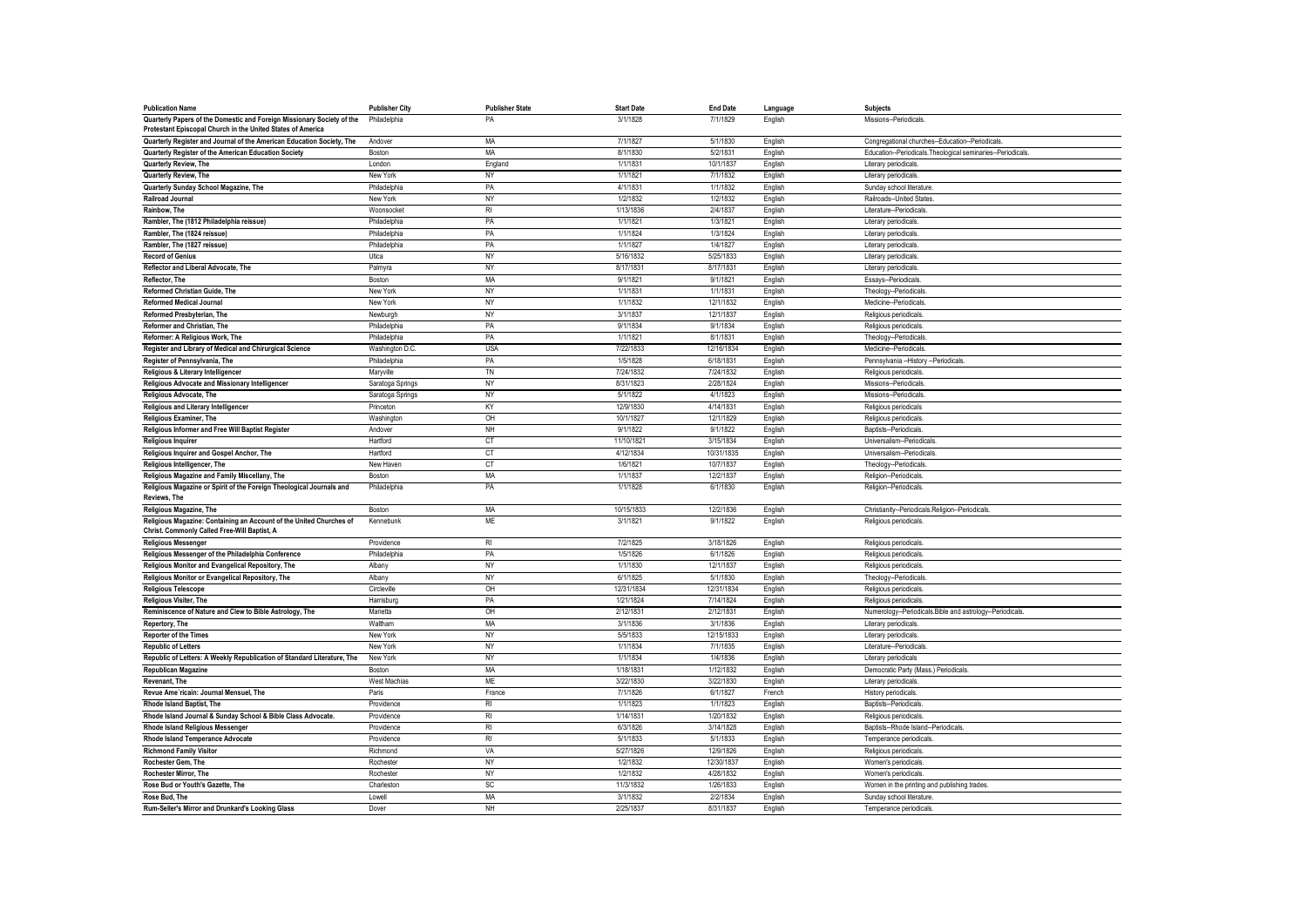| <b>Publication Name</b>                                                                                                               | <b>Publisher City</b> | <b>Publisher State</b> | <b>Start Date</b> | <b>End Date</b> | Language | <b>Subjects</b>                                             |
|---------------------------------------------------------------------------------------------------------------------------------------|-----------------------|------------------------|-------------------|-----------------|----------|-------------------------------------------------------------|
| Quarterly Papers of the Domestic and Foreign Missionary Society of the<br>Protestant Episcopal Church in the United States of America | Philadelphia          | PA                     | 3/1/1828          | 7/1/1829        | English  | Missions--Periodicals                                       |
| Quarterly Register and Journal of the American Education Society, The                                                                 | Andover               | MA                     | 7/1/1827          | 5/1/1830        | English  | Congregational churches--Education--Periodicals.            |
| Quarterly Register of the American Education Society                                                                                  | Boston                | MA                     | 8/1/1830          | 5/2/1831        | English  | Education--Periodicals.Theological seminaries--Periodicals. |
| Quarterly Review, The                                                                                                                 | London                | England                | 1/1/1831          | 10/1/1837       | English  | Literary periodicals                                        |
| Quarterly Review, The                                                                                                                 | New York              | NY                     | 1/1/1821          | 7/1/1832        | English  | Literary periodicals                                        |
| Quarterly Sunday School Magazine, The                                                                                                 | Philadelphia          | PA                     | 4/1/1831          | 1/1/1832        | English  | Sunday school literature                                    |
| <b>Railroad Journal</b>                                                                                                               | New York              | <b>NY</b>              | 1/2/1832          | 1/2/1832        | English  | Railroads-United States                                     |
| Rainbow, The                                                                                                                          | Woonsocket            | $R_{\rm I}$            | 1/13/1836         | 2/4/1837        | English  | Literature-Periodicals                                      |
| Rambler, The (1812 Philadelphia reissue)                                                                                              | Philadelphia          | PA                     | 1/1/1821          | 1/3/1821        | English  | Literary periodicals                                        |
| Rambler, The (1824 reissue)                                                                                                           | Philadelphia          | PA                     | 1/1/1824          | 1/3/1824        | English  | Literary periodicals                                        |
| Rambler, The (1827 reissue)                                                                                                           | Philadelphia          | PA                     | 1/1/1827          | 1/4/1827        | English  | Literary periodicals                                        |
| <b>Record of Genius</b>                                                                                                               | Utica                 | NY                     | 5/16/1832         | 5/25/1833       | English  | Literary periodicals                                        |
| Reflector and Liberal Advocate, The                                                                                                   | Palmyra               | <b>NY</b>              | 8/17/1831         | 8/17/1831       | English  | Literary periodicals                                        |
| Reflector, The                                                                                                                        | Boston                | MA                     | 9/1/1821          | 9/1/1821        | English  | Essays--Periodicals                                         |
| Reformed Christian Guide, The                                                                                                         | New York              | <b>NY</b>              | 1/1/1831          | 1/1/1831        | English  | Theology--Periodicals                                       |
| <b>Reformed Medical Journal</b>                                                                                                       | New York              | NY                     | 1/1/1832          | 12/1/1832       | English  | Medicine--Periodicals                                       |
| Reformed Presbyterian, The                                                                                                            | Newburgh              | NY                     | 3/1/1837          | 12/1/1837       | English  | Religious periodicals                                       |
| Reformer and Christian, The                                                                                                           | Philadelphia          | PA                     | 9/1/1834          | 9/1/1834        | English  | Religious periodicals                                       |
| Reformer: A Religious Work, The                                                                                                       | Philadelphia          | PA                     | 1/1/1821          | 8/1/1831        | English  | Theology--Periodicals                                       |
| Register and Library of Medical and Chirurgical Science                                                                               | Washington D.C.       | <b>USA</b>             | 7/22/1833         | 12/16/1834      | English  | Medicine--Periodicals                                       |
| Register of Pennsylvania, The                                                                                                         | Philadelphia          | PA                     | 1/5/1828          | 6/18/1831       | English  | Pennsylvania -- History -- Periodicals                      |
| Religious & Literary Intelligencer                                                                                                    | Maryville             | TN                     | 7/24/1832         | 7/24/1832       | English  | Religious periodicals                                       |
| Religious Advocate and Missionary Intelligencer                                                                                       | Saratoga Springs      | NY                     | 8/31/1823         | 2/28/1824       | English  | Missions--Periodicals                                       |
| <b>Religious Advocate, The</b>                                                                                                        | Saratoga Springs      | NY                     | 5/1/1822          | 4/1/1823        | English  | Missions--Periodicals                                       |
| Religious and Literary Intelligencer                                                                                                  | Princeton             | KY                     | 12/9/1830         | 4/14/1831       | English  | Religious periodicals                                       |
| <b>Religious Examiner, The</b>                                                                                                        | Washington            | OH                     | 10/1/1827         | 12/1/1829       | English  | Religious periodicals                                       |
| Religious Informer and Free Will Baptist Register                                                                                     | Andover               | <b>NH</b>              | 9/1/1822          | 9/1/1822        | English  | Baptists--Periodicals                                       |
| <b>Religious Inquirer</b>                                                                                                             | Hartford              | CT                     | 11/10/1821        | 3/15/1834       | English  | Universalism--Periodicals                                   |
| Religious Inquirer and Gospel Anchor, The                                                                                             | Hartford              | <b>CT</b>              | 4/12/1834         | 10/31/1835      | English  | Universalism--Periodicals                                   |
| Religious Intelligencer, The                                                                                                          | New Haven             | CT                     | 1/6/1821          | 10/7/1837       | English  | Theology--Periodicals                                       |
| Religious Magazine and Family Miscellany, The                                                                                         | Boston                | MA                     | 1/1/1837          | 12/2/1837       | English  | Religion--Periodicals                                       |
| Religious Magazine or Spirit of the Foreign Theological Journals and<br>Reviews, The                                                  | Philadelphia          | PA                     | 1/1/1828          | 6/1/1830        | English  | Religion--Periodicals                                       |
| <b>Religious Magazine, The</b>                                                                                                        | Boston                | MA                     | 10/15/1833        | 12/2/1836       | English  | Christianity--Periodicals.Religion--Periodicals             |
| Religious Magazine: Containing an Account of the United Churches of<br>Christ. Commonly Called Free-Will Baptist, A                   | Kennebunk             | ME                     | 3/1/1821          | 9/1/1822        | English  | Religious periodicals                                       |
| <b>Religious Messenger</b>                                                                                                            | Providence            | R <sub>l</sub>         | 7/2/1825          | 3/18/1826       | English  | Religious periodicals                                       |
| Religious Messenger of the Philadelphia Conference                                                                                    | Philadelphia          | PA                     | 1/5/1826          | 6/1/1826        | English  | Religious periodicals                                       |
| Religious Monitor and Evangelical Repository, The                                                                                     | Albany                | <b>NY</b>              | 1/1/1830          | 12/1/1837       | English  | Religious periodicals                                       |
| Religious Monitor or Evangelical Repository, The                                                                                      | Albany                | <b>NY</b>              | 6/1/1825          | 5/1/1830        | English  | Theology--Periodicals                                       |
| <b>Religious Telescope</b>                                                                                                            | Circleville           | OH                     | 12/31/1834        | 12/31/1834      | English  | Religious periodicals                                       |
| <b>Religious Visiter, The</b>                                                                                                         | Harrisburg            | PA                     | 1/21/1824         | 7/14/1824       | English  | Religious periodicals                                       |
| Reminiscence of Nature and Clew to Bible Astrology, The                                                                               | Marietta              | OH                     | 2/12/1831         | 2/12/1831       | English  | Numerology--Periodicals.Bible and astrology--Periodicals    |
| Repertory, The                                                                                                                        | Waltham               | MA                     | 3/1/1836          | 3/1/1836        | English  | Literary periodicals                                        |
| <b>Reporter of the Times</b>                                                                                                          | New York              | NY                     | 5/5/1833          | 12/15/1833      | English  | Literary periodicals                                        |
| <b>Republic of Letters</b>                                                                                                            | New York              | <b>NY</b>              | 1/1/1834          | 7/1/1835        | English  | Literature-Periodicals                                      |
| Republic of Letters: A Weekly Republication of Standard Literature, The                                                               | New York              | <b>NY</b>              | 1/1/1834          | 1/4/1836        | English  | Literary periodicals                                        |
| <b>Republican Magazine</b>                                                                                                            | Boston                | MA                     | 1/18/1831         | 1/12/1832       | English  | Democratic Party (Mass.) Periodicals                        |
| <b>Revenant. The</b>                                                                                                                  | West Machias          | ME                     | 3/22/1830         | 3/22/1830       | English  | Literary periodicals                                        |
| Revue Ame'ricain: Journal Mensuel, The                                                                                                | Paris                 | France                 | 7/1/1826          | 6/1/1827        | French   | History periodicals                                         |
| <b>Rhode Island Baptist, The</b>                                                                                                      | Providence            | <b>RI</b>              | 1/1/1823          | 1/1/1823        | English  | Baptists--Periodicals                                       |
| Rhode Island Journal & Sunday School & Bible Class Advocate.                                                                          | Providence            | R <sub>l</sub>         | 1/14/1831         | 1/20/1832       | English  | Religious periodicals                                       |
| <b>Rhode Island Religious Messenger</b>                                                                                               | Providence            | R <sub>l</sub>         | 6/3/1826          | 3/14/1828       | English  | Baptists--Rhode Island--Periodicals                         |
| Rhode Island Temperance Advocate                                                                                                      | Providence            | $R_{\rm I}$            | 5/1/1833          | 5/1/1833        | English  | Temperance periodicals                                      |
| <b>Richmond Family Visitor</b>                                                                                                        | Richmond              | VA                     | 5/27/1826         | 12/9/1826       | English  | Religious periodicals                                       |
| Rochester Gem, The                                                                                                                    | Rochester             | <b>NY</b>              | 1/2/1832          | 12/30/1837      | English  | Women's periodicals                                         |
| Rochester Mirror, The                                                                                                                 | Rochester             | <b>NY</b>              | 1/2/1832          | 4/28/1832       | English  | Women's periodicals                                         |
| Rose Bud or Youth's Gazette, The                                                                                                      | Charleston            | SC                     | 11/3/1832         | 1/26/1833       | English  | Women in the printing and publishing trades.                |
| Rose Bud, The                                                                                                                         | Lowell                | MA                     | 3/1/1832          | 2/2/1834        | English  | Sunday school literature                                    |
| Rum-Seller's Mirror and Drunkard's Looking Glass                                                                                      | Dover                 | <b>NH</b>              | 2/25/1837         | 8/31/1837       | English  | Temperance periodicals                                      |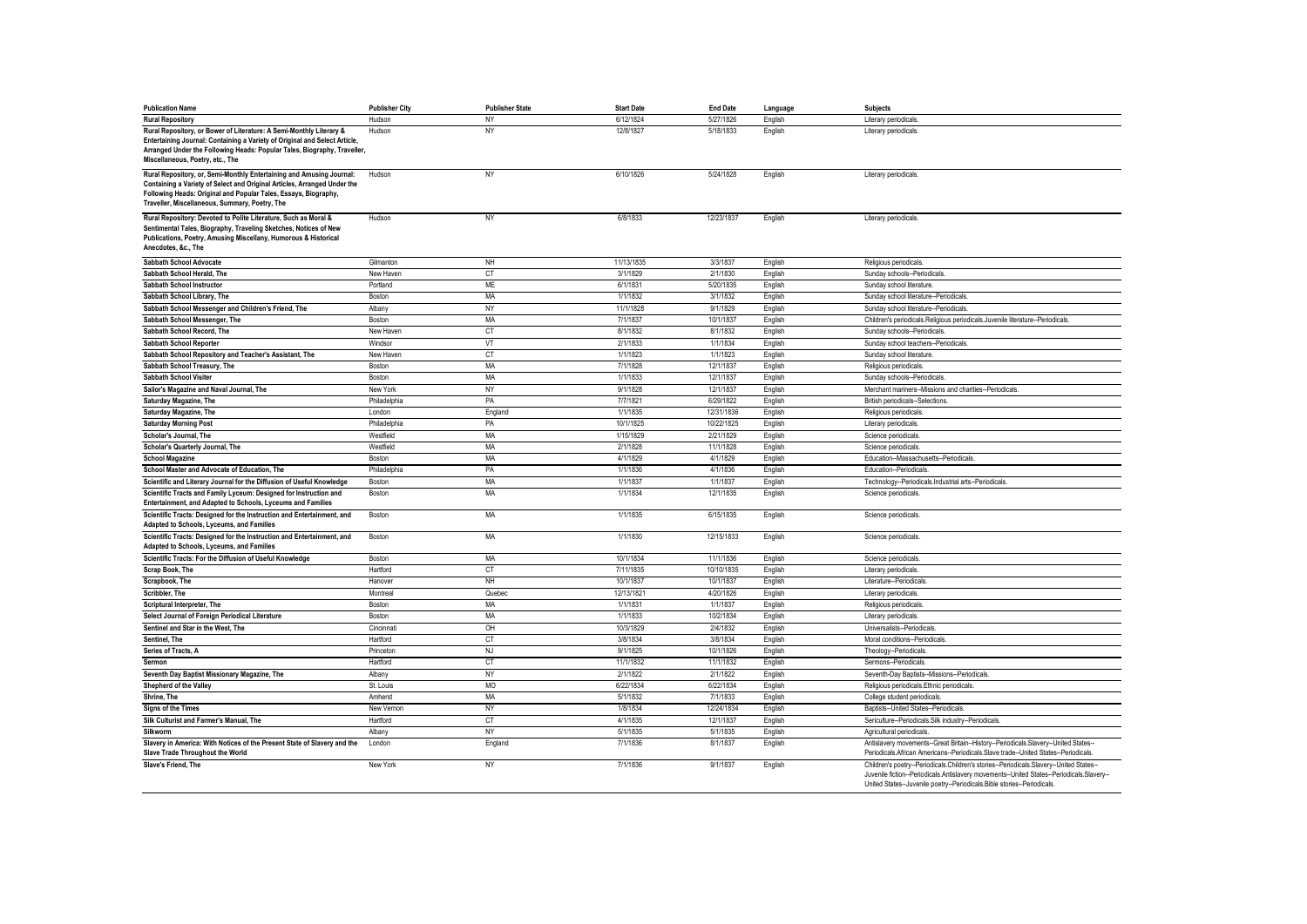| <b>Publication Name</b>                                                                                                                                                                                                       | <b>Publisher City</b> | <b>Publisher State</b> | <b>Start Date</b> | <b>End Date</b> | Language | <b>Subjects</b>                                                                                                                                                                                                                                                 |
|-------------------------------------------------------------------------------------------------------------------------------------------------------------------------------------------------------------------------------|-----------------------|------------------------|-------------------|-----------------|----------|-----------------------------------------------------------------------------------------------------------------------------------------------------------------------------------------------------------------------------------------------------------------|
| <b>Rural Repository</b>                                                                                                                                                                                                       | Hudson                | NY                     | 6/12/1824         | 5/27/1826       | English  | Literary periodicals.                                                                                                                                                                                                                                           |
| Rural Repository, or Bower of Literature: A Semi-Monthly Literary &<br>Entertaining Journal: Containing a Variety of Original and Select Article,<br>Arranged Under the Following Heads: Popular Tales, Biography, Traveller, | Hudson                | NY                     | 12/8/1827         | 5/18/1833       | English  | Literary periodicals.                                                                                                                                                                                                                                           |
| Miscellaneous, Poetry, etc., The                                                                                                                                                                                              |                       |                        |                   |                 |          |                                                                                                                                                                                                                                                                 |
| Rural Repository, or, Semi-Monthly Entertaining and Amusing Journal:<br>Containing a Variety of Select and Original Articles, Arranged Under the                                                                              | Hudson                | NY                     | 6/10/1826         | 5/24/1828       | English  | Literary periodicals.                                                                                                                                                                                                                                           |
| Following Heads: Original and Popular Tales, Essays, Biography,<br>Traveller, Miscellaneous, Summary, Poetry, The                                                                                                             |                       |                        |                   |                 |          |                                                                                                                                                                                                                                                                 |
| Rural Repository: Devoted to Polite Literature, Such as Moral &                                                                                                                                                               | Hudson                | <b>NY</b>              | 6/8/1833          | 12/23/1837      | English  | Literary periodicals.                                                                                                                                                                                                                                           |
| Sentimental Tales, Biography, Traveling Sketches, Notices of New<br>Publications, Poetry, Amusing Miscellany, Humorous & Historical<br>Anecdotes, &c., The                                                                    |                       |                        |                   |                 |          |                                                                                                                                                                                                                                                                 |
| Sabbath School Advocate                                                                                                                                                                                                       | Gilmanton             | <b>NH</b>              | 11/13/1835        | 3/3/1837        | English  | Religious periodicals                                                                                                                                                                                                                                           |
| Sabbath School Herald, The                                                                                                                                                                                                    | New Haven             | CT                     | 3/1/1829          | 2/1/1830        | English  | Sunday schools--Periodicals.                                                                                                                                                                                                                                    |
| Sabbath School Instructor                                                                                                                                                                                                     | Portland              | <b>ME</b>              | 6/1/1831          | 5/20/1835       | English  | Sunday school literature                                                                                                                                                                                                                                        |
| Sabbath School Library, The                                                                                                                                                                                                   | Boston                | MA                     | 1/1/1832          | 3/1/1832        | English  | Sunday school literature--Periodicals                                                                                                                                                                                                                           |
| Sabbath School Messenger and Children's Friend, The                                                                                                                                                                           | Albany                | NY                     | 11/1/1828         | 9/1/1829        | English  | Sunday school literature--Periodicals                                                                                                                                                                                                                           |
| Sabbath School Messenger, The                                                                                                                                                                                                 | Boston                | MA                     | 7/1/1837          | 10/1/1837       | English  | Children's periodicals.Religious periodicals.Juvenile literature--Periodicals                                                                                                                                                                                   |
| Sabbath School Record, The                                                                                                                                                                                                    | New Haven             | <b>CT</b>              | 8/1/1832          | 8/1/1832        | English  | Sunday schools--Periodicals                                                                                                                                                                                                                                     |
| Sabbath School Reporter                                                                                                                                                                                                       | Windsor               | VT                     | 2/1/1833          | 1/1/1834        | English  | Sunday school teachers--Periodicals.                                                                                                                                                                                                                            |
| Sabbath School Repository and Teacher's Assistant, The                                                                                                                                                                        | New Haven             | CT                     | 1/1/1823          | 1/1/1823        | English  | Sunday school literature                                                                                                                                                                                                                                        |
| Sabbath School Treasury, The                                                                                                                                                                                                  | Boston                | <b>MA</b>              | 7/1/1828          | 12/1/1837       | English  | Religious periodicals                                                                                                                                                                                                                                           |
| Sabbath School Visiter                                                                                                                                                                                                        | Boston                | MA                     | 1/1/1833          | 12/1/1837       | English  | Sunday schools--Periodicals                                                                                                                                                                                                                                     |
| Sailor's Magazine and Naval Journal, The                                                                                                                                                                                      | New York              | NY                     | 9/1/1828          | 12/1/1837       | English  | Merchant mariners--Missions and charities--Periodicals.                                                                                                                                                                                                         |
| Saturday Magazine, The                                                                                                                                                                                                        | Philadelphia          | PA                     | 7/7/1821          | 6/29/1822       | English  | British periodicals--Selections                                                                                                                                                                                                                                 |
| Saturday Magazine, The                                                                                                                                                                                                        | London                | England                | 1/1/1835          | 12/31/1836      | English  | Religious periodicals                                                                                                                                                                                                                                           |
| <b>Saturday Morning Post</b>                                                                                                                                                                                                  | Philadelphia          | PA                     | 10/1/1825         | 10/22/1825      | English  | Literary periodicals.                                                                                                                                                                                                                                           |
| Scholar's Journal, The                                                                                                                                                                                                        | Westfield             | MA                     | 1/15/1829         | 2/21/1829       | English  | Science periodicals                                                                                                                                                                                                                                             |
| Scholar's Quarterly Journal, The                                                                                                                                                                                              | Westfield             | MA                     | 2/1/1828          | 11/1/1828       | English  | Science periodicals                                                                                                                                                                                                                                             |
| <b>School Magazine</b>                                                                                                                                                                                                        | Boston                | MA                     | 4/1/1829          | 4/1/1829        | English  | Education--Massachusetts--Periodicals.                                                                                                                                                                                                                          |
| School Master and Advocate of Education, The                                                                                                                                                                                  | Philadelphia          | PA                     | 1/1/1836          | 4/1/1836        | English  | Education--Periodicals.                                                                                                                                                                                                                                         |
| Scientific and Literary Journal for the Diffusion of Useful Knowledge                                                                                                                                                         | Boston                | MA                     | 1/1/1837          | 1/1/1837        | English  | Technology--Periodicals.Industrial arts--Periodicals                                                                                                                                                                                                            |
| Scientific Tracts and Family Lyceum: Designed for Instruction and<br>Entertainment, and Adapted to Schools, Lyceums and Families                                                                                              | Boston                | MA                     | 1/1/1834          | 12/1/1835       | English  | Science periodicals                                                                                                                                                                                                                                             |
| Scientific Tracts: Designed for the Instruction and Entertainment, and<br>Adapted to Schools, Lyceums, and Families                                                                                                           | Boston                | MA                     | 1/1/1835          | 6/15/1835       | English  | Science periodicals                                                                                                                                                                                                                                             |
| Scientific Tracts: Designed for the Instruction and Entertainment, and<br>Adapted to Schools, Lyceums, and Families                                                                                                           | Boston                | MA                     | 1/1/1830          | 12/15/1833      | English  | Science periodicals                                                                                                                                                                                                                                             |
| Scientific Tracts: For the Diffusion of Useful Knowledge                                                                                                                                                                      | Boston                | MA                     | 10/1/1834         | 11/1/1836       | English  | Science periodicals                                                                                                                                                                                                                                             |
| Scrap Book, The                                                                                                                                                                                                               | Hartford              | CT                     | 7/11/1835         | 10/10/1835      | English  | Literary periodicals.                                                                                                                                                                                                                                           |
| Scrapbook, The                                                                                                                                                                                                                | Hanover               | NH                     | 10/1/1837         | 10/1/1837       | English  | Literature--Periodicals                                                                                                                                                                                                                                         |
| Scribbler. The                                                                                                                                                                                                                | Montreal              | Quebec                 | 12/13/1821        | 4/20/1826       | English  | Literary periodicals.                                                                                                                                                                                                                                           |
| Scriptural Interpreter, The                                                                                                                                                                                                   | Boston                | MA                     | 1/1/1831          | 1/1/1837        | English  | Religious periodicals                                                                                                                                                                                                                                           |
| Select Journal of Foreign Periodical Literature                                                                                                                                                                               | Boston                | MA                     | 1/1/1833          | 10/2/1834       | English  | Literary periodicals.                                                                                                                                                                                                                                           |
| Sentinel and Star in the West. The                                                                                                                                                                                            | Cincinnati            | OH                     | 10/3/1829         | 2/4/1832        | English  | Universalists--Periodicals                                                                                                                                                                                                                                      |
| Sentinel. The                                                                                                                                                                                                                 | Hartford              | <b>CT</b>              | 3/8/1834          | 3/8/1834        | English  | Moral conditions--Periodicals.                                                                                                                                                                                                                                  |
| Series of Tracts. A                                                                                                                                                                                                           | Princeton             | NJ                     | 9/1/1825          | 10/1/1826       | English  | Theology--Periodicals.                                                                                                                                                                                                                                          |
| Sermon                                                                                                                                                                                                                        | Hartford              | <b>CT</b>              | 11/1/1832         | 11/1/1832       | English  | Sermons--Periodicals                                                                                                                                                                                                                                            |
| Seventh Day Baptist Missionary Magazine, The                                                                                                                                                                                  | Albany                | NY                     | 2/1/1822          | 2/1/1822        | English  | Seventh-Day Baptists--Missions--Periodicals.                                                                                                                                                                                                                    |
| Shepherd of the Valley                                                                                                                                                                                                        | St. Louis             | MO                     | 6/22/1834         | 6/22/1834       | English  | Religious periodicals.Ethnic periodicals                                                                                                                                                                                                                        |
| Shrine, The                                                                                                                                                                                                                   | Amherst               | MA                     | 5/1/1832          | 7/1/1833        | English  | College student periodicals                                                                                                                                                                                                                                     |
| Signs of the Times                                                                                                                                                                                                            | New Vernon            | NY                     | 1/8/1834          | 12/24/1834      | English  | Baptists--United States--Periodicals                                                                                                                                                                                                                            |
| Silk Culturist and Farmer's Manual, The                                                                                                                                                                                       | Hartford              | <b>CT</b>              | 4/1/1835          | 12/1/1837       | English  | Sericulture--Periodicals.Silk industry--Periodicals.                                                                                                                                                                                                            |
| Silkworm                                                                                                                                                                                                                      | Albany                | NY                     | 5/1/1835          | 5/1/1835        | English  | Agricultural periodicals.                                                                                                                                                                                                                                       |
| Slavery in America: With Notices of the Present State of Slavery and the                                                                                                                                                      |                       |                        | 7/1/1836          | 8/1/1837        |          | Antislavery movements--Great Britain--History--Periodicals.Slavery--United States--                                                                                                                                                                             |
| Slave Trade Throughout the World                                                                                                                                                                                              | London                | England                | 7/1/1836          |                 | English  | Periodicals.African Americans--Periodicals.Slave trade--United States--Periodicals.                                                                                                                                                                             |
| Slave's Friend, The                                                                                                                                                                                                           | New York              | NY                     |                   | 9/1/1837        | English  | Children's poetry--Periodicals.Children's stories--Periodicals.Slavery--United States--<br>Juvenile fiction--Periodicals.Antislavery movements--United States--Periodicals.Slavery--<br>United States--Juvenile poetry--Periodicals.Bible stories--Periodicals. |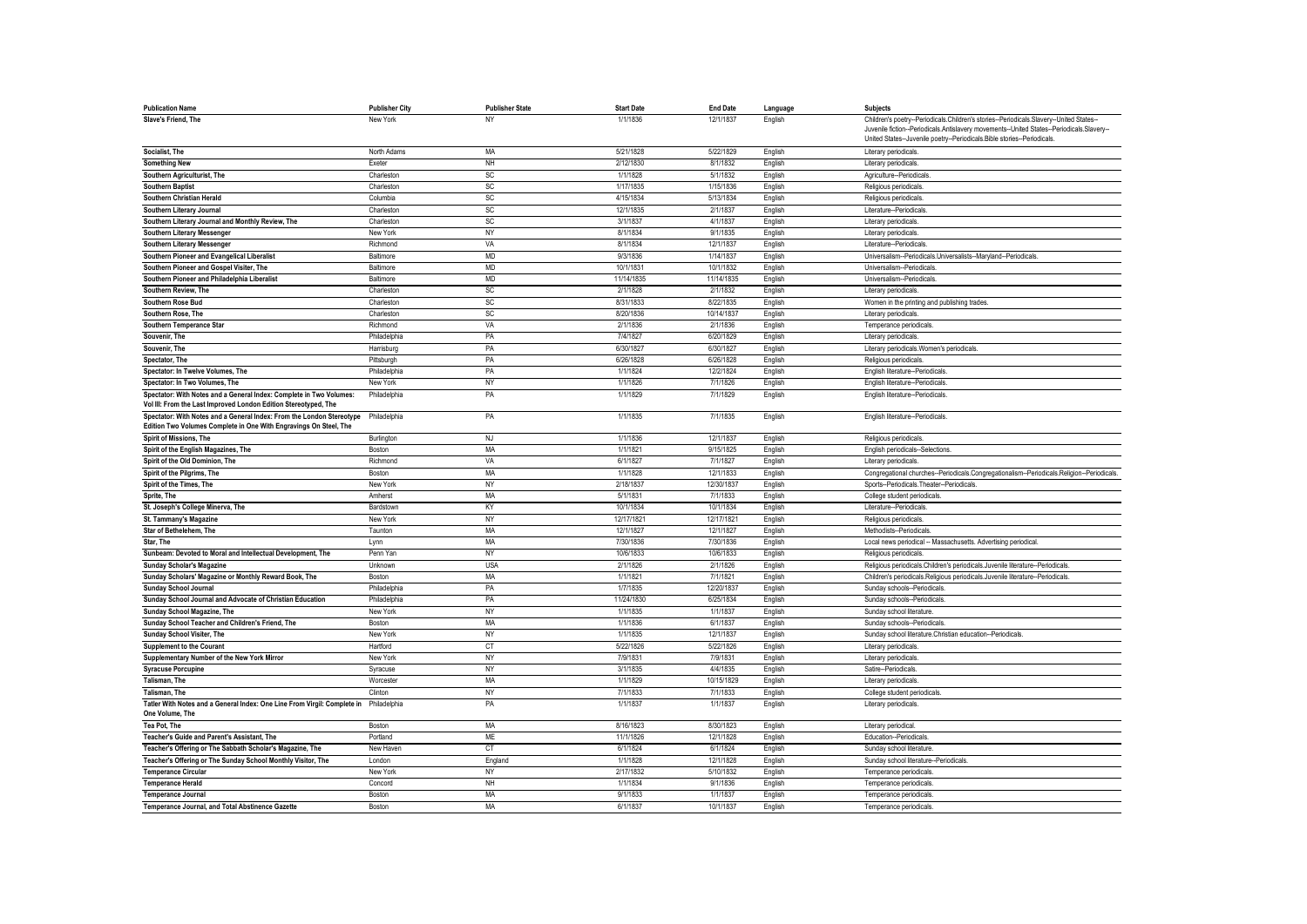| <b>Publication Name</b>                                                                     | <b>Publisher City</b> | <b>Publisher State</b> | <b>Start Date</b> | <b>End Date</b> | Language | Subjects                                                                                   |
|---------------------------------------------------------------------------------------------|-----------------------|------------------------|-------------------|-----------------|----------|--------------------------------------------------------------------------------------------|
| Slave's Friend. The                                                                         | New York              | NY                     | 1/1/1836          | 12/1/1837       | English  | Children's poetry--Periodicals.Children's stories--Periodicals.Slavery--United States--    |
|                                                                                             |                       |                        |                   |                 |          | Juvenile fiction--Periodicals.Antislavery movements--United States--Periodicals.Slavery--  |
|                                                                                             |                       |                        |                   |                 |          | United States--Juvenile poetry--Periodicals.Bible stories--Periodicals                     |
| Socialist. The                                                                              | North Adams           | MA                     | 5/21/1828         | 5/22/1829       | English  | Literary periodicals.                                                                      |
| <b>Something New</b>                                                                        | Exeter                | NH                     | 2/12/1830         | 8/1/1832        | English  | Literary periodicals.                                                                      |
| Southern Agriculturist, The                                                                 | Charleston            | SC                     | 1/1/1828          | 5/1/1832        | English  | Agriculture--Periodicals                                                                   |
| <b>Southern Baptist</b>                                                                     | Charleston            | SC                     | 1/17/1835         | 1/15/1836       | English  | Religious periodicals                                                                      |
| Southern Christian Herald                                                                   | Columbia              | SC                     | 4/15/1834         | 5/13/1834       | English  | Religious periodicals                                                                      |
| Southern Literary Journal                                                                   | Charleston            | SC                     | 12/1/1835         | 2/1/1837        | English  | Literature--Periodicals                                                                    |
| Southern Literary Journal and Monthly Review, The                                           | Charlestor            | <b>SC</b>              | 3/1/1837          | 4/1/1837        | English  | Literary periodicals.                                                                      |
| Southern Literary Messenger                                                                 | New York              | NY                     | 8/1/1834          | 9/1/1835        | English  | Literary periodicals.                                                                      |
| Southern Literary Messenger                                                                 | Richmond              | VA                     | 8/1/1834          | 12/1/1837       | English  | Literature--Periodicals                                                                    |
| Southern Pioneer and Evangelical Liberalist                                                 | Baltimore             | <b>MD</b>              | 9/3/1836          | 1/14/1837       | English  | Universalism--Periodicals.Universalists--Maryland--Periodicals                             |
| Southern Pioneer and Gospel Visiter, The                                                    | Baltimore             | <b>MD</b>              | 10/1/1831         | 10/1/1832       | English  | Universalism--Periodicals                                                                  |
| Southern Pioneer and Philadelphia Liberalist                                                | Baltimore             | <b>MD</b>              | 11/14/1835        | 11/14/1835      | English  | Universalism--Periodicals                                                                  |
| Southern Review. The                                                                        | Charleston            | SC                     | 2/1/1828          | 2/1/1832        | English  | Literary periodicals                                                                       |
| <b>Southern Rose Bud</b>                                                                    | Charleston            | <b>SC</b>              | 8/31/1833         | 8/22/1835       | English  | Women in the printing and publishing trades                                                |
| Southern Rose, The                                                                          | Charleston            | SC                     | 8/20/1836         | 10/14/1837      | English  | Literary periodicals                                                                       |
| Southern Temperance Star                                                                    | Richmond              | VA                     | 2/1/1836          | 2/1/1836        | English  | Temperance periodicals                                                                     |
| Souvenir, The                                                                               | Philadelphia          | PA                     | 7/4/1827          | 6/20/1829       | English  | Literary periodicals                                                                       |
| Souvenir, The                                                                               | Harrisburg            | PA                     | 6/30/1827         | 6/30/1827       | English  | Literary periodicals. Women's periodicals.                                                 |
| Spectator, The                                                                              | Pittsburgh            | PA                     | 6/26/1828         | 6/26/1828       | English  | Religious periodicals                                                                      |
| Spectator: In Twelve Volumes. The                                                           | Philadelphia          | PA                     | 1/1/1824          | 12/2/1824       | English  | English literature--Periodicals                                                            |
| Spectator: In Two Volumes, The                                                              | New York              | NY                     | 1/1/1826          | 7/1/1826        | English  | English literature--Periodicals                                                            |
| Spectator: With Notes and a General Index: Complete in Two Volumes:                         | Philadelphia          | PA                     | 1/1/1829          | 7/1/1829        | English  | English literature--Periodicals                                                            |
| Vol III: From the Last Improved London Edition Stereotyped, The                             |                       |                        |                   |                 |          |                                                                                            |
| Spectator: With Notes and a General Index: From the London Stereotype                       | Philadelphia          | PA                     | 1/1/1835          | 7/1/1835        | English  | English literature--Periodicals                                                            |
| Edition Two Volumes Complete in One With Engravings On Steel, The                           |                       |                        |                   |                 |          |                                                                                            |
| Spirit of Missions. The                                                                     | Burlington            | <b>NJ</b>              | 1/1/1836          | 12/1/1837       | English  | Religious periodicals                                                                      |
| Spirit of the English Magazines, The                                                        | Boston                | MA                     | 1/1/1821          | 9/15/1825       | English  | English periodicals--Selections.                                                           |
| Spirit of the Old Dominion. The                                                             | Richmond              | VA                     | 6/1/1827          | 7/1/1827        | English  | Literary periodicals.                                                                      |
| Spirit of the Pilgrims, The                                                                 | Boston                | MA                     | 1/1/1828          | 12/1/1833       | English  | Congregational churches--Periodicals.Congregationalism--Periodicals.Religion--Periodicals. |
| Spirit of the Times, The                                                                    | New York              | NY                     | 2/18/1837         | 12/30/1837      | English  | Sports--Periodicals.Theater--Periodicals.                                                  |
| Sprite, The                                                                                 | Amherst               | MA                     | 5/1/183           | 7/1/1833        | English  | College student periodicals                                                                |
| St. Joseph's College Minerva, The                                                           | Bardstown             | KY                     | 10/1/1834         | 10/1/1834       | English  | Literature-Periodicals                                                                     |
| St. Tammany's Magazine                                                                      | New York              | <b>NY</b>              | 12/17/1821        | 12/17/1821      | English  | Religious periodicals                                                                      |
| Star of Bethelehem, The                                                                     | Taunton               | MA                     | 12/1/1827         | 12/1/1827       | English  | Methodists--Periodicals                                                                    |
| Star. The                                                                                   | Lynn                  | MA                     | 7/30/1836         | 7/30/1836       | English  | Local news periodical -- Massachusetts. Advertising periodical.                            |
| Sunbeam: Devoted to Moral and Intellectual Development, The                                 | Penn Yan              | NY                     | 10/6/1833         | 10/6/1833       | English  | Religious periodicals                                                                      |
| <b>Sunday Scholar's Magazine</b>                                                            | Unknown               | <b>USA</b>             | 2/1/1826          | 2/1/1826        | English  | Religious periodicals.Children's periodicals.Juvenile literature--Periodicals.             |
| Sunday Scholars' Magazine or Monthly Reward Book, The                                       | Boston                | MA                     | 1/1/1821          | 7/1/1821        | English  | Children's periodicals. Religious periodicals. Juvenile literature--Periodicals.           |
| Sunday School Journal                                                                       | Philadelphia          | PA                     | 1/7/1835          | 12/20/1837      | English  | Sunday schools--Periodicals                                                                |
| Sunday School Journal and Advocate of Christian Education                                   | Philadelphia          | PA                     | 11/24/1830        | 6/25/1834       | English  | Sunday schools--Periodicals.                                                               |
| Sunday School Magazine, The                                                                 | New York              | NY                     | 1/1/1835          | 1/1/1837        | English  | Sunday school literature                                                                   |
| Sunday School Teacher and Children's Friend, The                                            | Boston                | MA                     | 1/1/1836          | 6/1/1837        | English  | Sunday schools--Periodicals                                                                |
| Sunday School Visiter, The                                                                  | New York              | NY                     | 1/1/1835          | 12/1/1837       | English  | Sunday school literature. Christian education--Periodicals                                 |
| Supplement to the Courant                                                                   | Hartford              | СT                     | 5/22/1826         | 5/22/1826       | English  | Literary periodicals                                                                       |
| Supplementary Number of the New York Mirror                                                 | New York              | NY                     | 7/9/1831          | 7/9/1831        | English  | Literary periodicals                                                                       |
| <b>Syracuse Porcupine</b>                                                                   | Syracuse              | NY                     | 3/1/1835          | 4/4/1835        | English  | Satire--Periodicals                                                                        |
| Talisman, The                                                                               | Worcester             | MA                     | 1/1/1829          | 10/15/1829      | English  | Literary periodicals                                                                       |
| <b>Talisman</b> . The                                                                       | Clinton               | <b>NY</b>              | 7/1/1833          | 7/1/1833        | English  | College student periodicals                                                                |
| Tatler With Notes and a General Index: One Line From Virgil: Complete in<br>One Volume, The | Philadelphia          | PA                     | 1/1/1837          | 1/1/1837        | English  | Literary periodicals.                                                                      |
|                                                                                             |                       |                        |                   |                 |          |                                                                                            |
| Tea Pot, The                                                                                | <b>Boston</b>         | <b>MA</b>              | 8/16/1823         | 8/30/1823       | English  | Literary periodical                                                                        |
| Teacher's Guide and Parent's Assistant. The                                                 | Portland              | <b>ME</b>              | 11/1/1826         | 12/1/1828       | English  | Education--Periodicals                                                                     |
| Teacher's Offering or The Sabbath Scholar's Magazine, The                                   | New Haven             | CT                     | 6/1/1824          | 6/1/1824        | English  | Sunday school literature                                                                   |
| Teacher's Offering or The Sunday School Monthly Visitor, The                                | London                | England                | 1/1/1828          | 12/1/1828       | English  | Sunday school literature--Periodicals                                                      |
| <b>Temperance Circular</b>                                                                  | New York              | NY                     | 2/17/1832         | 5/10/1832       | English  | Temperance periodicals                                                                     |
| <b>Temperance Herald</b>                                                                    | Concord               | NH                     | 1/1/1834          | 9/1/1836        | English  | Temperance periodicals                                                                     |
| <b>Temperance Journal</b>                                                                   | Boston                | <b>MA</b>              | 9/1/1833          | 1/1/1837        | English  | Temperance periodicals                                                                     |
| Temperance Journal, and Total Abstinence Gazette                                            | Boston                | MA                     | 6/1/1837          | 10/1/1837       | English  | Temperance periodicals                                                                     |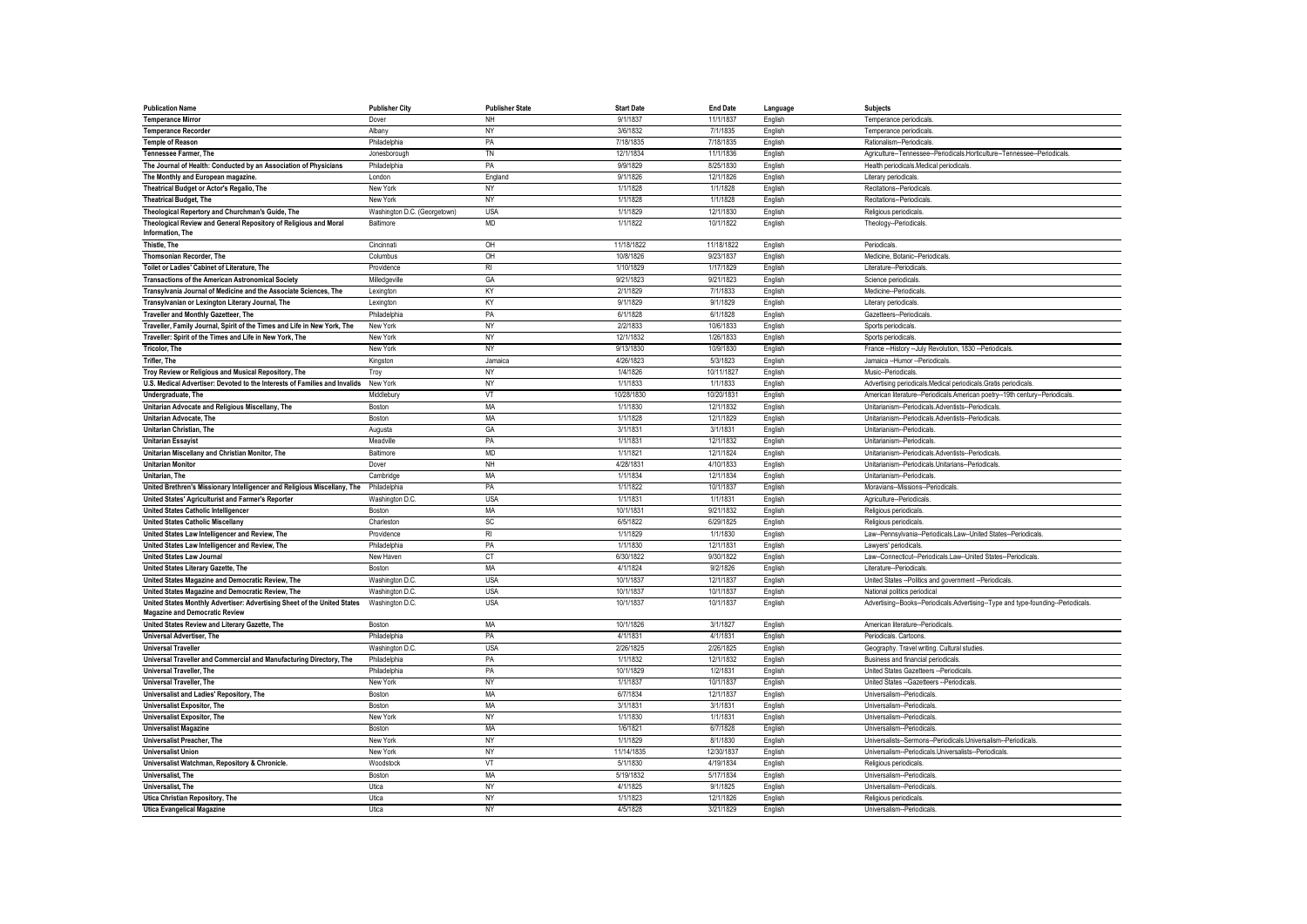| <b>Publication Name</b>                                                    | <b>Publisher City</b>        | <b>Publisher State</b> | <b>Start Date</b> | <b>End Date</b> | Language | <b>Subjects</b>                                                                  |
|----------------------------------------------------------------------------|------------------------------|------------------------|-------------------|-----------------|----------|----------------------------------------------------------------------------------|
| <b>Temperance Mirror</b>                                                   | Dover                        | NH                     | 9/1/1837          | 11/1/1837       | English  | Temperance periodicals                                                           |
| <b>Temperance Recorder</b>                                                 | Albany                       | NY                     | 3/6/1832          | 7/1/1835        | English  | Temperance periodicals                                                           |
| <b>Temple of Reason</b>                                                    | Philadelphia                 | PA                     | 7/18/1835         | 7/18/1835       | English  | Rationalism--Periodicals                                                         |
| <b>Tennessee Farmer, The</b>                                               | Jonesborough                 | TN                     | 12/1/1834         | 11/1/1836       | English  | Agriculture--Tennessee--Periodicals.Horticulture--Tennessee--Periodicals.        |
| The Journal of Health: Conducted by an Association of Physicians           | Philadelphia                 | PA                     | 9/9/1829          | 8/25/1830       | English  | Health periodicals.Medical periodicals.                                          |
| The Monthly and European magazine.                                         | London                       | England                | 9/1/1826          | 12/1/1826       | English  | Literary periodicals.                                                            |
| Theatrical Budget or Actor's Regalio, The                                  | New York                     | <b>NY</b>              | 1/1/1828          | 1/1/1828        | English  | Recitations--Periodicals                                                         |
| <b>Theatrical Budget, The</b>                                              | New York                     | <b>NY</b>              | 1/1/1828          | 1/1/1828        | English  | Recitations--Periodicals                                                         |
| Theological Repertory and Churchman's Guide, The                           | Washington D.C. (Georgetown) | <b>USA</b>             | 1/1/1829          | 12/1/1830       | English  | Religious periodicals                                                            |
| Theological Review and General Repository of Religious and Moral           | Baltimore                    | <b>MD</b>              | 1/1/1822          | 10/1/1822       | English  | Theology--Periodicals                                                            |
| Information, The                                                           |                              |                        |                   |                 |          |                                                                                  |
| Thistle, The                                                               | Cincinnati                   | OH                     | 11/18/1822        | 11/18/1822      | English  | Periodicals                                                                      |
| Thomsonian Recorder, The                                                   | Columbus                     | OH                     | 10/8/1826         | 9/23/1837       | English  | Medicine, Botanic--Periodicals                                                   |
| Toilet or Ladies' Cabinet of Literature, The                               | Providence                   | R <sub>l</sub>         | 1/10/1829         | 1/17/1829       | English  | Literature--Periodicals                                                          |
| <b>Transactions of the American Astronomical Society</b>                   | Milledgeville                | GA                     | 9/21/1823         | 9/21/1823       | English  | Science periodicals                                                              |
| Transylvania Journal of Medicine and the Associate Sciences, The           | Lexington                    | KY                     | 2/1/1829          | 7/1/1833        | English  | Medicine-Periodicals                                                             |
| Transylvanian or Lexington Literary Journal, The                           | Lexington                    | KY                     | 9/1/1829          | 9/1/1829        | English  | Literary periodicals                                                             |
| Traveller and Monthly Gazetteer, The                                       | Philadelphia                 | PA                     | 6/1/1828          | 6/1/1828        | English  | Gazetteers--Periodicals                                                          |
| Traveller, Family Journal, Spirit of the Times and Life in New York, The   | New York                     | NY                     | 2/2/1833          | 10/6/1833       | English  | Sports periodicals                                                               |
| Traveller: Spirit of the Times and Life in New York, The                   | New York                     | NY                     | 12/1/1832         | 1/26/1833       | English  | Sports periodicals                                                               |
| <b>Tricolor, The</b>                                                       | New York                     | NY                     | 9/13/1830         | 10/9/1830       | English  | France --History --July Revolution, 1830 --Periodicals                           |
| Trifler. The                                                               | Kingston                     | Jamaica                | 4/26/1823         | 5/3/1823        | English  | Jamaica -- Humor -- Periodicals.                                                 |
| Troy Review or Religious and Musical Repository, The                       | Troy                         | NY                     | 1/4/1826          | 10/11/1827      | English  | Music--Periodicals                                                               |
| U.S. Medical Advertiser: Devoted to the Interests of Families and Invalids | New York                     | <b>NY</b>              | 1/1/1833          | 1/1/1833        | English  | Advertising periodicals.Medical periodicals.Gratis periodicals                   |
| Undergraduate, The                                                         | Middlebury                   | VT                     | 10/28/1830        | 10/20/1831      | English  | American literature--Periodicals.American poetry--19th century--Periodicals      |
| Unitarian Advocate and Religious Miscellany, The                           | Boston                       | MA                     | 1/1/1830          | 12/1/1832       | English  | Unitarianism--Periodicals.Adventists--Periodicals                                |
| Unitarian Advocate, The                                                    | Boston                       | MA                     | 1/1/1828          | 12/1/1829       | English  | Unitarianism--Periodicals.Adventists--Periodicals                                |
| Unitarian Christian, The                                                   | Augusta                      | GA                     | 3/1/1831          | 3/1/1831        | English  | Unitarianism--Periodicals                                                        |
| <b>Unitarian Essavist</b>                                                  | Meadville                    | PA                     | 1/1/1831          | 12/1/1832       | English  | Unitarianism--Periodicals                                                        |
| Unitarian Miscellany and Christian Monitor, The                            | Baltimore                    | <b>MD</b>              | 1/1/1821          | 12/1/1824       | English  | Unitarianism--Periodicals.Adventists--Periodicals                                |
| <b>Unitarian Monitor</b>                                                   | Dover                        | NH                     | 4/28/1831         | 4/10/1833       | English  | Unitarianism--Periodicals.Unitarians--Periodicals.                               |
| Unitarian. The                                                             | Cambridge                    | MA                     | 1/1/1834          | 12/1/1834       | English  | Unitarianism--Periodicals                                                        |
| United Brethren's Missionary Intelligencer and Religious Miscellany, The   | Philadelphia                 | PA                     | 1/1/1822          | 10/1/1837       | English  | Moravians--Missions--Periodicals                                                 |
| United States' Agriculturist and Farmer's Reporter                         | Washington D.C.              | <b>USA</b>             | 1/1/1831          | 1/1/1831        | English  | Agriculture--Periodicals                                                         |
| <b>United States Catholic Intelligencer</b>                                | Boston                       | MA                     | 10/1/1831         | 9/21/1832       | English  | Religious periodicals                                                            |
| <b>United States Catholic Miscellany</b>                                   | Charleston                   | <b>SC</b>              | 6/5/1822          | 6/29/1825       | English  | Religious periodicals                                                            |
| United States Law Intelligencer and Review, The                            | Providence                   | $R_{\rm I}$            | 1/1/1829          | 1/1/1830        | English  | Law--Pennsylvania--Periodicals.Law--United States--Periodicals.                  |
| United States Law Intelligencer and Review, The                            | Philadelphia                 | PA                     | 1/1/1830          | 12/1/1831       | English  | Lawyers' periodicals                                                             |
| <b>United States Law Journal</b>                                           | New Haven                    | <b>CT</b>              | 6/30/1822         | 9/30/1822       | English  | Law--Connecticut--Periodicals.Law--United States--Periodicals                    |
| United States Literary Gazette, The                                        | Boston                       | MA                     | 4/1/1824          | 9/2/1826        | English  | Literature--Periodicals                                                          |
| United States Magazine and Democratic Review, The                          | Washington D.C.              | <b>USA</b>             | 10/1/1837         | 12/1/1837       | English  | United States -- Politics and government -- Periodicals                          |
| United States Magazine and Democratic Review, The                          | Washington D.C.              | <b>USA</b>             | 10/1/1837         | 10/1/1837       | English  | National politics periodical                                                     |
| United States Monthly Advertiser: Advertising Sheet of the United States   | Washington D.C.              | <b>USA</b>             | 10/1/1837         | 10/1/1837       | English  | Advertising--Books--Periodicals.Advertising--Type and type-founding--Periodicals |
| <b>Magazine and Democratic Review</b>                                      |                              |                        |                   |                 |          |                                                                                  |
| United States Review and Literary Gazette, The                             | Boston                       | MA                     | 10/1/1826         | 3/1/1827        | English  | American literature--Periodicals.                                                |
| <b>Universal Advertiser. The</b>                                           | Philadelphia                 | PA                     | 4/1/1831          | 4/1/1831        | English  | Periodicals, Cartoons,                                                           |
| <b>Universal Traveller</b>                                                 | Washington D.C               | <b>USA</b>             | 2/26/1825         | 2/26/1825       | English  | Geography. Travel writing. Cultural studies.                                     |
| Universal Traveller and Commercial and Manufacturing Directory, The        | Philadelphia                 | PA                     | 1/1/1832          | 12/1/1832       | English  | Business and financial periodicals                                               |
| Universal Traveller, The                                                   | Philadelphia                 | PA                     | 10/1/1829         | 1/2/1831        | English  | United States Gazetteers -- Periodicals                                          |
| <b>Universal Traveller, The</b>                                            | New York                     | <b>NY</b>              | 1/1/1837          | 10/1/1837       | English  | United States -- Gazetteers -- Periodicals                                       |
| Universalist and Ladies' Repository, The                                   | <b>Boston</b>                | MA                     | 6/7/1834          | 12/1/1837       | English  | Universalism--Periodicals                                                        |
| <b>Universalist Expositor, The</b>                                         | Boston                       | <b>MA</b>              | 3/1/1831          | 3/1/1831        | English  | Universalism--Periodicals                                                        |
| <b>Universalist Expositor. The</b>                                         | New York                     | <b>NY</b>              | 1/1/1830          | 1/1/1831        | English  | Universalism--Periodicals                                                        |
| <b>Universalist Magazine</b>                                               | Boston                       | MA                     | 1/6/1821          | 6/7/1828        | English  | Universalism--Periodicals                                                        |
| Universalist Preacher, The                                                 | New York                     | <b>NY</b>              | 1/1/1829          | 8/1/1830        | English  | Universalists--Sermons--Periodicals.Universalism--Periodicals.                   |
| <b>Universalist Union</b>                                                  | New York                     | <b>NY</b>              | 11/14/1835        | 12/30/1837      | English  | Universalism--Periodicals.Universalists--Periodicals                             |
| Universalist Watchman, Repository & Chronicle.                             | Woodstock                    | VT                     | 5/1/1830          | 4/19/1834       | English  | Religious periodicals                                                            |
| Universalist, The                                                          | Boston                       | MA                     | 5/19/1832         | 5/17/1834       | English  | Universalism--Periodicals                                                        |
| Universalist. The                                                          | Utica                        | <b>NY</b>              | 4/1/1825          | 9/1/1825        | English  | Universalism--Periodicals                                                        |
|                                                                            |                              |                        | 1/1/1823          | 12/1/1826       |          |                                                                                  |
| Utica Christian Repository, The                                            | Utica                        | NY<br><b>NY</b>        | 4/5/1828          | 3/21/1829       | English  | Religious periodicals                                                            |
| <b>Utica Evangelical Magazine</b>                                          | Utica                        |                        |                   |                 | English  | Universalism--Periodicals                                                        |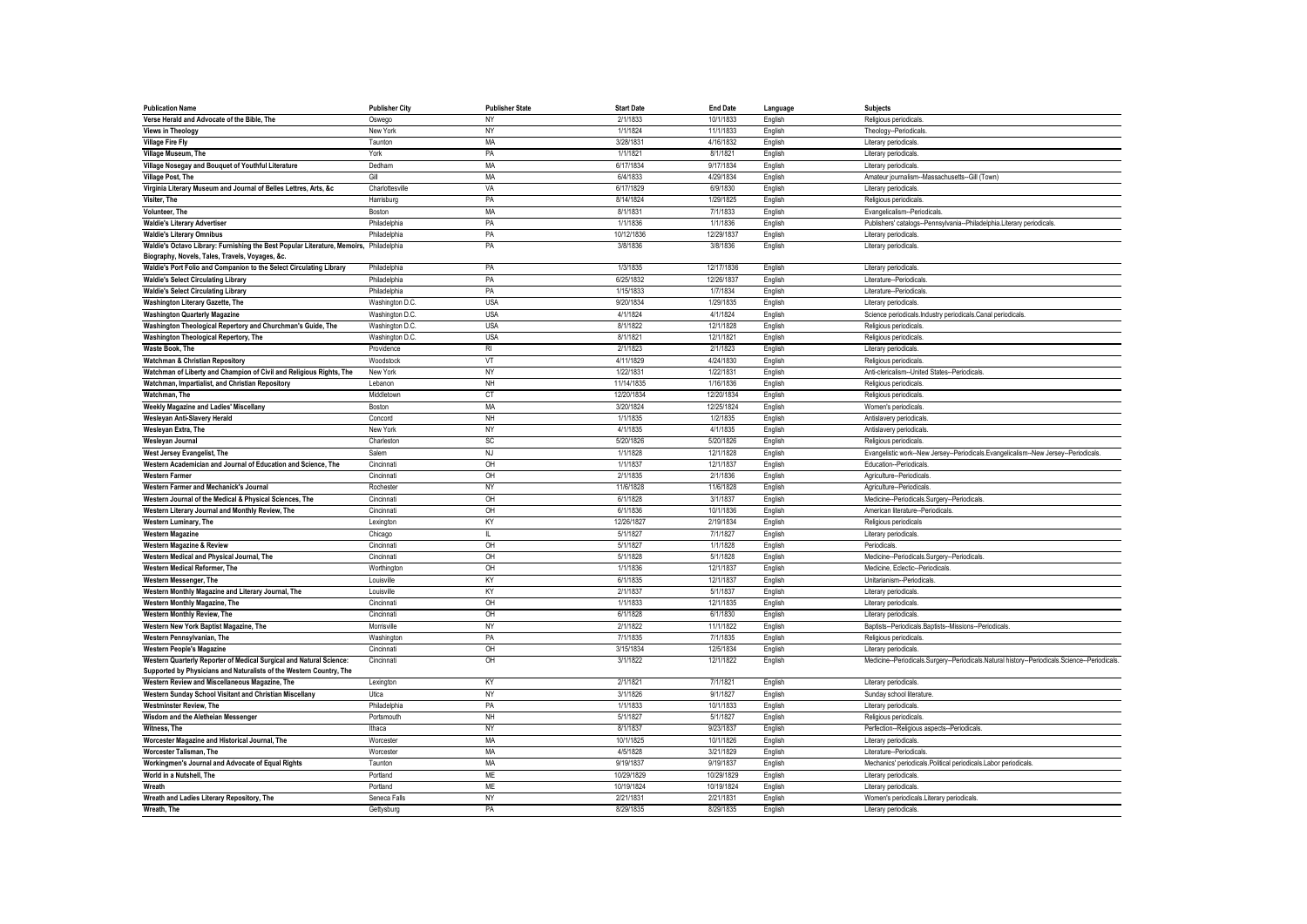| <b>Publication Name</b>                                                                                                                   | <b>Publisher City</b> | <b>Publisher State</b> | <b>Start Date</b> | <b>End Date</b> | Language | <b>Subjects</b>                                                                               |
|-------------------------------------------------------------------------------------------------------------------------------------------|-----------------------|------------------------|-------------------|-----------------|----------|-----------------------------------------------------------------------------------------------|
| Verse Herald and Advocate of the Bible, The                                                                                               | Oswego                | NY                     | 2/1/1833          | 10/1/1833       | English  | Religious periodicals                                                                         |
| <b>Views in Theology</b>                                                                                                                  | New York              | NY                     | 1/1/1824          | 11/1/1833       | English  | Theology--Periodicals                                                                         |
| <b>Village Fire Fly</b>                                                                                                                   | Taunton               | <b>MA</b>              | 3/28/1831         | 4/16/1832       | English  | Literary periodicals.                                                                         |
| Village Museum, The                                                                                                                       | York                  | PA                     | 1/1/1821          | 8/1/1821        | English  | Literary periodicals.                                                                         |
| Village Nosegay and Bouquet of Youthful Literature                                                                                        | Dedham                | <b>MA</b>              | 6/17/1834         | 9/17/1834       | English  | Literary periodicals.                                                                         |
| <b>Village Post, The</b>                                                                                                                  | Gill                  | <b>MA</b>              | 6/4/1833          | 4/29/1834       | English  | Amateur journalism--Massachusetts--Gill (Town)                                                |
| Virginia Literary Museum and Journal of Belles Lettres, Arts, &c                                                                          | Charlottesville       | VA                     | 6/17/1829         | 6/9/1830        | English  | Literary periodicals.                                                                         |
| Visiter, The                                                                                                                              | Harrisburg            | PA                     | 8/14/1824         | 1/29/1825       | English  | Religious periodicals                                                                         |
| Volunteer, The                                                                                                                            | Boston                | MA                     | 8/1/1831          | 7/1/1833        | English  | Evangelicalism--Periodicals                                                                   |
| <b>Waldie's Literary Advertiser</b>                                                                                                       | Philadelphia          | PA                     | 1/1/1836          | 1/1/1836        | English  | Publishers' catalogs--Pennsylvania--Philadelphia.Literary periodicals.                        |
| <b>Waldie's Literary Omnibus</b>                                                                                                          | Philadelphia          | PA                     | 10/12/1836        | 12/29/1837      | English  | Literary periodicals                                                                          |
| Waldie's Octavo Library: Furnishing the Best Popular Literature, Memoirs, Philadelphia<br>Biography, Novels, Tales, Travels, Voyages, &c. |                       | PA                     | 3/8/1836          | 3/8/1836        | English  | Literary periodicals                                                                          |
| Waldie's Port Folio and Companion to the Select Circulating Library                                                                       | Philadelphia          | PA                     | 1/3/1835          | 12/17/1836      | English  | Literary periodicals                                                                          |
| <b>Waldie's Select Circulating Library</b>                                                                                                | Philadelphia          | PA                     | 6/25/1832         | 12/26/1837      | English  | Literature-Periodicals                                                                        |
| <b>Waldie's Select Circulating Library</b>                                                                                                | Philadelphia          | PA                     | 1/15/1833         | 1/7/1834        | English  | Literature--Periodicals                                                                       |
| Washington Literary Gazette, The                                                                                                          | Washington D.C        | <b>USA</b>             | 9/20/1834         | 1/29/1835       | English  | Literary periodicals                                                                          |
| <b>Washington Quarterly Magazine</b>                                                                                                      | Washington D.C        | <b>USA</b>             | 4/1/1824          | 4/1/1824        | English  | Science periodicals.Industry periodicals.Canal periodicals                                    |
| Washington Theological Repertory and Churchman's Guide, The                                                                               | Washington D.C        | <b>USA</b>             | 8/1/1822          | 12/1/1828       | English  | Religious periodicals                                                                         |
| Washington Theological Repertory, The                                                                                                     | Washington D.C.       | <b>USA</b>             | 8/1/1821          | 12/1/1821       | English  | Religious periodicals                                                                         |
| Waste Book, The                                                                                                                           | Providence            | R <sub>l</sub>         | 2/1/1823          | 2/1/1823        | English  | Literary periodicals                                                                          |
| <b>Watchman &amp; Christian Repository</b>                                                                                                | Woodstock             | VT                     | 4/11/1829         | 4/24/1830       | English  | Religious periodicals                                                                         |
| Watchman of Liberty and Champion of Civil and Religious Rights, The                                                                       | New York              | NY                     | 1/22/1831         | 1/22/1831       | English  | Anti-clericalism--United States--Periodicals                                                  |
| Watchman, Impartialist, and Christian Repository                                                                                          | Lebanon               | NH                     | 11/14/1835        | 1/16/1836       | English  | Religious periodicals                                                                         |
| Watchman, The                                                                                                                             | Middletown            | <b>CT</b>              | 12/20/1834        | 12/20/1834      | English  | Religious periodicals                                                                         |
| Weekly Magazine and Ladies' Miscellany                                                                                                    | Boston                | <b>MA</b>              | 3/20/1824         | 12/25/1824      | English  | Women's periodicals                                                                           |
| Wesleyan Anti-Slavery Herald                                                                                                              | Concord               | NH                     | 1/1/1835          | 1/2/1835        | English  | Antislavery periodicals                                                                       |
| Wesleyan Extra, The                                                                                                                       | New York              | <b>NY</b>              | 4/1/1835          | 4/1/1835        | English  | Antislavery periodicals                                                                       |
| Wesleyan Journal                                                                                                                          | Charleston            | SC                     | 5/20/1826         | 5/20/1826       | English  | Religious periodicals                                                                         |
| West Jersey Evangelist, The                                                                                                               | Salem                 | NJ                     | 1/1/1828          | 12/1/1828       | English  | Evangelistic work--New Jersey--Periodicals.Evangelicalism--New Jersey--Periodicals            |
| Western Academician and Journal of Education and Science, The                                                                             | Cincinnati            | OH                     | 1/1/1837          | 12/1/1837       | English  | Education--Periodicals                                                                        |
| <b>Western Farmer</b>                                                                                                                     | Cincinnati            | OH                     | 2/1/1835          | 2/1/1836        | English  | Agriculture--Periodicals                                                                      |
| Western Farmer and Mechanick's Journal                                                                                                    | Rochester             | <b>NY</b>              | 11/6/1828         | 11/6/1828       | English  | Agriculture--Periodicals                                                                      |
| Western Journal of the Medical & Physical Sciences, The                                                                                   | Cincinnati            | OH                     | 6/1/1828          | 3/1/1837        | English  | Medicine--Periodicals.Surgery--Periodicals.                                                   |
| Western Literary Journal and Monthly Review, The                                                                                          | Cincinnati            | OH                     | 6/1/1836          | 10/1/1836       | English  | American literature--Periodicals                                                              |
| Western Luminary, The                                                                                                                     | Lexington             | KY                     | 12/26/1827        | 2/19/1834       | English  | Religious periodicals                                                                         |
| <b>Western Magazine</b>                                                                                                                   | Chicago               | $\mathbf{H}$           | 5/1/1827          | 7/1/1827        | English  | Literary periodicals                                                                          |
| <b>Western Magazine &amp; Review</b>                                                                                                      | Cincinnati            | OH                     | 5/1/1827          | 1/1/1828        | English  | Periodicals                                                                                   |
| Western Medical and Physical Journal, The                                                                                                 | Cincinnati            | OH                     | 5/1/1828          | 5/1/1828        | English  | Medicine--Periodicals.Surgery--Periodicals                                                    |
| Western Medical Reformer, The                                                                                                             | Worthington           | OH                     | 1/1/1836          | 12/1/1837       | English  | Medicine, Eclectic--Periodicals,                                                              |
| Western Messenger, The                                                                                                                    | Louisville            | KY                     | 6/1/1835          | 12/1/1837       | English  | Unitarianism--Periodicals                                                                     |
| Western Monthly Magazine and Literary Journal, The                                                                                        | Louisville            | KY                     | 2/1/1837          | 5/1/1837        | English  | Literary periodicals                                                                          |
| Western Monthly Magazine, The                                                                                                             | Cincinnati            | OH                     | 1/1/1833          | 12/1/1835       | English  | Literary periodicals                                                                          |
| Western Monthly Review, The                                                                                                               | Cincinnati            | OH                     | 6/1/1828          | 6/1/1830        | English  | Literary periodicals.                                                                         |
| Western New York Baptist Magazine, The                                                                                                    | Morrisville           | <b>NY</b>              | 2/1/1822          | 11/1/1822       | English  | Baptists--Periodicals.Baptists--Missions--Periodicals                                         |
| Western Pennsylvanian. The                                                                                                                | Washington            | PA                     | 7/1/1835          | 7/1/1835        | English  | Religious periodicals                                                                         |
| <b>Western People's Magazine</b>                                                                                                          | Cincinnati            | OH                     | 3/15/1834         | 12/5/1834       | English  | Literary periodicals                                                                          |
| Western Quarterly Reporter of Medical Surgical and Natural Science:                                                                       | Cincinnati            | OH                     | 3/1/1822          | 12/1/1822       | English  | Medicine--Periodicals.Surgery--Periodicals.Natural history--Periodicals.Science--Periodicals. |
| Supported by Physicians and Naturalists of the Western Country, The                                                                       |                       |                        |                   |                 |          |                                                                                               |
| Western Review and Miscellaneous Magazine, The                                                                                            | Lexington             | KY                     | 2/1/1821          | 7/1/1821        | English  | Literary periodicals.                                                                         |
| Western Sunday School Visitant and Christian Miscellany                                                                                   | Utica                 | NY                     | 3/1/1826          | 9/1/1827        | English  | Sunday school literature                                                                      |
| <b>Westminster Review, The</b>                                                                                                            | Philadelphia          | PA                     | 1/1/1833          | 10/1/1833       | English  | Literary periodicals                                                                          |
| Wisdom and the Aletheian Messenger                                                                                                        | Portsmouth            | <b>NH</b>              | 5/1/1827          | 5/1/1827        | English  | Religious periodicals                                                                         |
| Witness, The                                                                                                                              | Ithaca                | NY                     | 8/1/1837          | 9/23/1837       | English  | Perfection--Religious aspects--Periodicals.                                                   |
| Worcester Magazine and Historical Journal, The                                                                                            | Worcester             | <b>MA</b>              | 10/1/1825         | 10/1/1826       | English  | Literary periodicals                                                                          |
| Worcester Talisman, The                                                                                                                   | Worcester             | MA                     | 4/5/1828          | 3/21/1829       | English  | Literature-Periodicals                                                                        |
| Workingmen's Journal and Advocate of Equal Rights                                                                                         | Taunton               | <b>MA</b>              | 9/19/1837         | 9/19/1837       | English  | Mechanics' periodicals.Political periodicals.Labor periodicals.                               |
| World in a Nutshell, The                                                                                                                  | Portland              | ME                     | 10/29/1829        | 10/29/1829      | English  | Literary periodicals                                                                          |
| Wreath                                                                                                                                    | Portland              | <b>ME</b>              | 10/19/1824        | 10/19/1824      | English  | Literary periodicals.                                                                         |
| Wreath and Ladies Literary Repository, The                                                                                                | Seneca Falls          | <b>NY</b>              | 2/21/1831         | 2/21/1831       | English  | Women's periodicals.Literary periodicals                                                      |
| Wreath, The                                                                                                                               | Gettysburg            | PA                     | 8/29/1835         | 8/29/1835       | English  | Literary periodicals.                                                                         |
|                                                                                                                                           |                       |                        |                   |                 |          |                                                                                               |